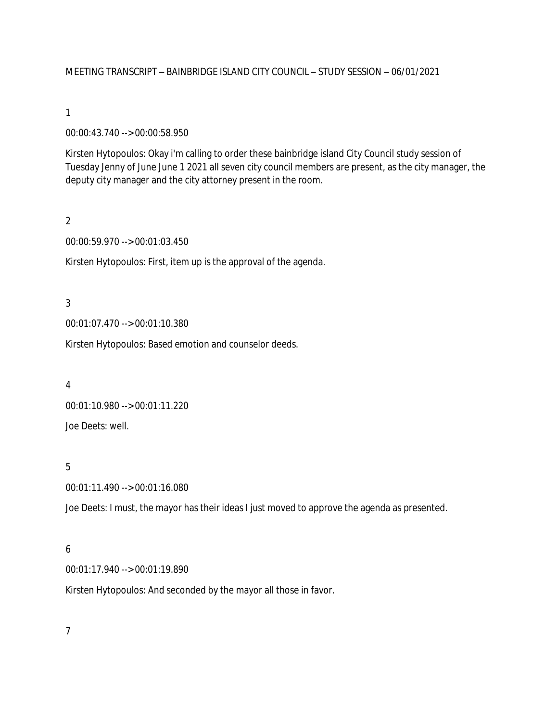## MEETING TRANSCRIPT – BAINBRIDGE ISLAND CITY COUNCIL – STUDY SESSION – 06/01/2021

#### 1

## 00:00:43.740 --> 00:00:58.950

Kirsten Hytopoulos: Okay i'm calling to order these bainbridge island City Council study session of Tuesday Jenny of June June 1 2021 all seven city council members are present, as the city manager, the deputy city manager and the city attorney present in the room.

## 2

### 00:00:59.970 --> 00:01:03.450

Kirsten Hytopoulos: First, item up is the approval of the agenda.

## 3

00:01:07.470 --> 00:01:10.380

Kirsten Hytopoulos: Based emotion and counselor deeds.

### 4

00:01:10.980 --> 00:01:11.220 Joe Deets: well.

### 5

00:01:11.490 --> 00:01:16.080

Joe Deets: I must, the mayor has their ideas I just moved to approve the agenda as presented.

### 6

00:01:17.940 --> 00:01:19.890

Kirsten Hytopoulos: And seconded by the mayor all those in favor.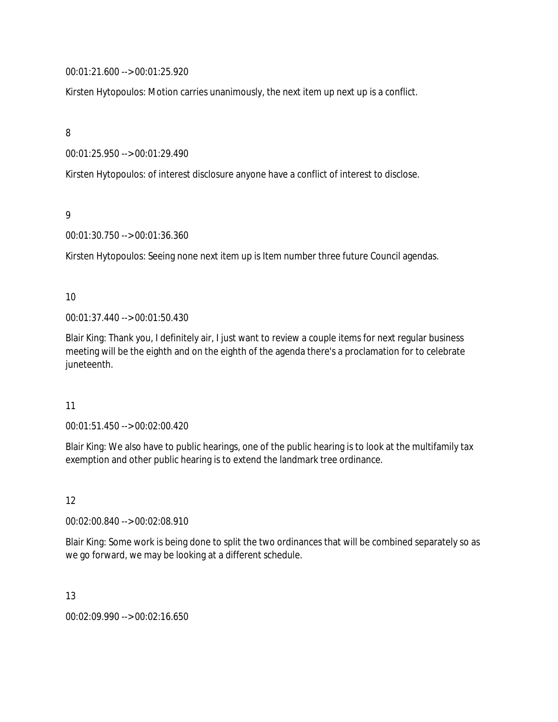00:01:21.600 --> 00:01:25.920

Kirsten Hytopoulos: Motion carries unanimously, the next item up next up is a conflict.

8

00:01:25.950 --> 00:01:29.490

Kirsten Hytopoulos: of interest disclosure anyone have a conflict of interest to disclose.

9

00:01:30.750 --> 00:01:36.360

Kirsten Hytopoulos: Seeing none next item up is Item number three future Council agendas.

10

00:01:37.440 --> 00:01:50.430

Blair King: Thank you, I definitely air, I just want to review a couple items for next regular business meeting will be the eighth and on the eighth of the agenda there's a proclamation for to celebrate juneteenth.

11

00:01:51.450 --> 00:02:00.420

Blair King: We also have to public hearings, one of the public hearing is to look at the multifamily tax exemption and other public hearing is to extend the landmark tree ordinance.

12

00:02:00.840 --> 00:02:08.910

Blair King: Some work is being done to split the two ordinances that will be combined separately so as we go forward, we may be looking at a different schedule.

13

00:02:09.990 --> 00:02:16.650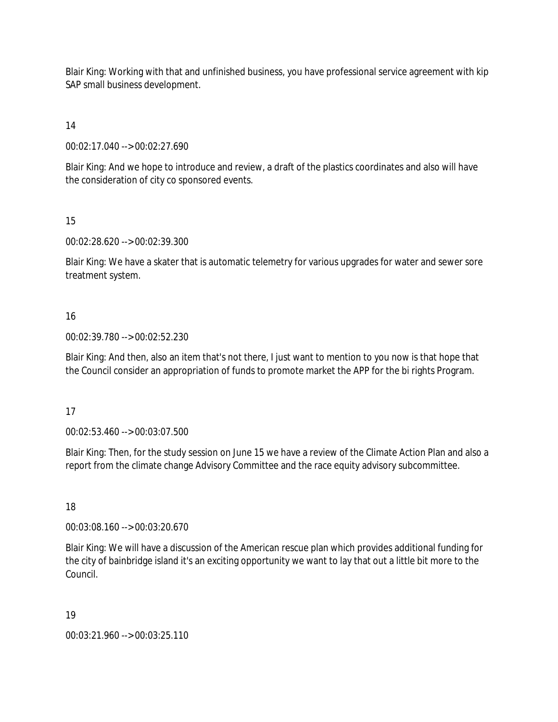Blair King: Working with that and unfinished business, you have professional service agreement with kip SAP small business development.

14

00:02:17.040 --> 00:02:27.690

Blair King: And we hope to introduce and review, a draft of the plastics coordinates and also will have the consideration of city co sponsored events.

15

00:02:28.620 --> 00:02:39.300

Blair King: We have a skater that is automatic telemetry for various upgrades for water and sewer sore treatment system.

## 16

00:02:39.780 --> 00:02:52.230

Blair King: And then, also an item that's not there, I just want to mention to you now is that hope that the Council consider an appropriation of funds to promote market the APP for the bi rights Program.

### 17

00:02:53.460 --> 00:03:07.500

Blair King: Then, for the study session on June 15 we have a review of the Climate Action Plan and also a report from the climate change Advisory Committee and the race equity advisory subcommittee.

18

00:03:08.160 --> 00:03:20.670

Blair King: We will have a discussion of the American rescue plan which provides additional funding for the city of bainbridge island it's an exciting opportunity we want to lay that out a little bit more to the Council.

19

00:03:21.960 --> 00:03:25.110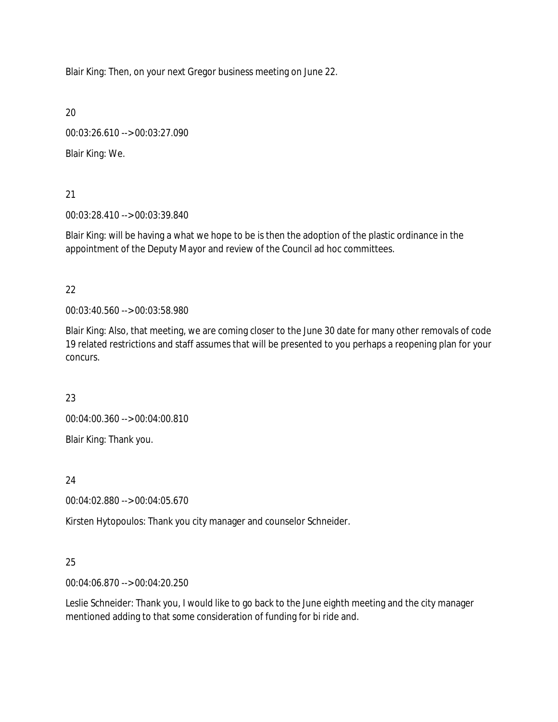Blair King: Then, on your next Gregor business meeting on June 22.

20

00:03:26.610 --> 00:03:27.090

Blair King: We.

21

00:03:28.410 --> 00:03:39.840

Blair King: will be having a what we hope to be is then the adoption of the plastic ordinance in the appointment of the Deputy Mayor and review of the Council ad hoc committees.

22

00:03:40.560 --> 00:03:58.980

Blair King: Also, that meeting, we are coming closer to the June 30 date for many other removals of code 19 related restrictions and staff assumes that will be presented to you perhaps a reopening plan for your concurs.

23

00:04:00.360 --> 00:04:00.810

Blair King: Thank you.

24

00:04:02.880 --> 00:04:05.670

Kirsten Hytopoulos: Thank you city manager and counselor Schneider.

# 25

00:04:06.870 --> 00:04:20.250

Leslie Schneider: Thank you, I would like to go back to the June eighth meeting and the city manager mentioned adding to that some consideration of funding for bi ride and.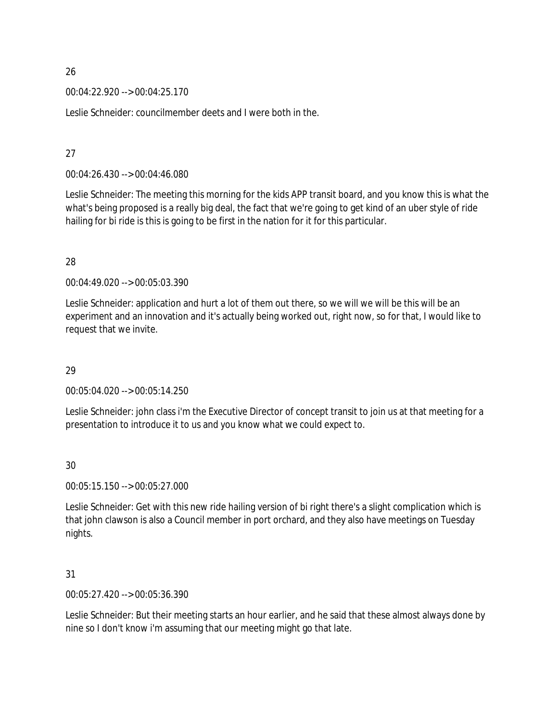00:04:22.920 --> 00:04:25.170

Leslie Schneider: councilmember deets and I were both in the.

## 27

00:04:26.430 --> 00:04:46.080

Leslie Schneider: The meeting this morning for the kids APP transit board, and you know this is what the what's being proposed is a really big deal, the fact that we're going to get kind of an uber style of ride hailing for bi ride is this is going to be first in the nation for it for this particular.

## 28

00:04:49.020 --> 00:05:03.390

Leslie Schneider: application and hurt a lot of them out there, so we will we will be this will be an experiment and an innovation and it's actually being worked out, right now, so for that, I would like to request that we invite.

# 29

00:05:04.020 --> 00:05:14.250

Leslie Schneider: john class i'm the Executive Director of concept transit to join us at that meeting for a presentation to introduce it to us and you know what we could expect to.

# 30

00:05:15.150 --> 00:05:27.000

Leslie Schneider: Get with this new ride hailing version of bi right there's a slight complication which is that john clawson is also a Council member in port orchard, and they also have meetings on Tuesday nights.

# 31

00:05:27.420 --> 00:05:36.390

Leslie Schneider: But their meeting starts an hour earlier, and he said that these almost always done by nine so I don't know i'm assuming that our meeting might go that late.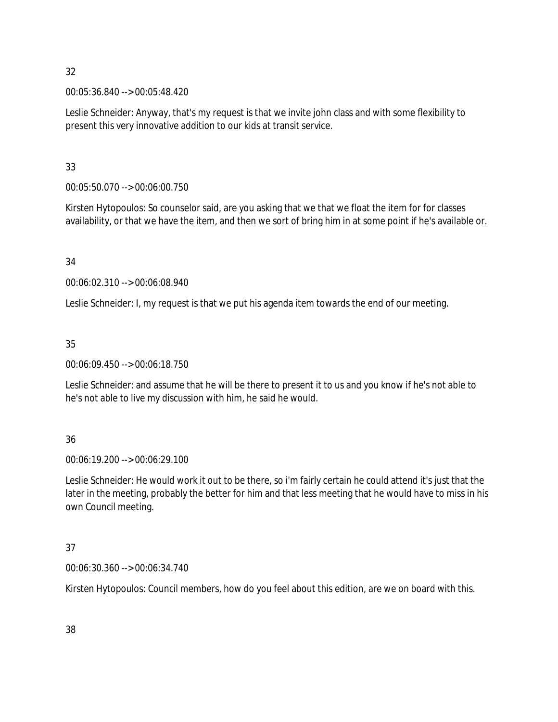00:05:36.840 --> 00:05:48.420

Leslie Schneider: Anyway, that's my request is that we invite john class and with some flexibility to present this very innovative addition to our kids at transit service.

33

00:05:50.070 --> 00:06:00.750

Kirsten Hytopoulos: So counselor said, are you asking that we that we float the item for for classes availability, or that we have the item, and then we sort of bring him in at some point if he's available or.

34

00:06:02.310 --> 00:06:08.940

Leslie Schneider: I, my request is that we put his agenda item towards the end of our meeting.

35

00:06:09.450 --> 00:06:18.750

Leslie Schneider: and assume that he will be there to present it to us and you know if he's not able to he's not able to live my discussion with him, he said he would.

36

00:06:19.200 --> 00:06:29.100

Leslie Schneider: He would work it out to be there, so i'm fairly certain he could attend it's just that the later in the meeting, probably the better for him and that less meeting that he would have to miss in his own Council meeting.

# 37

00:06:30.360 --> 00:06:34.740

Kirsten Hytopoulos: Council members, how do you feel about this edition, are we on board with this.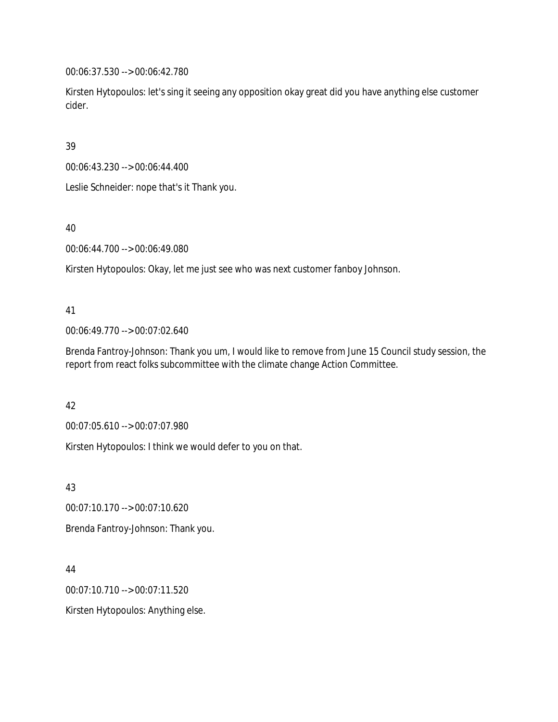00:06:37.530 --> 00:06:42.780

Kirsten Hytopoulos: let's sing it seeing any opposition okay great did you have anything else customer cider.

39

00:06:43.230 --> 00:06:44.400

Leslie Schneider: nope that's it Thank you.

40

00:06:44.700 --> 00:06:49.080

Kirsten Hytopoulos: Okay, let me just see who was next customer fanboy Johnson.

## 41

00:06:49.770 --> 00:07:02.640

Brenda Fantroy-Johnson: Thank you um, I would like to remove from June 15 Council study session, the report from react folks subcommittee with the climate change Action Committee.

# 42

00:07:05.610 --> 00:07:07.980

Kirsten Hytopoulos: I think we would defer to you on that.

43

00:07:10.170 --> 00:07:10.620

Brenda Fantroy-Johnson: Thank you.

44

00:07:10.710 --> 00:07:11.520

Kirsten Hytopoulos: Anything else.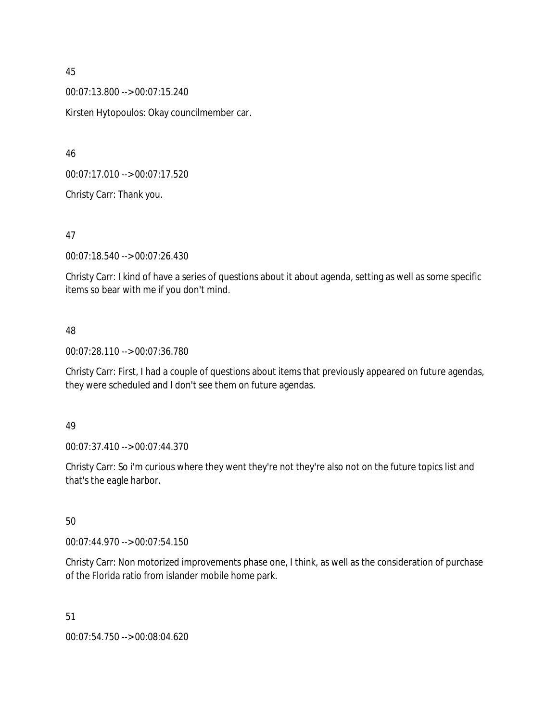00:07:13.800 --> 00:07:15.240

Kirsten Hytopoulos: Okay councilmember car.

46

00:07:17.010 --> 00:07:17.520

Christy Carr: Thank you.

47

00:07:18.540 --> 00:07:26.430

Christy Carr: I kind of have a series of questions about it about agenda, setting as well as some specific items so bear with me if you don't mind.

## 48

00:07:28.110 --> 00:07:36.780

Christy Carr: First, I had a couple of questions about items that previously appeared on future agendas, they were scheduled and I don't see them on future agendas.

### 49

00:07:37.410 --> 00:07:44.370

Christy Carr: So i'm curious where they went they're not they're also not on the future topics list and that's the eagle harbor.

50

00:07:44.970 --> 00:07:54.150

Christy Carr: Non motorized improvements phase one, I think, as well as the consideration of purchase of the Florida ratio from islander mobile home park.

51

00:07:54.750 --> 00:08:04.620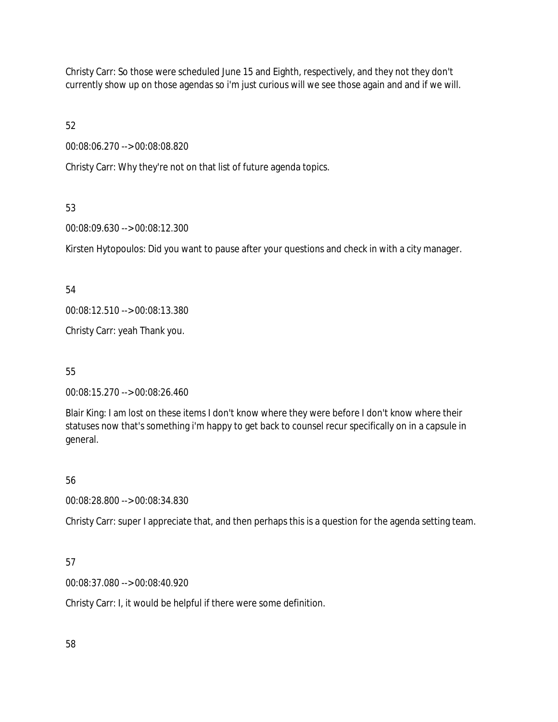Christy Carr: So those were scheduled June 15 and Eighth, respectively, and they not they don't currently show up on those agendas so i'm just curious will we see those again and and if we will.

52

00:08:06.270 --> 00:08:08.820

Christy Carr: Why they're not on that list of future agenda topics.

# 53

00:08:09.630 --> 00:08:12.300

Kirsten Hytopoulos: Did you want to pause after your questions and check in with a city manager.

# 54

00:08:12.510 --> 00:08:13.380

Christy Carr: yeah Thank you.

# 55

00:08:15.270 --> 00:08:26.460

Blair King: I am lost on these items I don't know where they were before I don't know where their statuses now that's something i'm happy to get back to counsel recur specifically on in a capsule in general.

# 56

00:08:28.800 --> 00:08:34.830

Christy Carr: super I appreciate that, and then perhaps this is a question for the agenda setting team.

# 57

00:08:37.080 --> 00:08:40.920

Christy Carr: I, it would be helpful if there were some definition.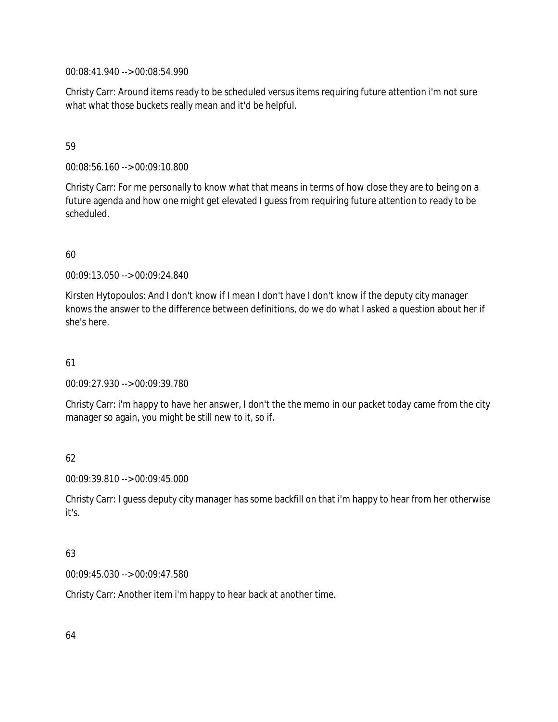00:08:41.940 --> 00:08:54.990

Christy Carr: Around items ready to be scheduled versus items requiring future attention i'm not sure what what those buckets really mean and it'd be helpful.

## 59

00:08:56.160 --> 00:09:10.800

Christy Carr: For me personally to know what that means in terms of how close they are to being on a future agenda and how one might get elevated I guess from requiring future attention to ready to be scheduled.

# 60

00:09:13.050 --> 00:09:24.840

Kirsten Hytopoulos: And I don't know if I mean I don't have I don't know if the deputy city manager knows the answer to the difference between definitions, do we do what I asked a question about her if she's here.

# 61

00:09:27.930 --> 00:09:39.780

Christy Carr: i'm happy to have her answer, I don't the the memo in our packet today came from the city manager so again, you might be still new to it, so if.

# 62

00:09:39.810 --> 00:09:45.000

Christy Carr: I guess deputy city manager has some backfill on that i'm happy to hear from her otherwise it's.

# 63

00:09:45.030 --> 00:09:47.580

Christy Carr: Another item i'm happy to hear back at another time.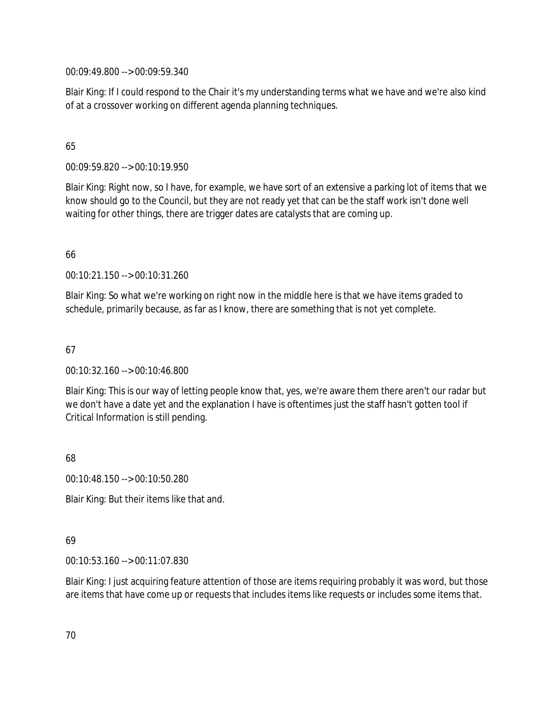00:09:49.800 --> 00:09:59.340

Blair King: If I could respond to the Chair it's my understanding terms what we have and we're also kind of at a crossover working on different agenda planning techniques.

## 65

00:09:59.820 --> 00:10:19.950

Blair King: Right now, so I have, for example, we have sort of an extensive a parking lot of items that we know should go to the Council, but they are not ready yet that can be the staff work isn't done well waiting for other things, there are trigger dates are catalysts that are coming up.

## 66

00:10:21.150 --> 00:10:31.260

Blair King: So what we're working on right now in the middle here is that we have items graded to schedule, primarily because, as far as I know, there are something that is not yet complete.

## 67

00:10:32.160 --> 00:10:46.800

Blair King: This is our way of letting people know that, yes, we're aware them there aren't our radar but we don't have a date yet and the explanation I have is oftentimes just the staff hasn't gotten tool if Critical Information is still pending.

68

00:10:48.150 --> 00:10:50.280

Blair King: But their items like that and.

# 69

00:10:53.160 --> 00:11:07.830

Blair King: I just acquiring feature attention of those are items requiring probably it was word, but those are items that have come up or requests that includes items like requests or includes some items that.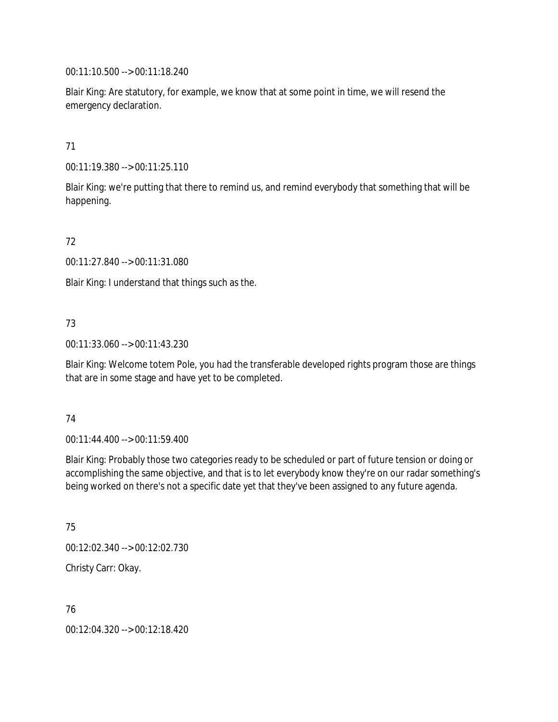00:11:10.500 --> 00:11:18.240

Blair King: Are statutory, for example, we know that at some point in time, we will resend the emergency declaration.

71

00:11:19.380 --> 00:11:25.110

Blair King: we're putting that there to remind us, and remind everybody that something that will be happening.

72

00:11:27.840 --> 00:11:31.080

Blair King: I understand that things such as the.

# 73

00:11:33.060 --> 00:11:43.230

Blair King: Welcome totem Pole, you had the transferable developed rights program those are things that are in some stage and have yet to be completed.

### 74

00:11:44.400 --> 00:11:59.400

Blair King: Probably those two categories ready to be scheduled or part of future tension or doing or accomplishing the same objective, and that is to let everybody know they're on our radar something's being worked on there's not a specific date yet that they've been assigned to any future agenda.

75

00:12:02.340 --> 00:12:02.730

Christy Carr: Okay.

76

00:12:04.320 --> 00:12:18.420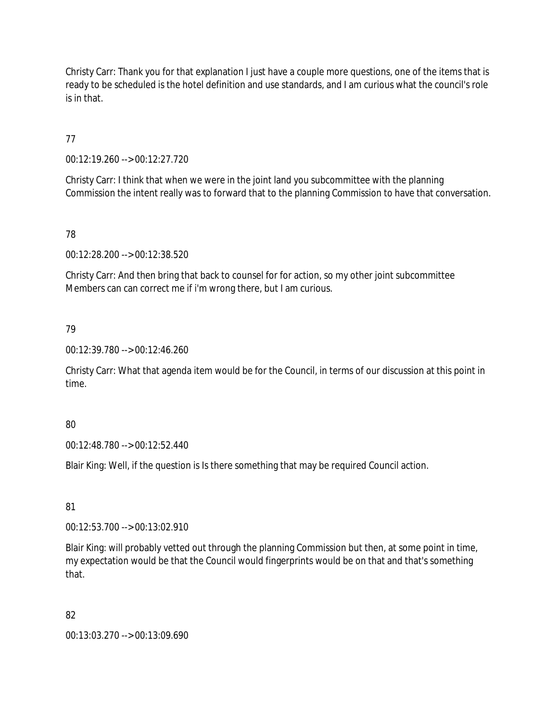Christy Carr: Thank you for that explanation I just have a couple more questions, one of the items that is ready to be scheduled is the hotel definition and use standards, and I am curious what the council's role is in that.

77

00:12:19.260 --> 00:12:27.720

Christy Carr: I think that when we were in the joint land you subcommittee with the planning Commission the intent really was to forward that to the planning Commission to have that conversation.

78

00:12:28.200 --> 00:12:38.520

Christy Carr: And then bring that back to counsel for for action, so my other joint subcommittee Members can can correct me if i'm wrong there, but I am curious.

79

00:12:39.780 --> 00:12:46.260

Christy Carr: What that agenda item would be for the Council, in terms of our discussion at this point in time.

80

00:12:48.780 --> 00:12:52.440

Blair King: Well, if the question is Is there something that may be required Council action.

81

00:12:53.700 --> 00:13:02.910

Blair King: will probably vetted out through the planning Commission but then, at some point in time, my expectation would be that the Council would fingerprints would be on that and that's something that.

82

00:13:03.270 --> 00:13:09.690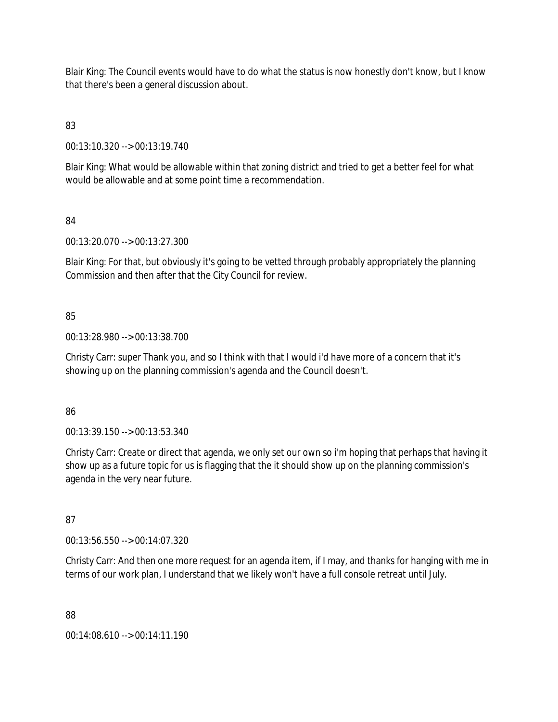Blair King: The Council events would have to do what the status is now honestly don't know, but I know that there's been a general discussion about.

83

00:13:10.320 --> 00:13:19.740

Blair King: What would be allowable within that zoning district and tried to get a better feel for what would be allowable and at some point time a recommendation.

84

00:13:20.070 --> 00:13:27.300

Blair King: For that, but obviously it's going to be vetted through probably appropriately the planning Commission and then after that the City Council for review.

## 85

00:13:28.980 --> 00:13:38.700

Christy Carr: super Thank you, and so I think with that I would i'd have more of a concern that it's showing up on the planning commission's agenda and the Council doesn't.

86

00:13:39.150 --> 00:13:53.340

Christy Carr: Create or direct that agenda, we only set our own so i'm hoping that perhaps that having it show up as a future topic for us is flagging that the it should show up on the planning commission's agenda in the very near future.

87

00:13:56.550 --> 00:14:07.320

Christy Carr: And then one more request for an agenda item, if I may, and thanks for hanging with me in terms of our work plan, I understand that we likely won't have a full console retreat until July.

88

00:14:08.610 --> 00:14:11.190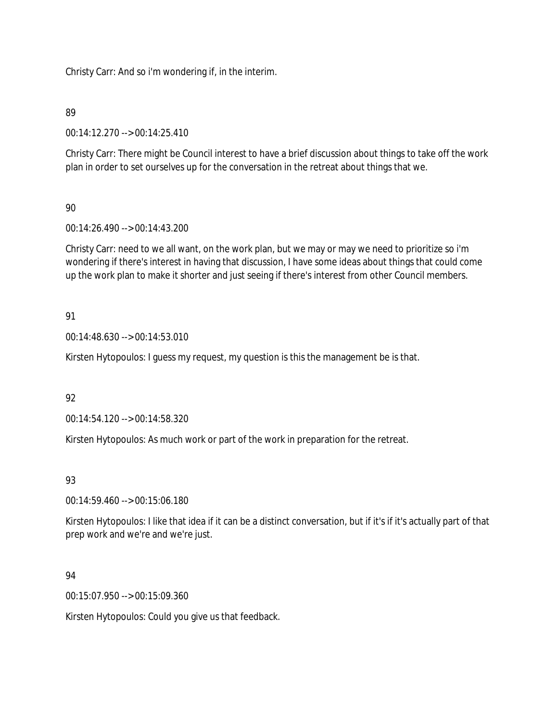Christy Carr: And so i'm wondering if, in the interim.

# 89

00:14:12.270 --> 00:14:25.410

Christy Carr: There might be Council interest to have a brief discussion about things to take off the work plan in order to set ourselves up for the conversation in the retreat about things that we.

# 90

00:14:26.490 --> 00:14:43.200

Christy Carr: need to we all want, on the work plan, but we may or may we need to prioritize so i'm wondering if there's interest in having that discussion, I have some ideas about things that could come up the work plan to make it shorter and just seeing if there's interest from other Council members.

# 91

00:14:48.630 --> 00:14:53.010

Kirsten Hytopoulos: I guess my request, my question is this the management be is that.

# 92

00:14:54.120 --> 00:14:58.320

Kirsten Hytopoulos: As much work or part of the work in preparation for the retreat.

# 93

00:14:59.460 --> 00:15:06.180

Kirsten Hytopoulos: I like that idea if it can be a distinct conversation, but if it's if it's actually part of that prep work and we're and we're just.

# 94

00:15:07.950 --> 00:15:09.360

Kirsten Hytopoulos: Could you give us that feedback.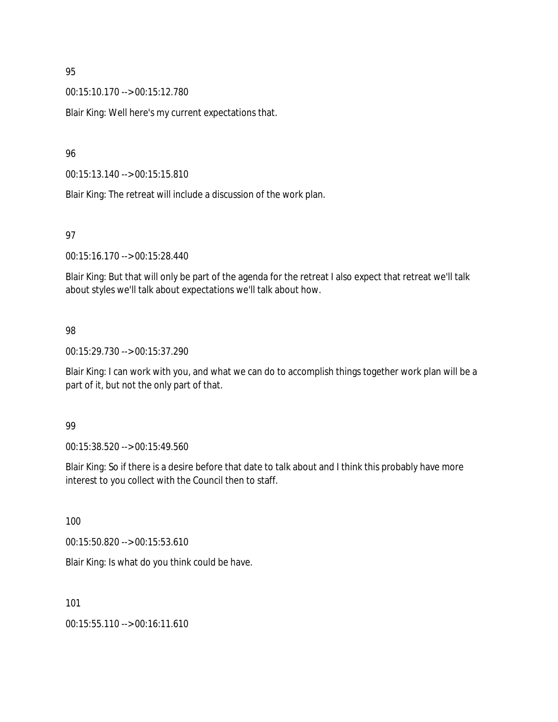00:15:10.170 --> 00:15:12.780

Blair King: Well here's my current expectations that.

## 96

00:15:13.140 --> 00:15:15.810

Blair King: The retreat will include a discussion of the work plan.

#### 97

00:15:16.170 --> 00:15:28.440

Blair King: But that will only be part of the agenda for the retreat I also expect that retreat we'll talk about styles we'll talk about expectations we'll talk about how.

## 98

00:15:29.730 --> 00:15:37.290

Blair King: I can work with you, and what we can do to accomplish things together work plan will be a part of it, but not the only part of that.

### 99

00:15:38.520 --> 00:15:49.560

Blair King: So if there is a desire before that date to talk about and I think this probably have more interest to you collect with the Council then to staff.

100

00:15:50.820 --> 00:15:53.610

Blair King: Is what do you think could be have.

101

00:15:55.110 --> 00:16:11.610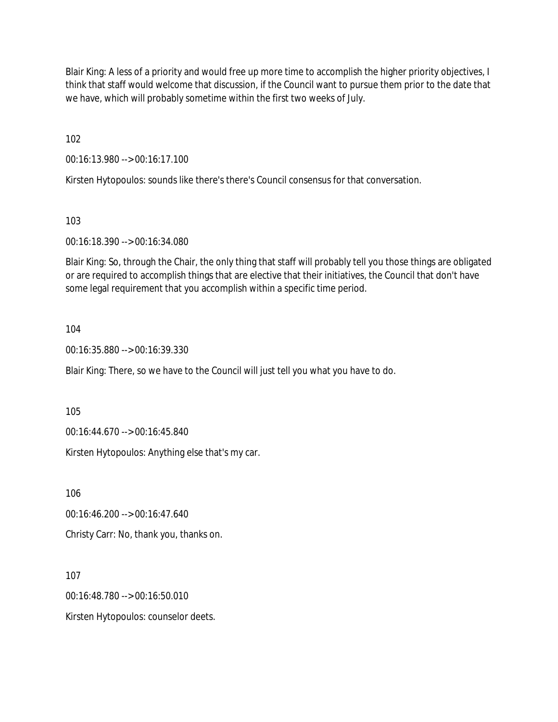Blair King: A less of a priority and would free up more time to accomplish the higher priority objectives, I think that staff would welcome that discussion, if the Council want to pursue them prior to the date that we have, which will probably sometime within the first two weeks of July.

102

00:16:13.980 --> 00:16:17.100

Kirsten Hytopoulos: sounds like there's there's Council consensus for that conversation.

103

00:16:18.390 --> 00:16:34.080

Blair King: So, through the Chair, the only thing that staff will probably tell you those things are obligated or are required to accomplish things that are elective that their initiatives, the Council that don't have some legal requirement that you accomplish within a specific time period.

104

00:16:35.880 --> 00:16:39.330

Blair King: There, so we have to the Council will just tell you what you have to do.

105

00:16:44.670 --> 00:16:45.840

Kirsten Hytopoulos: Anything else that's my car.

106

00:16:46.200 --> 00:16:47.640

Christy Carr: No, thank you, thanks on.

107

00:16:48.780 --> 00:16:50.010

Kirsten Hytopoulos: counselor deets.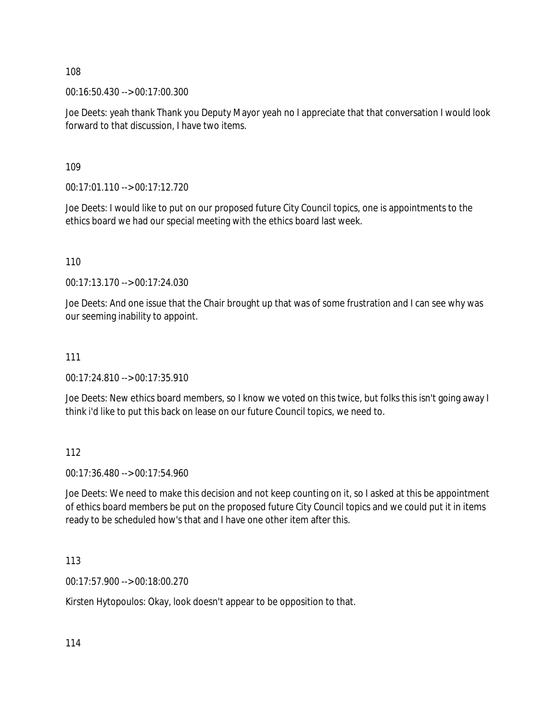00:16:50.430 --> 00:17:00.300

Joe Deets: yeah thank Thank you Deputy Mayor yeah no I appreciate that that conversation I would look forward to that discussion, I have two items.

109

00:17:01.110 --> 00:17:12.720

Joe Deets: I would like to put on our proposed future City Council topics, one is appointments to the ethics board we had our special meeting with the ethics board last week.

110

00:17:13.170 --> 00:17:24.030

Joe Deets: And one issue that the Chair brought up that was of some frustration and I can see why was our seeming inability to appoint.

#### 111

00:17:24.810 --> 00:17:35.910

Joe Deets: New ethics board members, so I know we voted on this twice, but folks this isn't going away I think i'd like to put this back on lease on our future Council topics, we need to.

112

00:17:36.480 --> 00:17:54.960

Joe Deets: We need to make this decision and not keep counting on it, so I asked at this be appointment of ethics board members be put on the proposed future City Council topics and we could put it in items ready to be scheduled how's that and I have one other item after this.

113

00:17:57.900 --> 00:18:00.270

Kirsten Hytopoulos: Okay, look doesn't appear to be opposition to that.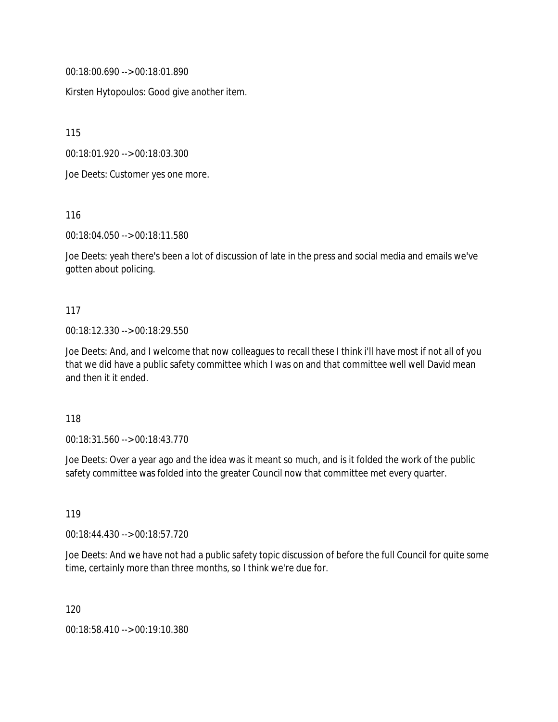00:18:00.690 --> 00:18:01.890

Kirsten Hytopoulos: Good give another item.

115

00:18:01.920 --> 00:18:03.300

Joe Deets: Customer yes one more.

116

00:18:04.050 --> 00:18:11.580

Joe Deets: yeah there's been a lot of discussion of late in the press and social media and emails we've gotten about policing.

#### 117

#### 00:18:12.330 --> 00:18:29.550

Joe Deets: And, and I welcome that now colleagues to recall these I think i'll have most if not all of you that we did have a public safety committee which I was on and that committee well well David mean and then it it ended.

#### 118

00:18:31.560 --> 00:18:43.770

Joe Deets: Over a year ago and the idea was it meant so much, and is it folded the work of the public safety committee was folded into the greater Council now that committee met every quarter.

119

00:18:44.430 --> 00:18:57.720

Joe Deets: And we have not had a public safety topic discussion of before the full Council for quite some time, certainly more than three months, so I think we're due for.

120

00:18:58.410 --> 00:19:10.380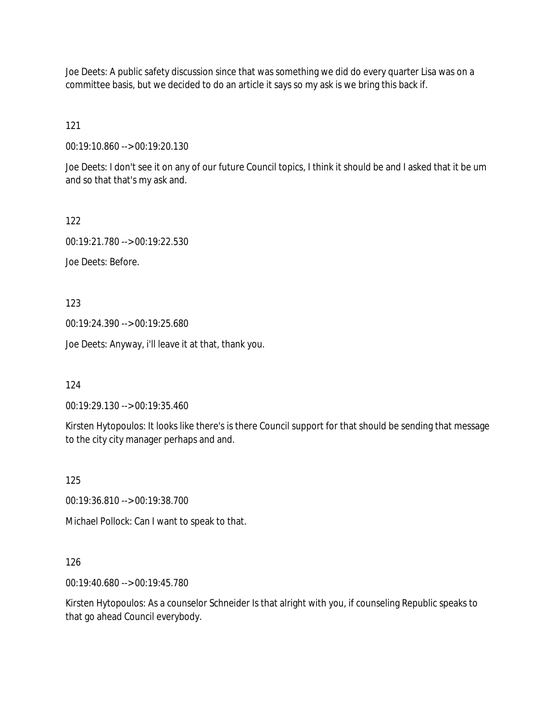Joe Deets: A public safety discussion since that was something we did do every quarter Lisa was on a committee basis, but we decided to do an article it says so my ask is we bring this back if.

121

00:19:10.860 --> 00:19:20.130

Joe Deets: I don't see it on any of our future Council topics, I think it should be and I asked that it be um and so that that's my ask and.

122

00:19:21.780 --> 00:19:22.530 Joe Deets: Before.

123

00:19:24.390 --> 00:19:25.680

Joe Deets: Anyway, i'll leave it at that, thank you.

124

00:19:29.130 --> 00:19:35.460

Kirsten Hytopoulos: It looks like there's is there Council support for that should be sending that message to the city city manager perhaps and and.

125

00:19:36.810 --> 00:19:38.700

Michael Pollock: Can I want to speak to that.

### 126

00:19:40.680 --> 00:19:45.780

Kirsten Hytopoulos: As a counselor Schneider Is that alright with you, if counseling Republic speaks to that go ahead Council everybody.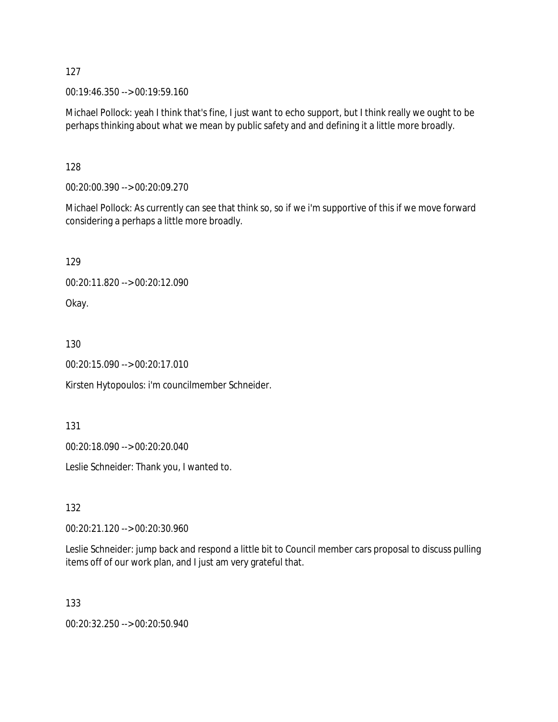00:19:46.350 --> 00:19:59.160

Michael Pollock: yeah I think that's fine, I just want to echo support, but I think really we ought to be perhaps thinking about what we mean by public safety and and defining it a little more broadly.

128

00:20:00.390 --> 00:20:09.270

Michael Pollock: As currently can see that think so, so if we i'm supportive of this if we move forward considering a perhaps a little more broadly.

129

00:20:11.820 --> 00:20:12.090

Okay.

130

00:20:15.090 --> 00:20:17.010

Kirsten Hytopoulos: i'm councilmember Schneider.

131

00:20:18.090 --> 00:20:20.040

Leslie Schneider: Thank you, I wanted to.

132

00:20:21.120 --> 00:20:30.960

Leslie Schneider: jump back and respond a little bit to Council member cars proposal to discuss pulling items off of our work plan, and I just am very grateful that.

133

00:20:32.250 --> 00:20:50.940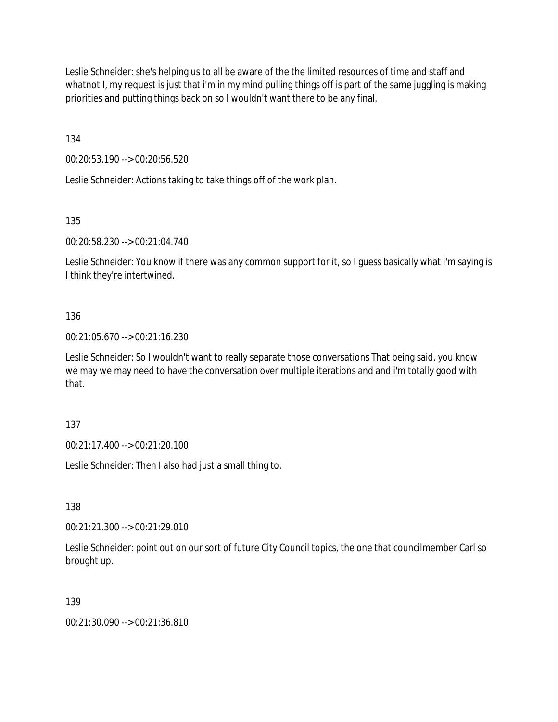Leslie Schneider: she's helping us to all be aware of the the limited resources of time and staff and whatnot I, my request is just that i'm in my mind pulling things off is part of the same juggling is making priorities and putting things back on so I wouldn't want there to be any final.

134

00:20:53.190 --> 00:20:56.520

Leslie Schneider: Actions taking to take things off of the work plan.

135

00:20:58.230 --> 00:21:04.740

Leslie Schneider: You know if there was any common support for it, so I guess basically what i'm saying is I think they're intertwined.

## 136

00:21:05.670 --> 00:21:16.230

Leslie Schneider: So I wouldn't want to really separate those conversations That being said, you know we may we may need to have the conversation over multiple iterations and and i'm totally good with that.

### 137

00:21:17.400 --> 00:21:20.100

Leslie Schneider: Then I also had just a small thing to.

138

00:21:21.300 --> 00:21:29.010

Leslie Schneider: point out on our sort of future City Council topics, the one that councilmember Carl so brought up.

### 139

00:21:30.090 --> 00:21:36.810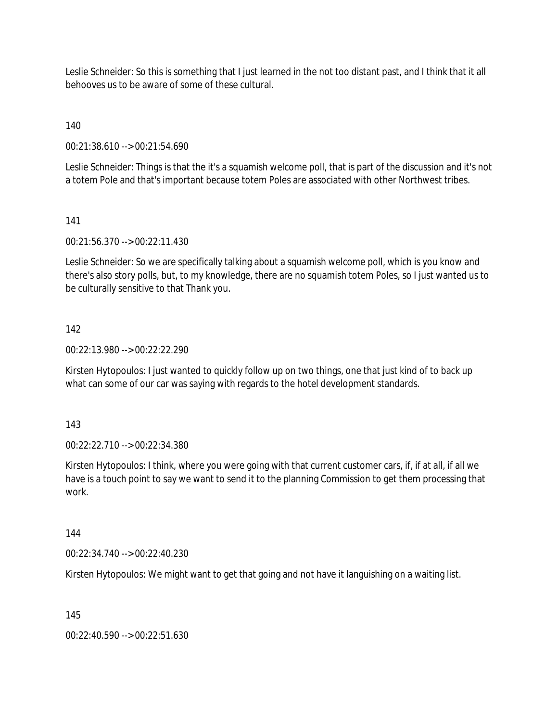Leslie Schneider: So this is something that I just learned in the not too distant past, and I think that it all behooves us to be aware of some of these cultural.

140

00:21:38.610 --> 00:21:54.690

Leslie Schneider: Things is that the it's a squamish welcome poll, that is part of the discussion and it's not a totem Pole and that's important because totem Poles are associated with other Northwest tribes.

141

00:21:56.370 --> 00:22:11.430

Leslie Schneider: So we are specifically talking about a squamish welcome poll, which is you know and there's also story polls, but, to my knowledge, there are no squamish totem Poles, so I just wanted us to be culturally sensitive to that Thank you.

## 142

00:22:13.980 --> 00:22:22.290

Kirsten Hytopoulos: I just wanted to quickly follow up on two things, one that just kind of to back up what can some of our car was saying with regards to the hotel development standards.

143

00:22:22.710 --> 00:22:34.380

Kirsten Hytopoulos: I think, where you were going with that current customer cars, if, if at all, if all we have is a touch point to say we want to send it to the planning Commission to get them processing that work.

144

00:22:34.740 --> 00:22:40.230

Kirsten Hytopoulos: We might want to get that going and not have it languishing on a waiting list.

145

00:22:40.590 --> 00:22:51.630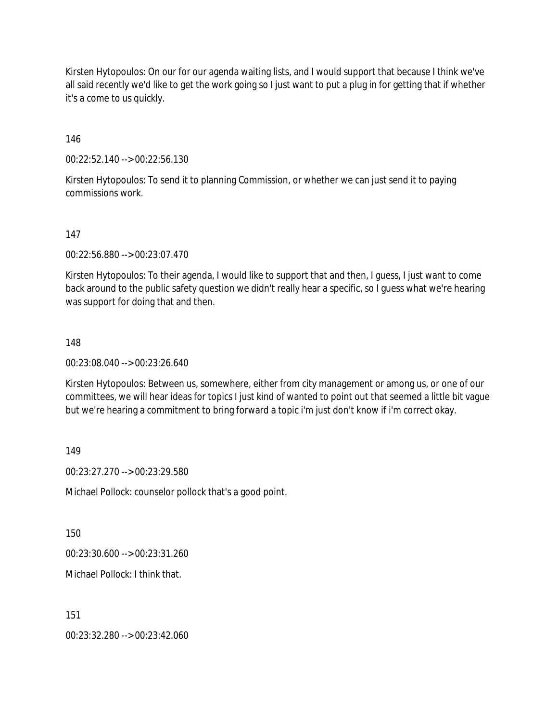Kirsten Hytopoulos: On our for our agenda waiting lists, and I would support that because I think we've all said recently we'd like to get the work going so I just want to put a plug in for getting that if whether it's a come to us quickly.

146

00:22:52.140 --> 00:22:56.130

Kirsten Hytopoulos: To send it to planning Commission, or whether we can just send it to paying commissions work.

#### 147

00:22:56.880 --> 00:23:07.470

Kirsten Hytopoulos: To their agenda, I would like to support that and then, I guess, I just want to come back around to the public safety question we didn't really hear a specific, so I guess what we're hearing was support for doing that and then.

#### 148

00:23:08.040 --> 00:23:26.640

Kirsten Hytopoulos: Between us, somewhere, either from city management or among us, or one of our committees, we will hear ideas for topics I just kind of wanted to point out that seemed a little bit vague but we're hearing a commitment to bring forward a topic i'm just don't know if i'm correct okay.

149

00:23:27.270 --> 00:23:29.580

Michael Pollock: counselor pollock that's a good point.

150

00:23:30.600 --> 00:23:31.260

Michael Pollock: I think that.

151

00:23:32.280 --> 00:23:42.060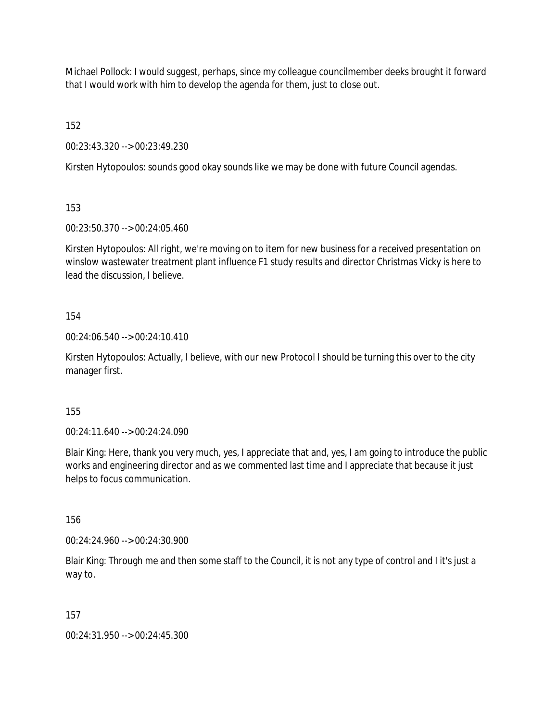Michael Pollock: I would suggest, perhaps, since my colleague councilmember deeks brought it forward that I would work with him to develop the agenda for them, just to close out.

152

00:23:43.320 --> 00:23:49.230

Kirsten Hytopoulos: sounds good okay sounds like we may be done with future Council agendas.

153

00:23:50.370 --> 00:24:05.460

Kirsten Hytopoulos: All right, we're moving on to item for new business for a received presentation on winslow wastewater treatment plant influence F1 study results and director Christmas Vicky is here to lead the discussion, I believe.

154

00:24:06.540 --> 00:24:10.410

Kirsten Hytopoulos: Actually, I believe, with our new Protocol I should be turning this over to the city manager first.

155

00:24:11.640 --> 00:24:24.090

Blair King: Here, thank you very much, yes, I appreciate that and, yes, I am going to introduce the public works and engineering director and as we commented last time and I appreciate that because it just helps to focus communication.

156

00:24:24.960 --> 00:24:30.900

Blair King: Through me and then some staff to the Council, it is not any type of control and I it's just a way to.

157

00:24:31.950 --> 00:24:45.300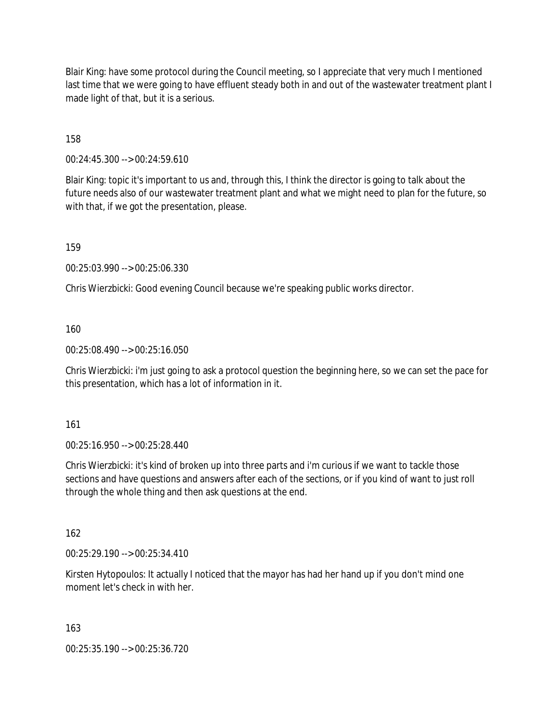Blair King: have some protocol during the Council meeting, so I appreciate that very much I mentioned last time that we were going to have effluent steady both in and out of the wastewater treatment plant I made light of that, but it is a serious.

158

00:24:45.300 --> 00:24:59.610

Blair King: topic it's important to us and, through this, I think the director is going to talk about the future needs also of our wastewater treatment plant and what we might need to plan for the future, so with that, if we got the presentation, please.

159

00:25:03.990 --> 00:25:06.330

Chris Wierzbicki: Good evening Council because we're speaking public works director.

160

00:25:08.490 --> 00:25:16.050

Chris Wierzbicki: i'm just going to ask a protocol question the beginning here, so we can set the pace for this presentation, which has a lot of information in it.

161

00:25:16.950 --> 00:25:28.440

Chris Wierzbicki: it's kind of broken up into three parts and i'm curious if we want to tackle those sections and have questions and answers after each of the sections, or if you kind of want to just roll through the whole thing and then ask questions at the end.

162

00:25:29.190 --> 00:25:34.410

Kirsten Hytopoulos: It actually I noticed that the mayor has had her hand up if you don't mind one moment let's check in with her.

163

00:25:35.190 --> 00:25:36.720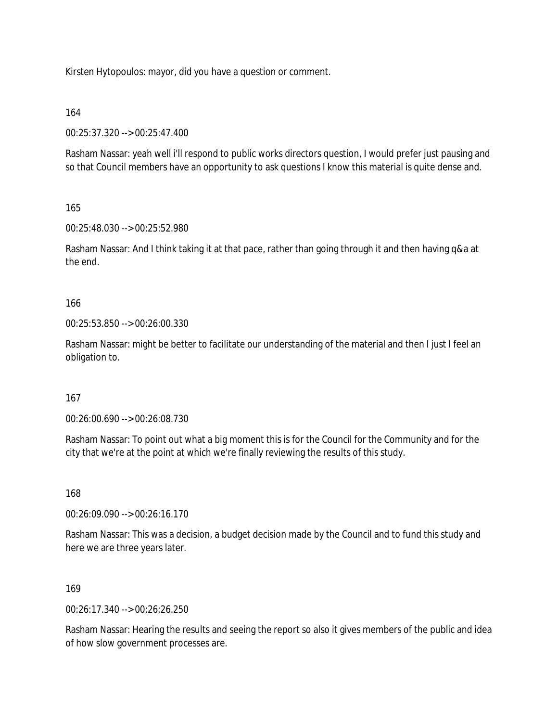Kirsten Hytopoulos: mayor, did you have a question or comment.

164

00:25:37.320 --> 00:25:47.400

Rasham Nassar: yeah well i'll respond to public works directors question, I would prefer just pausing and so that Council members have an opportunity to ask questions I know this material is quite dense and.

165

00:25:48.030 --> 00:25:52.980

Rasham Nassar: And I think taking it at that pace, rather than going through it and then having q&a at the end.

166

00:25:53.850 --> 00:26:00.330

Rasham Nassar: might be better to facilitate our understanding of the material and then I just I feel an obligation to.

167

00:26:00.690 --> 00:26:08.730

Rasham Nassar: To point out what a big moment this is for the Council for the Community and for the city that we're at the point at which we're finally reviewing the results of this study.

168

00:26:09.090 --> 00:26:16.170

Rasham Nassar: This was a decision, a budget decision made by the Council and to fund this study and here we are three years later.

169

00:26:17.340 --> 00:26:26.250

Rasham Nassar: Hearing the results and seeing the report so also it gives members of the public and idea of how slow government processes are.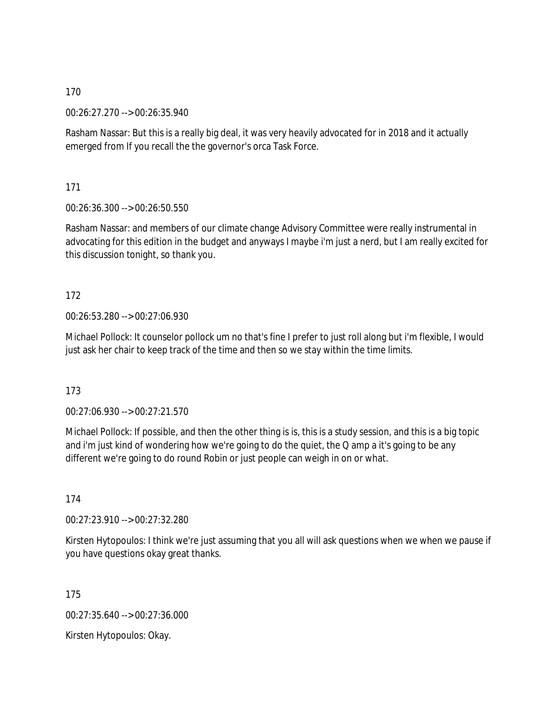00:26:27.270 --> 00:26:35.940

Rasham Nassar: But this is a really big deal, it was very heavily advocated for in 2018 and it actually emerged from If you recall the the governor's orca Task Force.

171

00:26:36.300 --> 00:26:50.550

Rasham Nassar: and members of our climate change Advisory Committee were really instrumental in advocating for this edition in the budget and anyways I maybe i'm just a nerd, but I am really excited for this discussion tonight, so thank you.

# 172

00:26:53.280 --> 00:27:06.930

Michael Pollock: It counselor pollock um no that's fine I prefer to just roll along but i'm flexible, I would just ask her chair to keep track of the time and then so we stay within the time limits.

173

00:27:06.930 --> 00:27:21.570

Michael Pollock: If possible, and then the other thing is is, this is a study session, and this is a big topic and i'm just kind of wondering how we're going to do the quiet, the Q amp a it's going to be any different we're going to do round Robin or just people can weigh in on or what.

174

00:27:23.910 --> 00:27:32.280

Kirsten Hytopoulos: I think we're just assuming that you all will ask questions when we when we pause if you have questions okay great thanks.

175

00:27:35.640 --> 00:27:36.000

Kirsten Hytopoulos: Okay.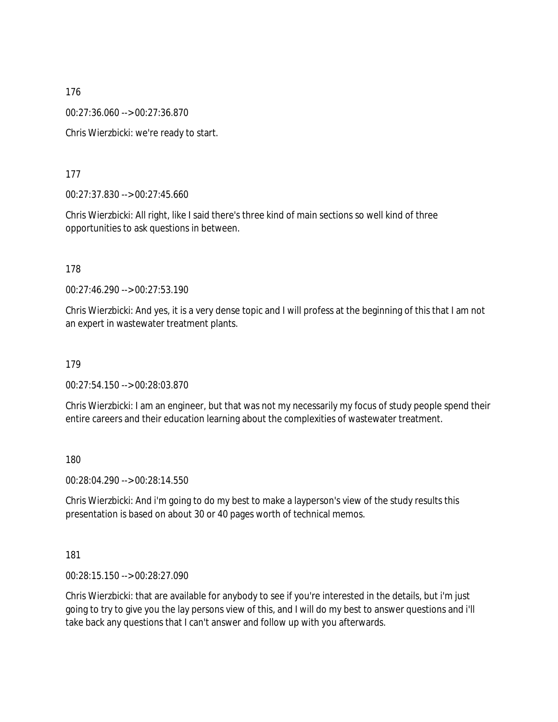00:27:36.060 --> 00:27:36.870

Chris Wierzbicki: we're ready to start.

177

00:27:37.830 --> 00:27:45.660

Chris Wierzbicki: All right, like I said there's three kind of main sections so well kind of three opportunities to ask questions in between.

178

00:27:46.290 --> 00:27:53.190

Chris Wierzbicki: And yes, it is a very dense topic and I will profess at the beginning of this that I am not an expert in wastewater treatment plants.

179

00:27:54.150 --> 00:28:03.870

Chris Wierzbicki: I am an engineer, but that was not my necessarily my focus of study people spend their entire careers and their education learning about the complexities of wastewater treatment.

180

00:28:04.290 --> 00:28:14.550

Chris Wierzbicki: And i'm going to do my best to make a layperson's view of the study results this presentation is based on about 30 or 40 pages worth of technical memos.

181

00:28:15.150 --> 00:28:27.090

Chris Wierzbicki: that are available for anybody to see if you're interested in the details, but i'm just going to try to give you the lay persons view of this, and I will do my best to answer questions and i'll take back any questions that I can't answer and follow up with you afterwards.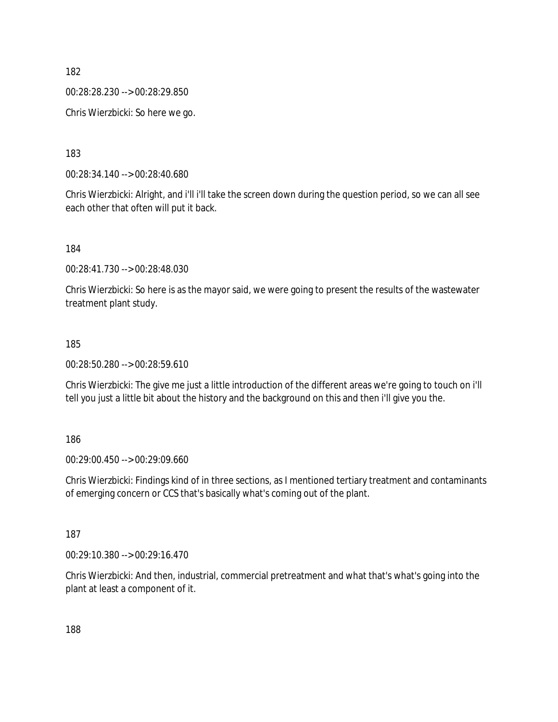00:28:28.230 --> 00:28:29.850

Chris Wierzbicki: So here we go.

183

00:28:34.140 --> 00:28:40.680

Chris Wierzbicki: Alright, and i'll i'll take the screen down during the question period, so we can all see each other that often will put it back.

184

00:28:41.730 --> 00:28:48.030

Chris Wierzbicki: So here is as the mayor said, we were going to present the results of the wastewater treatment plant study.

#### 185

00:28:50.280 --> 00:28:59.610

Chris Wierzbicki: The give me just a little introduction of the different areas we're going to touch on i'll tell you just a little bit about the history and the background on this and then i'll give you the.

186

00:29:00.450 --> 00:29:09.660

Chris Wierzbicki: Findings kind of in three sections, as I mentioned tertiary treatment and contaminants of emerging concern or CCS that's basically what's coming out of the plant.

187

00:29:10.380 --> 00:29:16.470

Chris Wierzbicki: And then, industrial, commercial pretreatment and what that's what's going into the plant at least a component of it.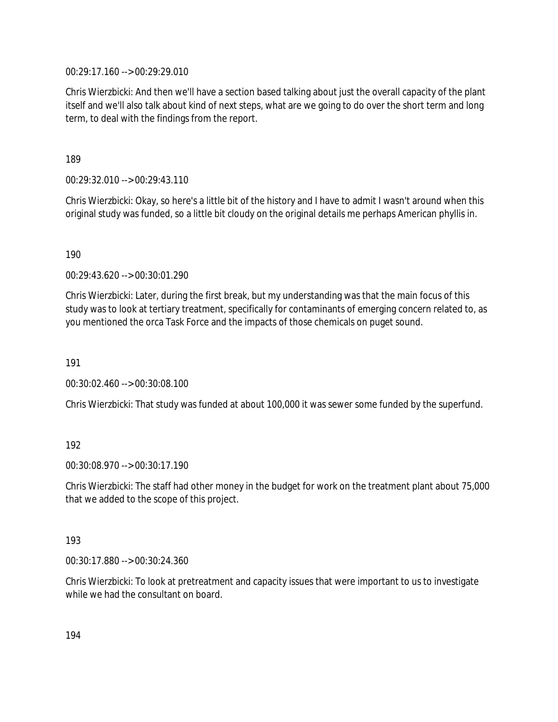00:29:17.160 --> 00:29:29.010

Chris Wierzbicki: And then we'll have a section based talking about just the overall capacity of the plant itself and we'll also talk about kind of next steps, what are we going to do over the short term and long term, to deal with the findings from the report.

189

00:29:32.010 --> 00:29:43.110

Chris Wierzbicki: Okay, so here's a little bit of the history and I have to admit I wasn't around when this original study was funded, so a little bit cloudy on the original details me perhaps American phyllis in.

190

00:29:43.620 --> 00:30:01.290

Chris Wierzbicki: Later, during the first break, but my understanding was that the main focus of this study was to look at tertiary treatment, specifically for contaminants of emerging concern related to, as you mentioned the orca Task Force and the impacts of those chemicals on puget sound.

191

00:30:02.460 --> 00:30:08.100

Chris Wierzbicki: That study was funded at about 100,000 it was sewer some funded by the superfund.

### 192

00:30:08.970 --> 00:30:17.190

Chris Wierzbicki: The staff had other money in the budget for work on the treatment plant about 75,000 that we added to the scope of this project.

#### 193

00:30:17.880 --> 00:30:24.360

Chris Wierzbicki: To look at pretreatment and capacity issues that were important to us to investigate while we had the consultant on board.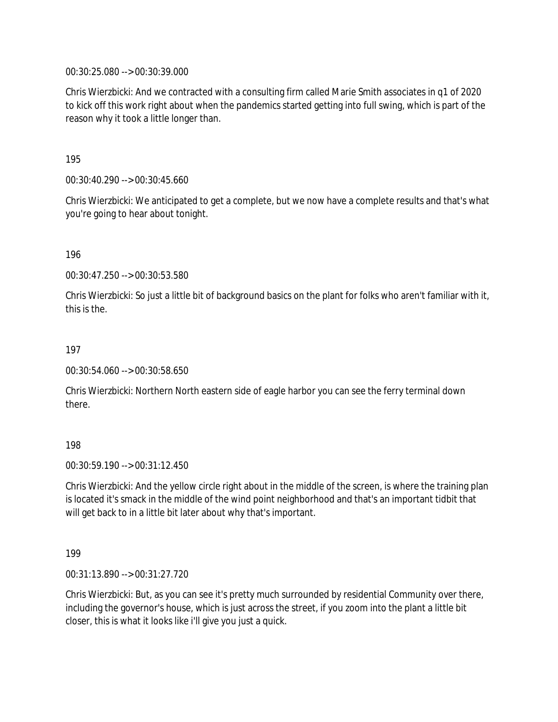00:30:25.080 --> 00:30:39.000

Chris Wierzbicki: And we contracted with a consulting firm called Marie Smith associates in q1 of 2020 to kick off this work right about when the pandemics started getting into full swing, which is part of the reason why it took a little longer than.

195

00:30:40.290 --> 00:30:45.660

Chris Wierzbicki: We anticipated to get a complete, but we now have a complete results and that's what you're going to hear about tonight.

196

00:30:47.250 --> 00:30:53.580

Chris Wierzbicki: So just a little bit of background basics on the plant for folks who aren't familiar with it, this is the.

197

00:30:54.060 --> 00:30:58.650

Chris Wierzbicki: Northern North eastern side of eagle harbor you can see the ferry terminal down there.

198

00:30:59.190 --> 00:31:12.450

Chris Wierzbicki: And the yellow circle right about in the middle of the screen, is where the training plan is located it's smack in the middle of the wind point neighborhood and that's an important tidbit that will get back to in a little bit later about why that's important.

199

00:31:13.890 --> 00:31:27.720

Chris Wierzbicki: But, as you can see it's pretty much surrounded by residential Community over there, including the governor's house, which is just across the street, if you zoom into the plant a little bit closer, this is what it looks like i'll give you just a quick.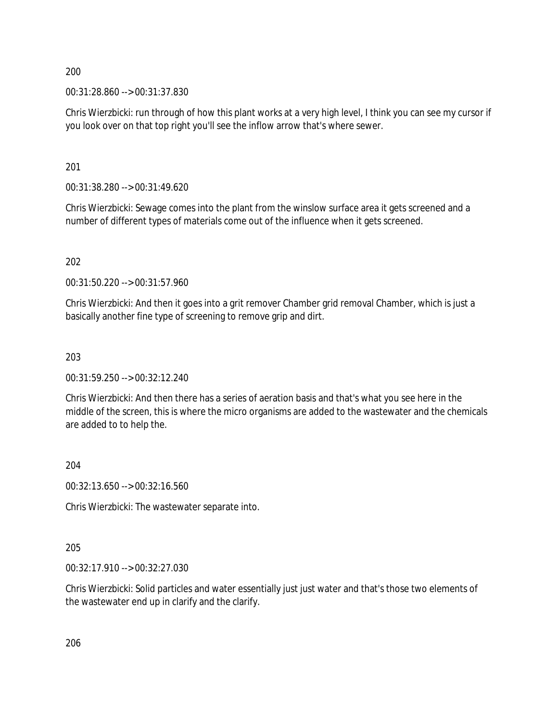00:31:28.860 --> 00:31:37.830

Chris Wierzbicki: run through of how this plant works at a very high level, I think you can see my cursor if you look over on that top right you'll see the inflow arrow that's where sewer.

201

00:31:38.280 --> 00:31:49.620

Chris Wierzbicki: Sewage comes into the plant from the winslow surface area it gets screened and a number of different types of materials come out of the influence when it gets screened.

202

00:31:50.220 --> 00:31:57.960

Chris Wierzbicki: And then it goes into a grit remover Chamber grid removal Chamber, which is just a basically another fine type of screening to remove grip and dirt.

203

00:31:59.250 --> 00:32:12.240

Chris Wierzbicki: And then there has a series of aeration basis and that's what you see here in the middle of the screen, this is where the micro organisms are added to the wastewater and the chemicals are added to to help the.

204

00:32:13.650 --> 00:32:16.560

Chris Wierzbicki: The wastewater separate into.

205

00:32:17.910 --> 00:32:27.030

Chris Wierzbicki: Solid particles and water essentially just just water and that's those two elements of the wastewater end up in clarify and the clarify.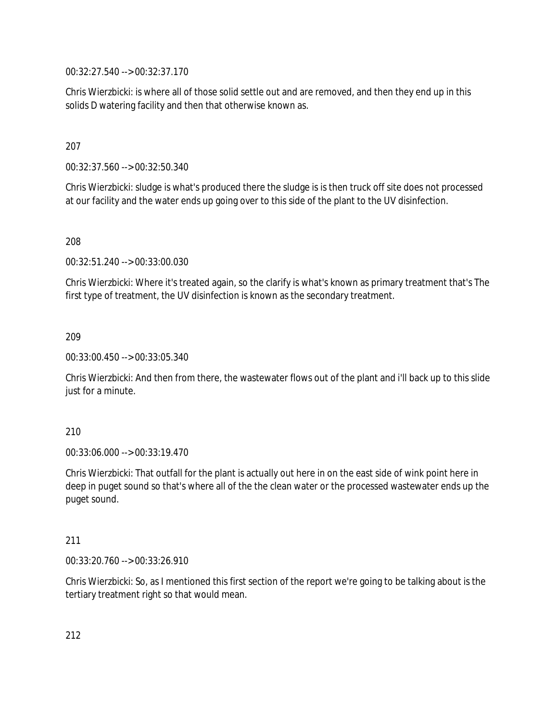00:32:27.540 --> 00:32:37.170

Chris Wierzbicki: is where all of those solid settle out and are removed, and then they end up in this solids D watering facility and then that otherwise known as.

## 207

00:32:37.560 --> 00:32:50.340

Chris Wierzbicki: sludge is what's produced there the sludge is is then truck off site does not processed at our facility and the water ends up going over to this side of the plant to the UV disinfection.

208

00:32:51.240 --> 00:33:00.030

Chris Wierzbicki: Where it's treated again, so the clarify is what's known as primary treatment that's The first type of treatment, the UV disinfection is known as the secondary treatment.

### 209

00:33:00.450 --> 00:33:05.340

Chris Wierzbicki: And then from there, the wastewater flows out of the plant and i'll back up to this slide just for a minute.

### 210

00:33:06.000 --> 00:33:19.470

Chris Wierzbicki: That outfall for the plant is actually out here in on the east side of wink point here in deep in puget sound so that's where all of the the clean water or the processed wastewater ends up the puget sound.

### 211

00:33:20.760 --> 00:33:26.910

Chris Wierzbicki: So, as I mentioned this first section of the report we're going to be talking about is the tertiary treatment right so that would mean.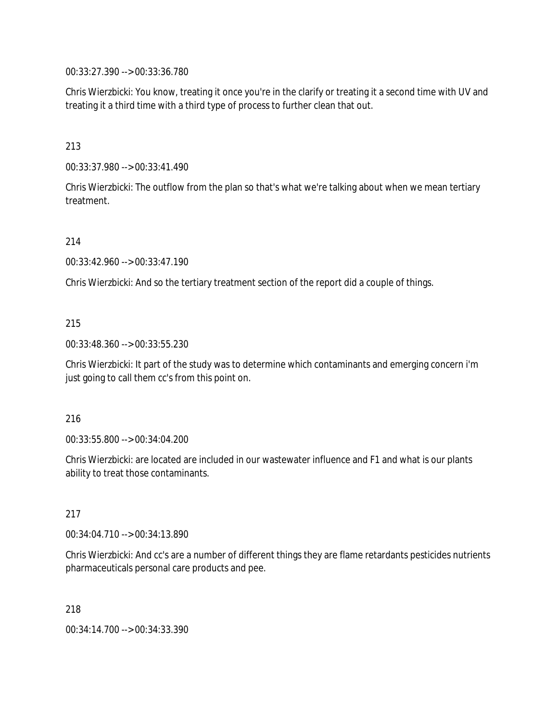00:33:27.390 --> 00:33:36.780

Chris Wierzbicki: You know, treating it once you're in the clarify or treating it a second time with UV and treating it a third time with a third type of process to further clean that out.

## 213

00:33:37.980 --> 00:33:41.490

Chris Wierzbicki: The outflow from the plan so that's what we're talking about when we mean tertiary treatment.

### 214

00:33:42.960 --> 00:33:47.190

Chris Wierzbicki: And so the tertiary treatment section of the report did a couple of things.

## 215

00:33:48.360 --> 00:33:55.230

Chris Wierzbicki: It part of the study was to determine which contaminants and emerging concern i'm just going to call them cc's from this point on.

### 216

00:33:55.800 --> 00:34:04.200

Chris Wierzbicki: are located are included in our wastewater influence and F1 and what is our plants ability to treat those contaminants.

### 217

00:34:04.710 --> 00:34:13.890

Chris Wierzbicki: And cc's are a number of different things they are flame retardants pesticides nutrients pharmaceuticals personal care products and pee.

218

00:34:14.700 --> 00:34:33.390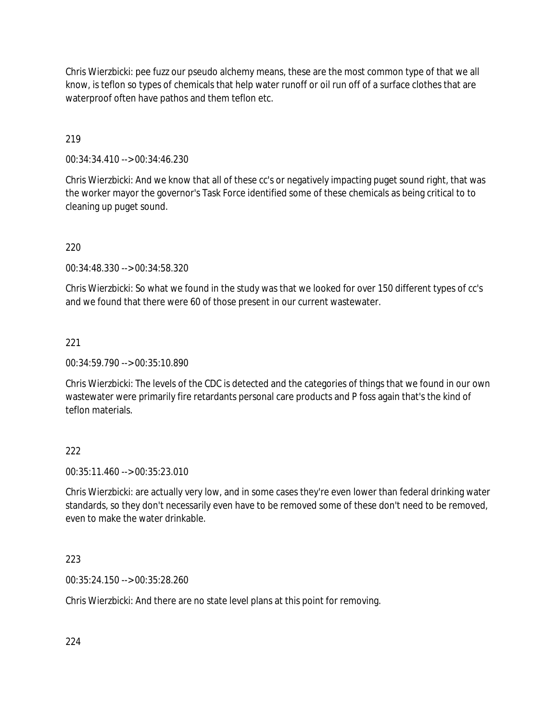Chris Wierzbicki: pee fuzz our pseudo alchemy means, these are the most common type of that we all know, is teflon so types of chemicals that help water runoff or oil run off of a surface clothes that are waterproof often have pathos and them teflon etc.

219

00:34:34.410 --> 00:34:46.230

Chris Wierzbicki: And we know that all of these cc's or negatively impacting puget sound right, that was the worker mayor the governor's Task Force identified some of these chemicals as being critical to to cleaning up puget sound.

220

00:34:48.330 --> 00:34:58.320

Chris Wierzbicki: So what we found in the study was that we looked for over 150 different types of cc's and we found that there were 60 of those present in our current wastewater.

221

00:34:59.790 --> 00:35:10.890

Chris Wierzbicki: The levels of the CDC is detected and the categories of things that we found in our own wastewater were primarily fire retardants personal care products and P foss again that's the kind of teflon materials.

### 222

00:35:11.460 --> 00:35:23.010

Chris Wierzbicki: are actually very low, and in some cases they're even lower than federal drinking water standards, so they don't necessarily even have to be removed some of these don't need to be removed, even to make the water drinkable.

223

00:35:24.150 --> 00:35:28.260

Chris Wierzbicki: And there are no state level plans at this point for removing.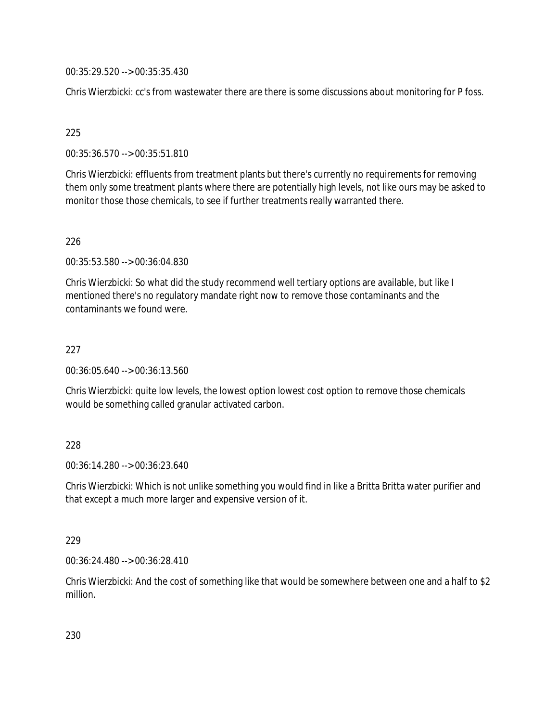00:35:29.520 --> 00:35:35.430

Chris Wierzbicki: cc's from wastewater there are there is some discussions about monitoring for P foss.

### 225

00:35:36.570 --> 00:35:51.810

Chris Wierzbicki: effluents from treatment plants but there's currently no requirements for removing them only some treatment plants where there are potentially high levels, not like ours may be asked to monitor those those chemicals, to see if further treatments really warranted there.

## 226

00:35:53.580 --> 00:36:04.830

Chris Wierzbicki: So what did the study recommend well tertiary options are available, but like I mentioned there's no regulatory mandate right now to remove those contaminants and the contaminants we found were.

#### 227

00:36:05.640 --> 00:36:13.560

Chris Wierzbicki: quite low levels, the lowest option lowest cost option to remove those chemicals would be something called granular activated carbon.

#### 228

00:36:14.280 --> 00:36:23.640

Chris Wierzbicki: Which is not unlike something you would find in like a Britta Britta water purifier and that except a much more larger and expensive version of it.

#### 229

00:36:24.480 --> 00:36:28.410

Chris Wierzbicki: And the cost of something like that would be somewhere between one and a half to \$2 million.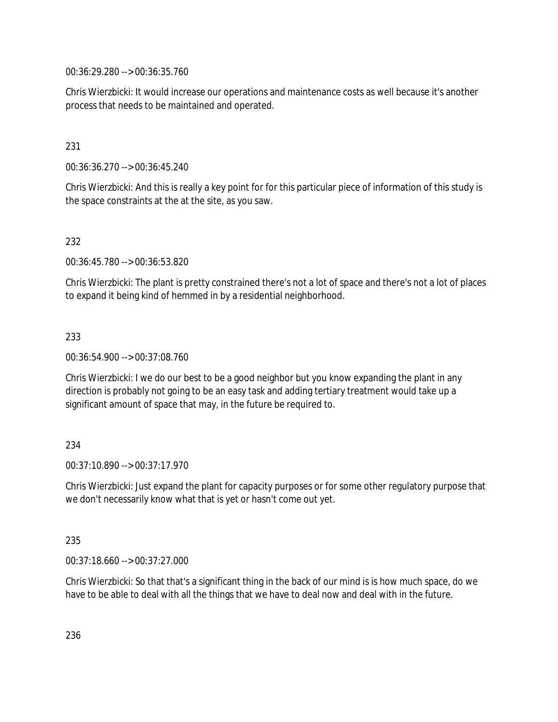00:36:29.280 --> 00:36:35.760

Chris Wierzbicki: It would increase our operations and maintenance costs as well because it's another process that needs to be maintained and operated.

## 231

00:36:36.270 --> 00:36:45.240

Chris Wierzbicki: And this is really a key point for for this particular piece of information of this study is the space constraints at the at the site, as you saw.

## 232

00:36:45.780 --> 00:36:53.820

Chris Wierzbicki: The plant is pretty constrained there's not a lot of space and there's not a lot of places to expand it being kind of hemmed in by a residential neighborhood.

## 233

00:36:54.900 --> 00:37:08.760

Chris Wierzbicki: I we do our best to be a good neighbor but you know expanding the plant in any direction is probably not going to be an easy task and adding tertiary treatment would take up a significant amount of space that may, in the future be required to.

## 234

00:37:10.890 --> 00:37:17.970

Chris Wierzbicki: Just expand the plant for capacity purposes or for some other regulatory purpose that we don't necessarily know what that is yet or hasn't come out yet.

## 235

00:37:18.660 --> 00:37:27.000

Chris Wierzbicki: So that that's a significant thing in the back of our mind is is how much space, do we have to be able to deal with all the things that we have to deal now and deal with in the future.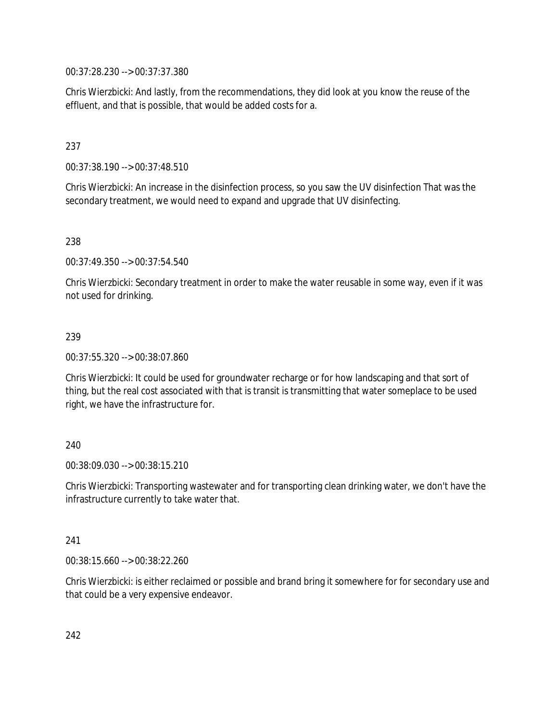00:37:28.230 --> 00:37:37.380

Chris Wierzbicki: And lastly, from the recommendations, they did look at you know the reuse of the effluent, and that is possible, that would be added costs for a.

## 237

00:37:38.190 --> 00:37:48.510

Chris Wierzbicki: An increase in the disinfection process, so you saw the UV disinfection That was the secondary treatment, we would need to expand and upgrade that UV disinfecting.

#### 238

00:37:49.350 --> 00:37:54.540

Chris Wierzbicki: Secondary treatment in order to make the water reusable in some way, even if it was not used for drinking.

#### 239

00:37:55.320 --> 00:38:07.860

Chris Wierzbicki: It could be used for groundwater recharge or for how landscaping and that sort of thing, but the real cost associated with that is transit is transmitting that water someplace to be used right, we have the infrastructure for.

#### 240

00:38:09.030 --> 00:38:15.210

Chris Wierzbicki: Transporting wastewater and for transporting clean drinking water, we don't have the infrastructure currently to take water that.

#### 241

00:38:15.660 --> 00:38:22.260

Chris Wierzbicki: is either reclaimed or possible and brand bring it somewhere for for secondary use and that could be a very expensive endeavor.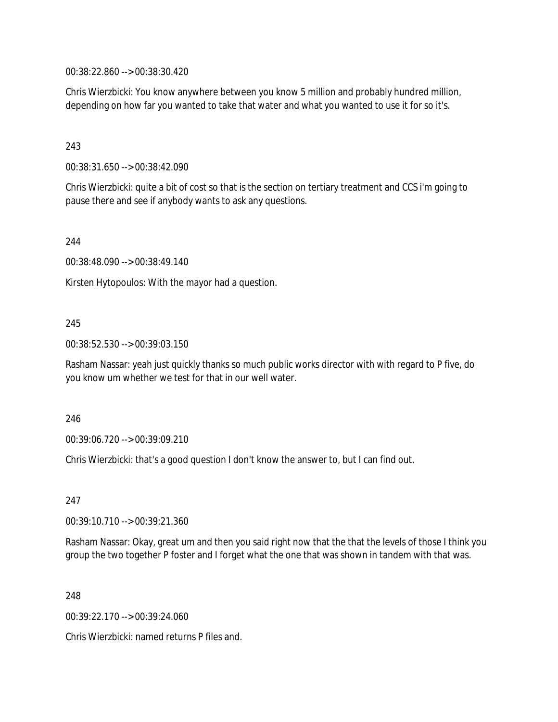00:38:22.860 --> 00:38:30.420

Chris Wierzbicki: You know anywhere between you know 5 million and probably hundred million, depending on how far you wanted to take that water and what you wanted to use it for so it's.

## 243

00:38:31.650 --> 00:38:42.090

Chris Wierzbicki: quite a bit of cost so that is the section on tertiary treatment and CCS i'm going to pause there and see if anybody wants to ask any questions.

244

00:38:48.090 --> 00:38:49.140

Kirsten Hytopoulos: With the mayor had a question.

## 245

00:38:52.530 --> 00:39:03.150

Rasham Nassar: yeah just quickly thanks so much public works director with with regard to P five, do you know um whether we test for that in our well water.

#### 246

00:39:06.720 --> 00:39:09.210

Chris Wierzbicki: that's a good question I don't know the answer to, but I can find out.

247

00:39:10.710 --> 00:39:21.360

Rasham Nassar: Okay, great um and then you said right now that the that the levels of those I think you group the two together P foster and I forget what the one that was shown in tandem with that was.

248

00:39:22.170 --> 00:39:24.060

Chris Wierzbicki: named returns P files and.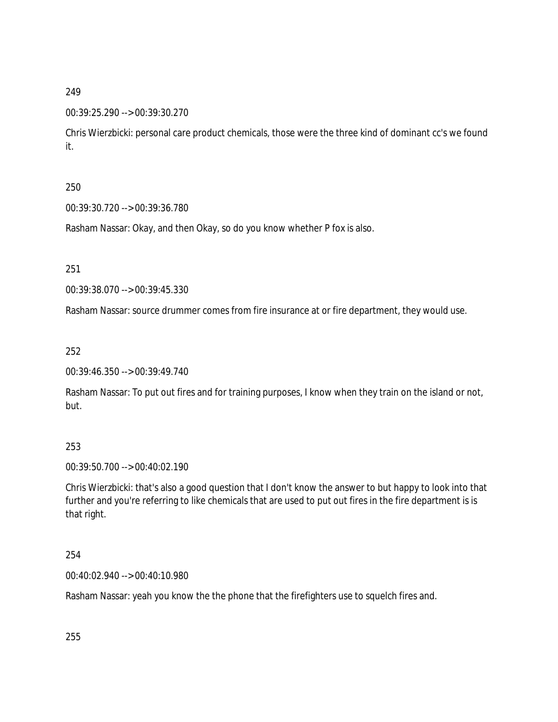#### 00:39:25.290 --> 00:39:30.270

Chris Wierzbicki: personal care product chemicals, those were the three kind of dominant cc's we found it.

## 250

00:39:30.720 --> 00:39:36.780

Rasham Nassar: Okay, and then Okay, so do you know whether P fox is also.

251

00:39:38.070 --> 00:39:45.330

Rasham Nassar: source drummer comes from fire insurance at or fire department, they would use.

252

00:39:46.350 --> 00:39:49.740

Rasham Nassar: To put out fires and for training purposes, I know when they train on the island or not, but.

#### 253

00:39:50.700 --> 00:40:02.190

Chris Wierzbicki: that's also a good question that I don't know the answer to but happy to look into that further and you're referring to like chemicals that are used to put out fires in the fire department is is that right.

#### 254

00:40:02.940 --> 00:40:10.980

Rasham Nassar: yeah you know the the phone that the firefighters use to squelch fires and.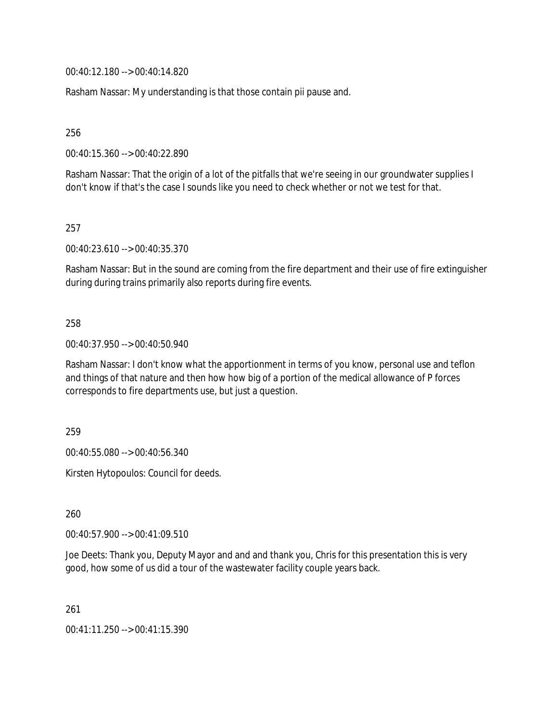00:40:12.180 --> 00:40:14.820

Rasham Nassar: My understanding is that those contain pii pause and.

256

00:40:15.360 --> 00:40:22.890

Rasham Nassar: That the origin of a lot of the pitfalls that we're seeing in our groundwater supplies I don't know if that's the case I sounds like you need to check whether or not we test for that.

257

00:40:23.610 --> 00:40:35.370

Rasham Nassar: But in the sound are coming from the fire department and their use of fire extinguisher during during trains primarily also reports during fire events.

#### 258

00:40:37.950 --> 00:40:50.940

Rasham Nassar: I don't know what the apportionment in terms of you know, personal use and teflon and things of that nature and then how how big of a portion of the medical allowance of P forces corresponds to fire departments use, but just a question.

259

00:40:55.080 --> 00:40:56.340

Kirsten Hytopoulos: Council for deeds.

260

00:40:57.900 --> 00:41:09.510

Joe Deets: Thank you, Deputy Mayor and and and thank you, Chris for this presentation this is very good, how some of us did a tour of the wastewater facility couple years back.

261

00:41:11.250 --> 00:41:15.390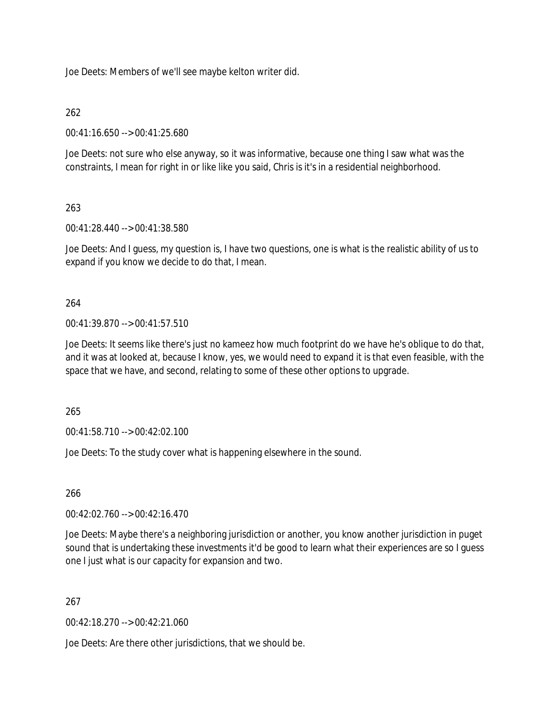Joe Deets: Members of we'll see maybe kelton writer did.

## 262

00:41:16.650 --> 00:41:25.680

Joe Deets: not sure who else anyway, so it was informative, because one thing I saw what was the constraints, I mean for right in or like like you said, Chris is it's in a residential neighborhood.

## 263

00:41:28.440 --> 00:41:38.580

Joe Deets: And I guess, my question is, I have two questions, one is what is the realistic ability of us to expand if you know we decide to do that, I mean.

#### 264

00:41:39.870 --> 00:41:57.510

Joe Deets: It seems like there's just no kameez how much footprint do we have he's oblique to do that, and it was at looked at, because I know, yes, we would need to expand it is that even feasible, with the space that we have, and second, relating to some of these other options to upgrade.

265

00:41:58.710 --> 00:42:02.100

Joe Deets: To the study cover what is happening elsewhere in the sound.

#### 266

00:42:02.760 --> 00:42:16.470

Joe Deets: Maybe there's a neighboring jurisdiction or another, you know another jurisdiction in puget sound that is undertaking these investments it'd be good to learn what their experiences are so I guess one I just what is our capacity for expansion and two.

#### 267

00:42:18.270 --> 00:42:21.060

Joe Deets: Are there other jurisdictions, that we should be.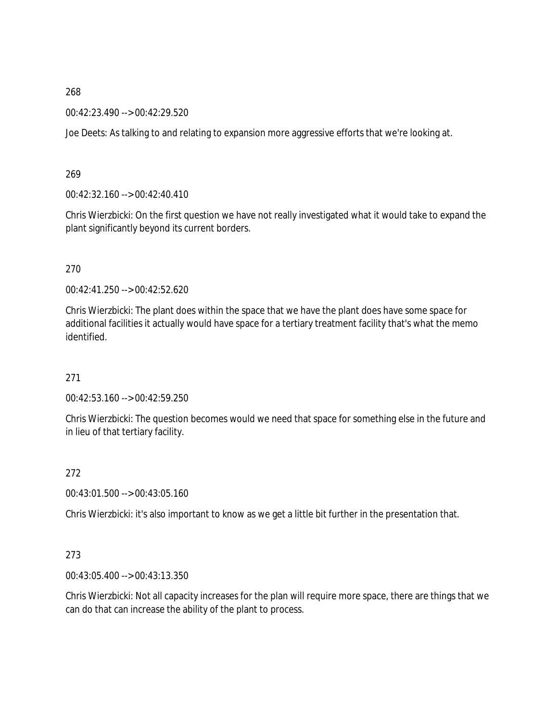00:42:23.490 --> 00:42:29.520

Joe Deets: As talking to and relating to expansion more aggressive efforts that we're looking at.

269

00:42:32.160 --> 00:42:40.410

Chris Wierzbicki: On the first question we have not really investigated what it would take to expand the plant significantly beyond its current borders.

270

00:42:41.250 --> 00:42:52.620

Chris Wierzbicki: The plant does within the space that we have the plant does have some space for additional facilities it actually would have space for a tertiary treatment facility that's what the memo identified.

271

00:42:53.160 --> 00:42:59.250

Chris Wierzbicki: The question becomes would we need that space for something else in the future and in lieu of that tertiary facility.

272

00:43:01.500 --> 00:43:05.160

Chris Wierzbicki: it's also important to know as we get a little bit further in the presentation that.

#### 273

00:43:05.400 --> 00:43:13.350

Chris Wierzbicki: Not all capacity increases for the plan will require more space, there are things that we can do that can increase the ability of the plant to process.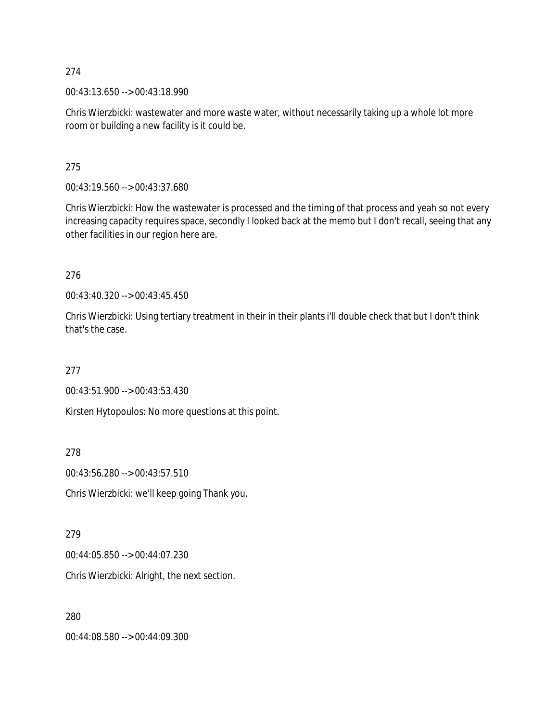00:43:13.650 --> 00:43:18.990

Chris Wierzbicki: wastewater and more waste water, without necessarily taking up a whole lot more room or building a new facility is it could be.

275

00:43:19.560 --> 00:43:37.680

Chris Wierzbicki: How the wastewater is processed and the timing of that process and yeah so not every increasing capacity requires space, secondly I looked back at the memo but I don't recall, seeing that any other facilities in our region here are.

276

00:43:40.320 --> 00:43:45.450

Chris Wierzbicki: Using tertiary treatment in their in their plants i'll double check that but I don't think that's the case.

277

00:43:51.900 --> 00:43:53.430

Kirsten Hytopoulos: No more questions at this point.

278

00:43:56.280 --> 00:43:57.510

Chris Wierzbicki: we'll keep going Thank you.

279

00:44:05.850 --> 00:44:07.230

Chris Wierzbicki: Alright, the next section.

280

00:44:08.580 --> 00:44:09.300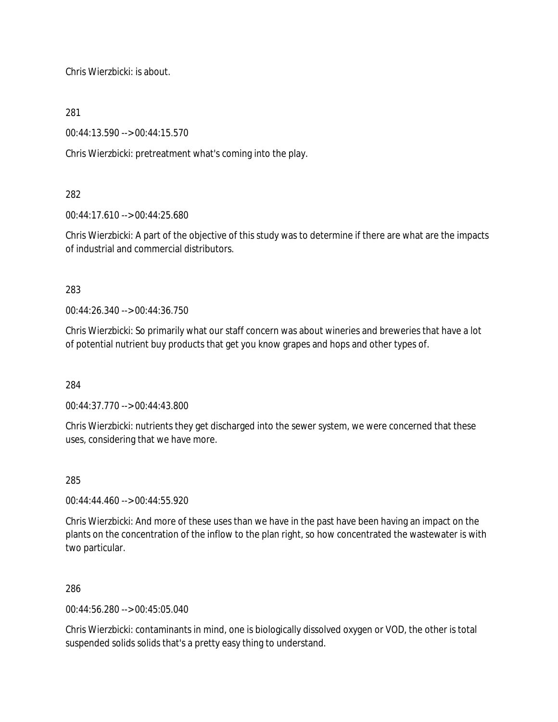Chris Wierzbicki: is about.

281

00:44:13.590 --> 00:44:15.570

Chris Wierzbicki: pretreatment what's coming into the play.

## 282

00:44:17.610 --> 00:44:25.680

Chris Wierzbicki: A part of the objective of this study was to determine if there are what are the impacts of industrial and commercial distributors.

283

00:44:26.340 --> 00:44:36.750

Chris Wierzbicki: So primarily what our staff concern was about wineries and breweries that have a lot of potential nutrient buy products that get you know grapes and hops and other types of.

284

00:44:37.770 --> 00:44:43.800

Chris Wierzbicki: nutrients they get discharged into the sewer system, we were concerned that these uses, considering that we have more.

285

00:44:44.460 --> 00:44:55.920

Chris Wierzbicki: And more of these uses than we have in the past have been having an impact on the plants on the concentration of the inflow to the plan right, so how concentrated the wastewater is with two particular.

286

00:44:56.280 --> 00:45:05.040

Chris Wierzbicki: contaminants in mind, one is biologically dissolved oxygen or VOD, the other is total suspended solids solids that's a pretty easy thing to understand.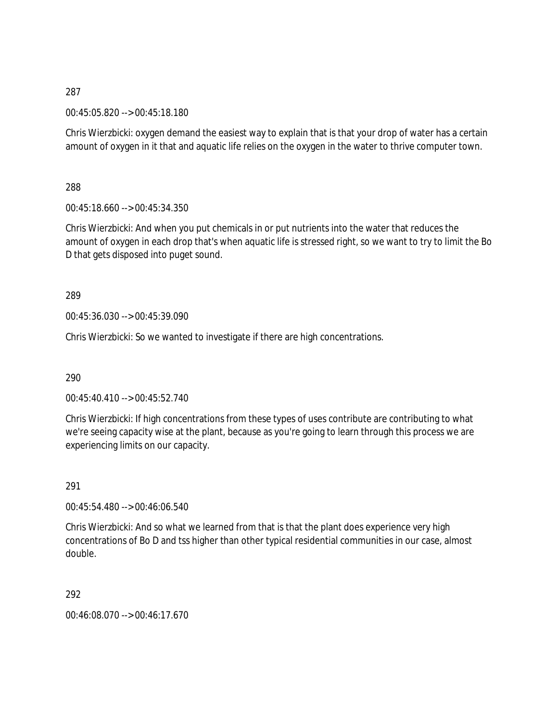00:45:05.820 --> 00:45:18.180

Chris Wierzbicki: oxygen demand the easiest way to explain that is that your drop of water has a certain amount of oxygen in it that and aquatic life relies on the oxygen in the water to thrive computer town.

288

00:45:18.660 --> 00:45:34.350

Chris Wierzbicki: And when you put chemicals in or put nutrients into the water that reduces the amount of oxygen in each drop that's when aquatic life is stressed right, so we want to try to limit the Bo D that gets disposed into puget sound.

289

00:45:36.030 --> 00:45:39.090

Chris Wierzbicki: So we wanted to investigate if there are high concentrations.

290

00:45:40.410 --> 00:45:52.740

Chris Wierzbicki: If high concentrations from these types of uses contribute are contributing to what we're seeing capacity wise at the plant, because as you're going to learn through this process we are experiencing limits on our capacity.

291

00:45:54.480 --> 00:46:06.540

Chris Wierzbicki: And so what we learned from that is that the plant does experience very high concentrations of Bo D and tss higher than other typical residential communities in our case, almost double.

292

00:46:08.070 --> 00:46:17.670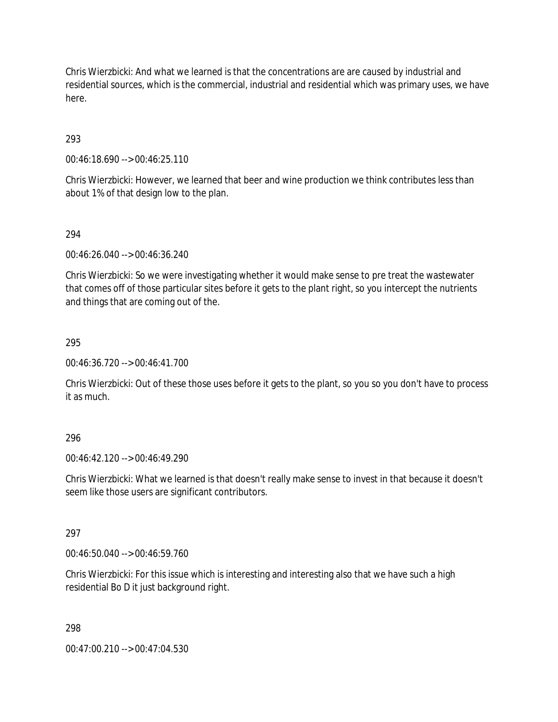Chris Wierzbicki: And what we learned is that the concentrations are are caused by industrial and residential sources, which is the commercial, industrial and residential which was primary uses, we have here.

## 293

00:46:18.690 --> 00:46:25.110

Chris Wierzbicki: However, we learned that beer and wine production we think contributes less than about 1% of that design low to the plan.

## 294

00:46:26.040 --> 00:46:36.240

Chris Wierzbicki: So we were investigating whether it would make sense to pre treat the wastewater that comes off of those particular sites before it gets to the plant right, so you intercept the nutrients and things that are coming out of the.

#### 295

00:46:36.720 --> 00:46:41.700

Chris Wierzbicki: Out of these those uses before it gets to the plant, so you so you don't have to process it as much.

## 296

00:46:42.120 --> 00:46:49.290

Chris Wierzbicki: What we learned is that doesn't really make sense to invest in that because it doesn't seem like those users are significant contributors.

## 297

00:46:50.040 --> 00:46:59.760

Chris Wierzbicki: For this issue which is interesting and interesting also that we have such a high residential Bo D it just background right.

#### 298

00:47:00.210 --> 00:47:04.530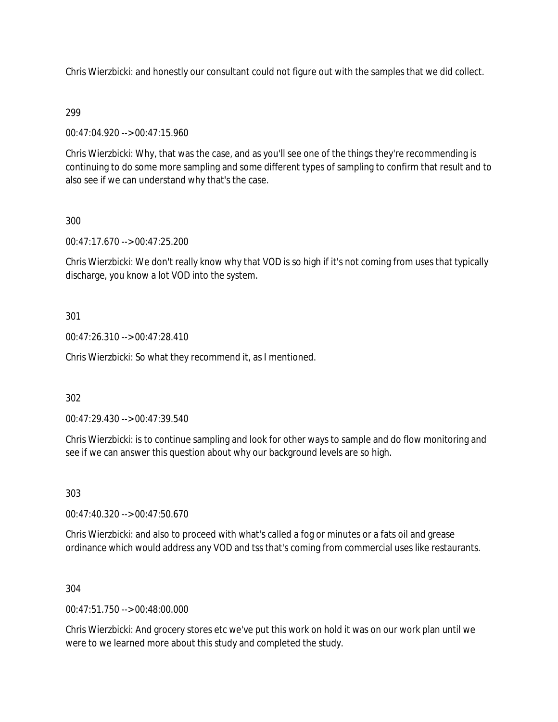Chris Wierzbicki: and honestly our consultant could not figure out with the samples that we did collect.

## 299

00:47:04.920 --> 00:47:15.960

Chris Wierzbicki: Why, that was the case, and as you'll see one of the things they're recommending is continuing to do some more sampling and some different types of sampling to confirm that result and to also see if we can understand why that's the case.

## 300

00:47:17.670 --> 00:47:25.200

Chris Wierzbicki: We don't really know why that VOD is so high if it's not coming from uses that typically discharge, you know a lot VOD into the system.

## 301

00:47:26.310 --> 00:47:28.410

Chris Wierzbicki: So what they recommend it, as I mentioned.

## 302

00:47:29.430 --> 00:47:39.540

Chris Wierzbicki: is to continue sampling and look for other ways to sample and do flow monitoring and see if we can answer this question about why our background levels are so high.

303

00:47:40.320 --> 00:47:50.670

Chris Wierzbicki: and also to proceed with what's called a fog or minutes or a fats oil and grease ordinance which would address any VOD and tss that's coming from commercial uses like restaurants.

## 304

 $0.47:51.750 \rightarrow 0.0048:00.000$ 

Chris Wierzbicki: And grocery stores etc we've put this work on hold it was on our work plan until we were to we learned more about this study and completed the study.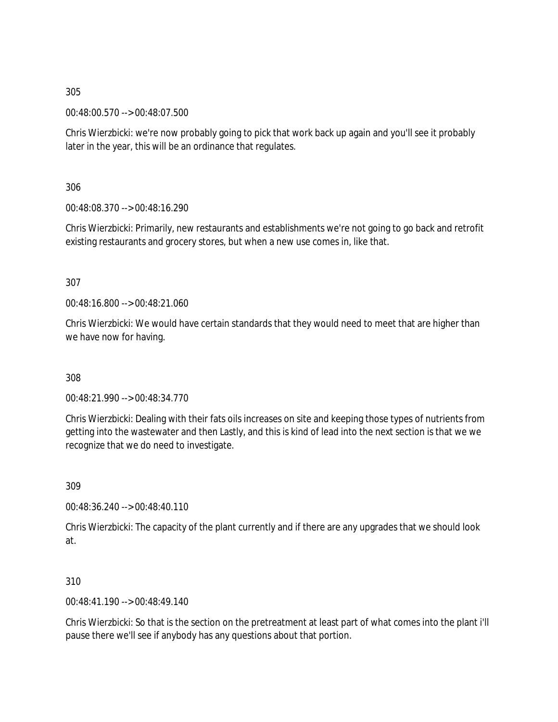00:48:00.570 --> 00:48:07.500

Chris Wierzbicki: we're now probably going to pick that work back up again and you'll see it probably later in the year, this will be an ordinance that regulates.

306

00:48:08.370 --> 00:48:16.290

Chris Wierzbicki: Primarily, new restaurants and establishments we're not going to go back and retrofit existing restaurants and grocery stores, but when a new use comes in, like that.

307

00:48:16.800 --> 00:48:21.060

Chris Wierzbicki: We would have certain standards that they would need to meet that are higher than we have now for having.

308

00:48:21.990 --> 00:48:34.770

Chris Wierzbicki: Dealing with their fats oils increases on site and keeping those types of nutrients from getting into the wastewater and then Lastly, and this is kind of lead into the next section is that we we recognize that we do need to investigate.

309

00:48:36.240 --> 00:48:40.110

Chris Wierzbicki: The capacity of the plant currently and if there are any upgrades that we should look at.

310

00:48:41.190 --> 00:48:49.140

Chris Wierzbicki: So that is the section on the pretreatment at least part of what comes into the plant i'll pause there we'll see if anybody has any questions about that portion.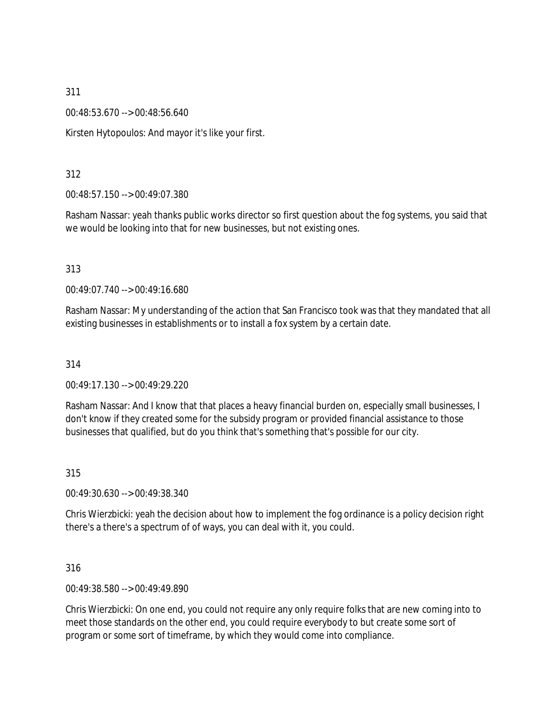00:48:53.670 --> 00:48:56.640

Kirsten Hytopoulos: And mayor it's like your first.

### 312

00:48:57.150 --> 00:49:07.380

Rasham Nassar: yeah thanks public works director so first question about the fog systems, you said that we would be looking into that for new businesses, but not existing ones.

#### 313

00:49:07.740 --> 00:49:16.680

Rasham Nassar: My understanding of the action that San Francisco took was that they mandated that all existing businesses in establishments or to install a fox system by a certain date.

#### 314

00:49:17.130 --> 00:49:29.220

Rasham Nassar: And I know that that places a heavy financial burden on, especially small businesses, I don't know if they created some for the subsidy program or provided financial assistance to those businesses that qualified, but do you think that's something that's possible for our city.

#### 315

00:49:30.630 --> 00:49:38.340

Chris Wierzbicki: yeah the decision about how to implement the fog ordinance is a policy decision right there's a there's a spectrum of of ways, you can deal with it, you could.

#### 316

00:49:38.580 --> 00:49:49.890

Chris Wierzbicki: On one end, you could not require any only require folks that are new coming into to meet those standards on the other end, you could require everybody to but create some sort of program or some sort of timeframe, by which they would come into compliance.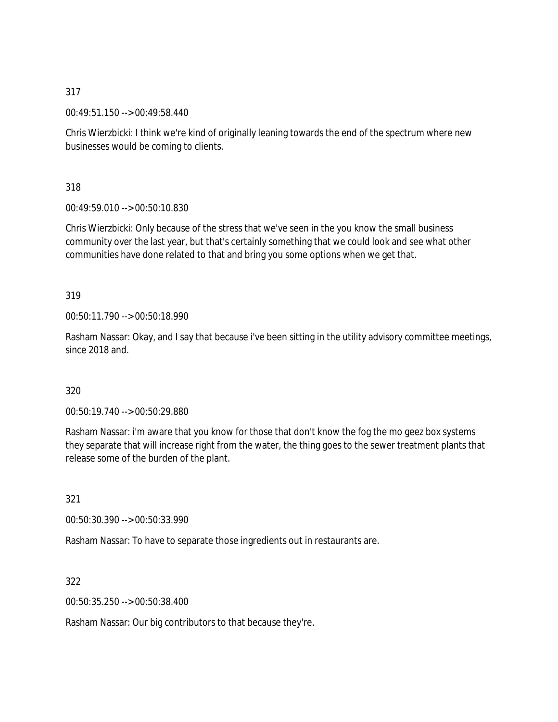00:49:51.150 --> 00:49:58.440

Chris Wierzbicki: I think we're kind of originally leaning towards the end of the spectrum where new businesses would be coming to clients.

318

00:49:59.010 --> 00:50:10.830

Chris Wierzbicki: Only because of the stress that we've seen in the you know the small business community over the last year, but that's certainly something that we could look and see what other communities have done related to that and bring you some options when we get that.

319

00:50:11.790 --> 00:50:18.990

Rasham Nassar: Okay, and I say that because i've been sitting in the utility advisory committee meetings, since 2018 and.

320

00:50:19.740 --> 00:50:29.880

Rasham Nassar: i'm aware that you know for those that don't know the fog the mo geez box systems they separate that will increase right from the water, the thing goes to the sewer treatment plants that release some of the burden of the plant.

321

00:50:30.390 --> 00:50:33.990

Rasham Nassar: To have to separate those ingredients out in restaurants are.

322

00:50:35.250 --> 00:50:38.400

Rasham Nassar: Our big contributors to that because they're.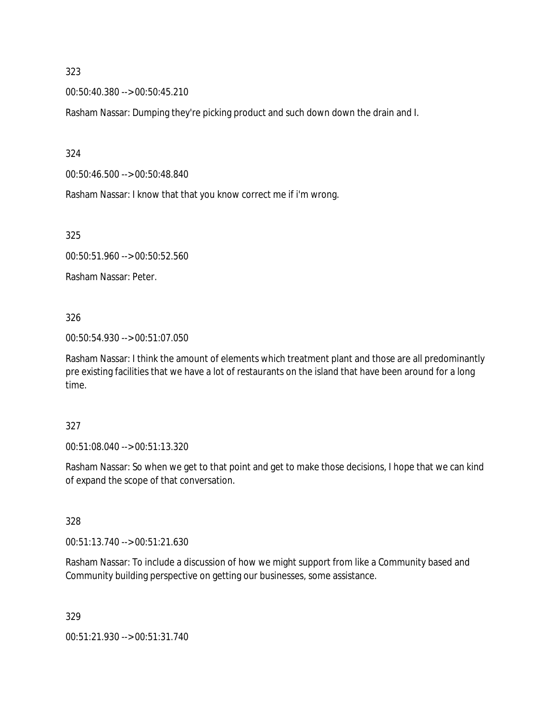00:50:40.380 --> 00:50:45.210

Rasham Nassar: Dumping they're picking product and such down down the drain and I.

324

00:50:46.500 --> 00:50:48.840

Rasham Nassar: I know that that you know correct me if i'm wrong.

325

00:50:51.960 --> 00:50:52.560

Rasham Nassar: Peter.

326

00:50:54.930 --> 00:51:07.050

Rasham Nassar: I think the amount of elements which treatment plant and those are all predominantly pre existing facilities that we have a lot of restaurants on the island that have been around for a long time.

327

00:51:08.040 --> 00:51:13.320

Rasham Nassar: So when we get to that point and get to make those decisions, I hope that we can kind of expand the scope of that conversation.

328

00:51:13.740 --> 00:51:21.630

Rasham Nassar: To include a discussion of how we might support from like a Community based and Community building perspective on getting our businesses, some assistance.

329

00:51:21.930 --> 00:51:31.740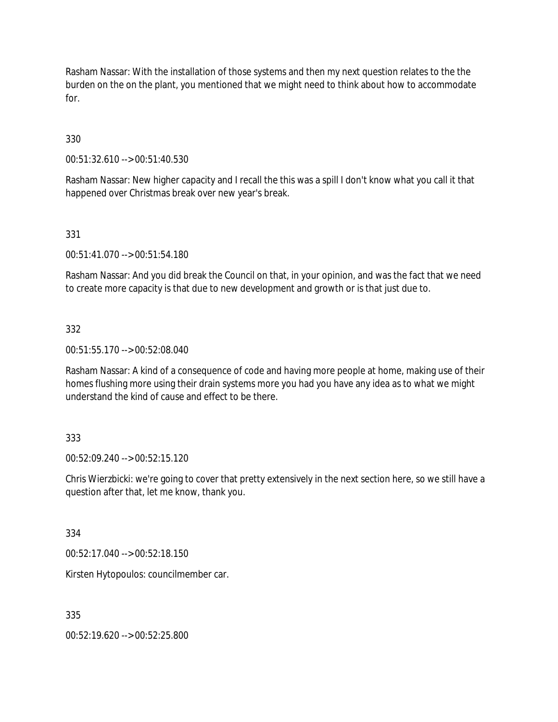Rasham Nassar: With the installation of those systems and then my next question relates to the the burden on the on the plant, you mentioned that we might need to think about how to accommodate for.

330

00:51:32.610 --> 00:51:40.530

Rasham Nassar: New higher capacity and I recall the this was a spill I don't know what you call it that happened over Christmas break over new year's break.

## 331

00:51:41.070 --> 00:51:54.180

Rasham Nassar: And you did break the Council on that, in your opinion, and was the fact that we need to create more capacity is that due to new development and growth or is that just due to.

#### 332

00:51:55.170 --> 00:52:08.040

Rasham Nassar: A kind of a consequence of code and having more people at home, making use of their homes flushing more using their drain systems more you had you have any idea as to what we might understand the kind of cause and effect to be there.

#### 333

00:52:09.240 --> 00:52:15.120

Chris Wierzbicki: we're going to cover that pretty extensively in the next section here, so we still have a question after that, let me know, thank you.

334

00:52:17.040 --> 00:52:18.150

Kirsten Hytopoulos: councilmember car.

335

00:52:19.620 --> 00:52:25.800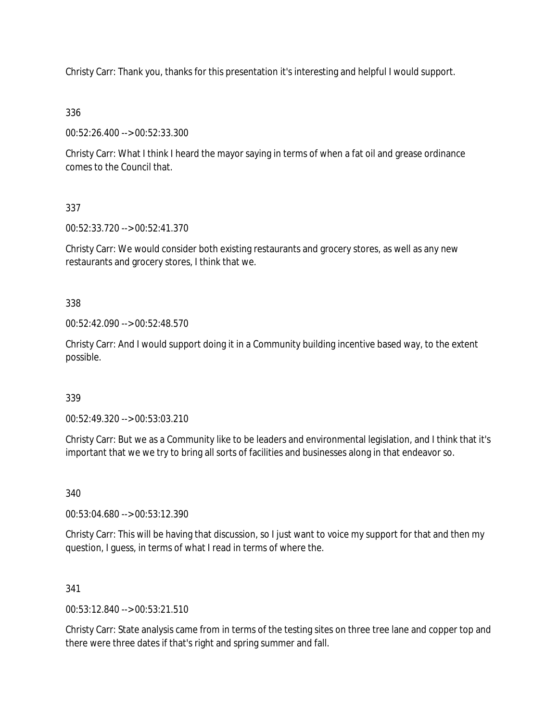Christy Carr: Thank you, thanks for this presentation it's interesting and helpful I would support.

336

00:52:26.400 --> 00:52:33.300

Christy Carr: What I think I heard the mayor saying in terms of when a fat oil and grease ordinance comes to the Council that.

337

00:52:33.720 --> 00:52:41.370

Christy Carr: We would consider both existing restaurants and grocery stores, as well as any new restaurants and grocery stores, I think that we.

338

00:52:42.090 --> 00:52:48.570

Christy Carr: And I would support doing it in a Community building incentive based way, to the extent possible.

339

00:52:49.320 --> 00:53:03.210

Christy Carr: But we as a Community like to be leaders and environmental legislation, and I think that it's important that we we try to bring all sorts of facilities and businesses along in that endeavor so.

340

00:53:04.680 --> 00:53:12.390

Christy Carr: This will be having that discussion, so I just want to voice my support for that and then my question, I guess, in terms of what I read in terms of where the.

341

00:53:12.840 --> 00:53:21.510

Christy Carr: State analysis came from in terms of the testing sites on three tree lane and copper top and there were three dates if that's right and spring summer and fall.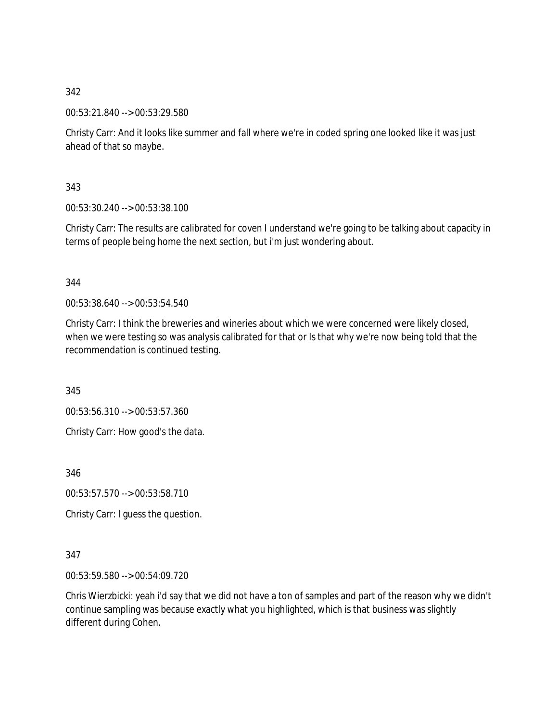00:53:21.840 --> 00:53:29.580

Christy Carr: And it looks like summer and fall where we're in coded spring one looked like it was just ahead of that so maybe.

343

00:53:30.240 --> 00:53:38.100

Christy Carr: The results are calibrated for coven I understand we're going to be talking about capacity in terms of people being home the next section, but i'm just wondering about.

344

00:53:38.640 --> 00:53:54.540

Christy Carr: I think the breweries and wineries about which we were concerned were likely closed, when we were testing so was analysis calibrated for that or Is that why we're now being told that the recommendation is continued testing.

345

00:53:56.310 --> 00:53:57.360

Christy Carr: How good's the data.

346

00:53:57.570 --> 00:53:58.710

Christy Carr: I guess the question.

#### 347

00:53:59.580 --> 00:54:09.720

Chris Wierzbicki: yeah i'd say that we did not have a ton of samples and part of the reason why we didn't continue sampling was because exactly what you highlighted, which is that business was slightly different during Cohen.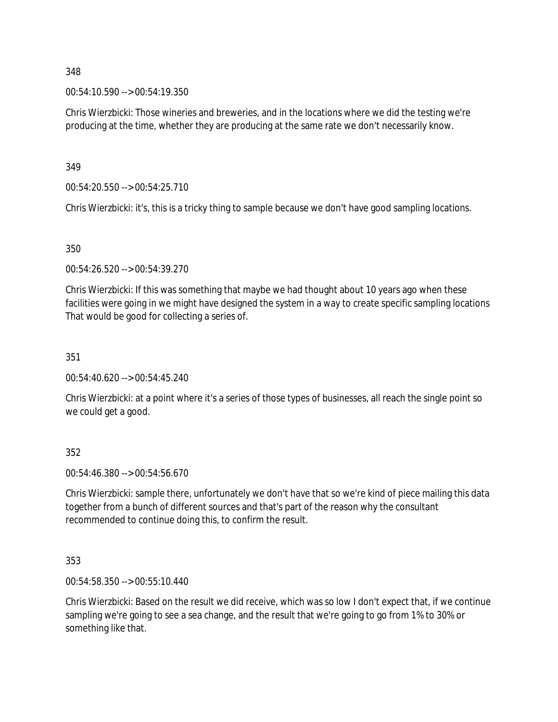00:54:10.590 --> 00:54:19.350

Chris Wierzbicki: Those wineries and breweries, and in the locations where we did the testing we're producing at the time, whether they are producing at the same rate we don't necessarily know.

349

00:54:20.550 --> 00:54:25.710

Chris Wierzbicki: it's, this is a tricky thing to sample because we don't have good sampling locations.

350

00:54:26.520 --> 00:54:39.270

Chris Wierzbicki: If this was something that maybe we had thought about 10 years ago when these facilities were going in we might have designed the system in a way to create specific sampling locations That would be good for collecting a series of.

351

00:54:40.620 --> 00:54:45.240

Chris Wierzbicki: at a point where it's a series of those types of businesses, all reach the single point so we could get a good.

352

00:54:46.380 --> 00:54:56.670

Chris Wierzbicki: sample there, unfortunately we don't have that so we're kind of piece mailing this data together from a bunch of different sources and that's part of the reason why the consultant recommended to continue doing this, to confirm the result.

353

00:54:58.350 --> 00:55:10.440

Chris Wierzbicki: Based on the result we did receive, which was so low I don't expect that, if we continue sampling we're going to see a sea change, and the result that we're going to go from 1% to 30% or something like that.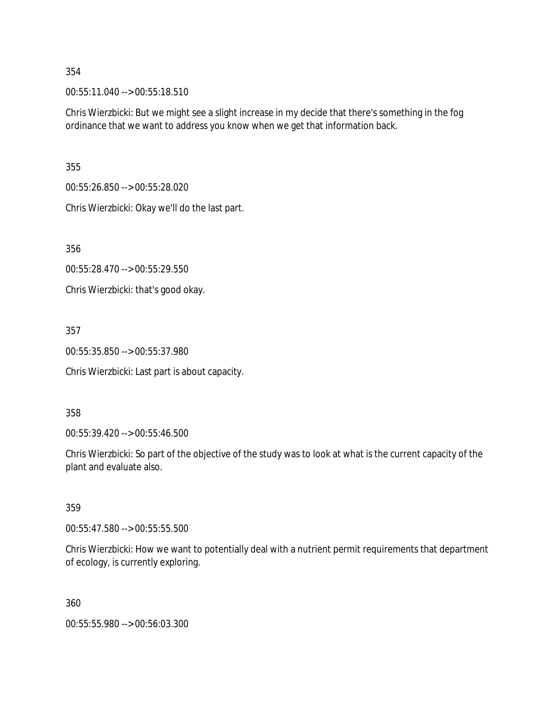00:55:11.040 --> 00:55:18.510

Chris Wierzbicki: But we might see a slight increase in my decide that there's something in the fog ordinance that we want to address you know when we get that information back.

355

00:55:26.850 --> 00:55:28.020

Chris Wierzbicki: Okay we'll do the last part.

356

00:55:28.470 --> 00:55:29.550

Chris Wierzbicki: that's good okay.

## 357

00:55:35.850 --> 00:55:37.980

Chris Wierzbicki: Last part is about capacity.

#### 358

00:55:39.420 --> 00:55:46.500

Chris Wierzbicki: So part of the objective of the study was to look at what is the current capacity of the plant and evaluate also.

#### 359

00:55:47.580 --> 00:55:55.500

Chris Wierzbicki: How we want to potentially deal with a nutrient permit requirements that department of ecology, is currently exploring.

360

00:55:55.980 --> 00:56:03.300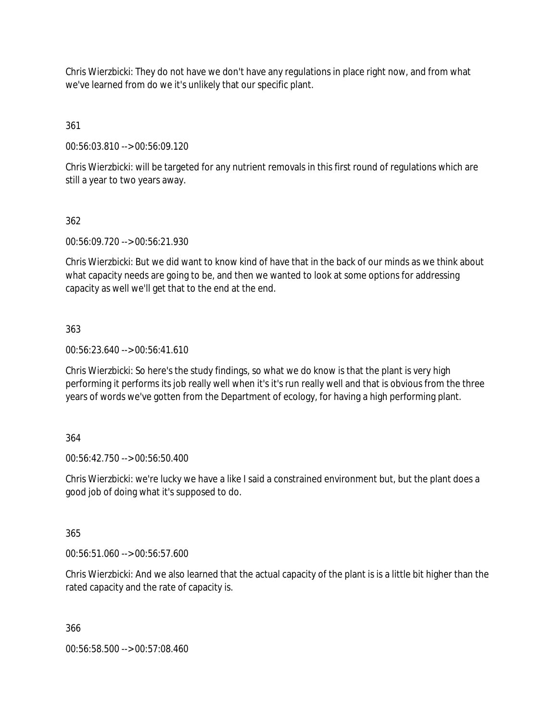Chris Wierzbicki: They do not have we don't have any regulations in place right now, and from what we've learned from do we it's unlikely that our specific plant.

361

00:56:03.810 --> 00:56:09.120

Chris Wierzbicki: will be targeted for any nutrient removals in this first round of regulations which are still a year to two years away.

## 362

00:56:09.720 --> 00:56:21.930

Chris Wierzbicki: But we did want to know kind of have that in the back of our minds as we think about what capacity needs are going to be, and then we wanted to look at some options for addressing capacity as well we'll get that to the end at the end.

## 363

00:56:23.640 --> 00:56:41.610

Chris Wierzbicki: So here's the study findings, so what we do know is that the plant is very high performing it performs its job really well when it's it's run really well and that is obvious from the three years of words we've gotten from the Department of ecology, for having a high performing plant.

#### 364

00:56:42.750 --> 00:56:50.400

Chris Wierzbicki: we're lucky we have a like I said a constrained environment but, but the plant does a good job of doing what it's supposed to do.

#### 365

00:56:51.060 --> 00:56:57.600

Chris Wierzbicki: And we also learned that the actual capacity of the plant is is a little bit higher than the rated capacity and the rate of capacity is.

366

00:56:58.500 --> 00:57:08.460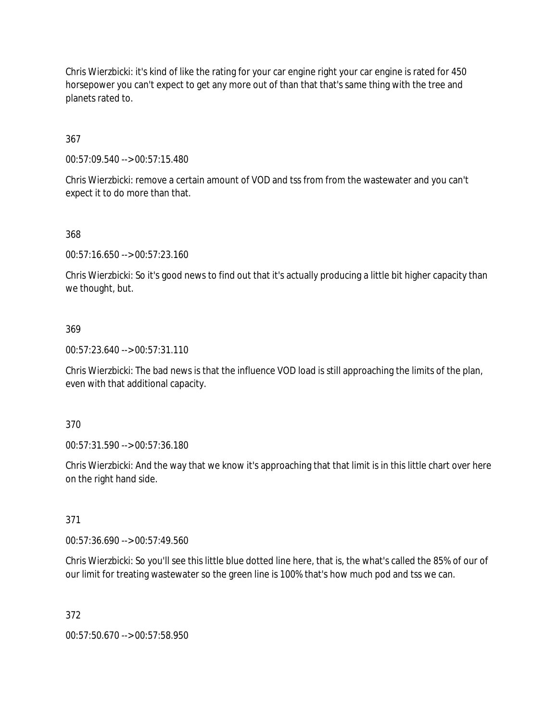Chris Wierzbicki: it's kind of like the rating for your car engine right your car engine is rated for 450 horsepower you can't expect to get any more out of than that that's same thing with the tree and planets rated to.

367

00:57:09.540 --> 00:57:15.480

Chris Wierzbicki: remove a certain amount of VOD and tss from from the wastewater and you can't expect it to do more than that.

368

00:57:16.650 --> 00:57:23.160

Chris Wierzbicki: So it's good news to find out that it's actually producing a little bit higher capacity than we thought, but.

#### 369

00:57:23.640 --> 00:57:31.110

Chris Wierzbicki: The bad news is that the influence VOD load is still approaching the limits of the plan, even with that additional capacity.

370

00:57:31.590 --> 00:57:36.180

Chris Wierzbicki: And the way that we know it's approaching that that limit is in this little chart over here on the right hand side.

371

00:57:36.690 --> 00:57:49.560

Chris Wierzbicki: So you'll see this little blue dotted line here, that is, the what's called the 85% of our of our limit for treating wastewater so the green line is 100% that's how much pod and tss we can.

372

00:57:50.670 --> 00:57:58.950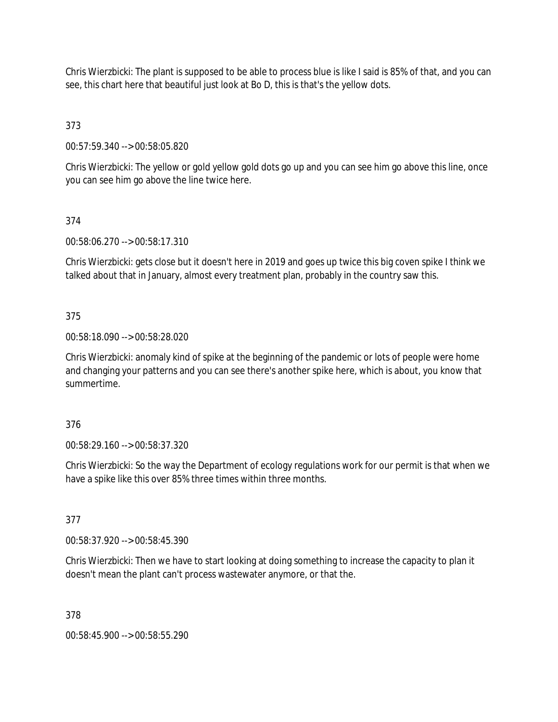Chris Wierzbicki: The plant is supposed to be able to process blue is like I said is 85% of that, and you can see, this chart here that beautiful just look at Bo D, this is that's the yellow dots.

373

00:57:59.340 --> 00:58:05.820

Chris Wierzbicki: The yellow or gold yellow gold dots go up and you can see him go above this line, once you can see him go above the line twice here.

## 374

00:58:06.270 --> 00:58:17.310

Chris Wierzbicki: gets close but it doesn't here in 2019 and goes up twice this big coven spike I think we talked about that in January, almost every treatment plan, probably in the country saw this.

## 375

00:58:18.090 --> 00:58:28.020

Chris Wierzbicki: anomaly kind of spike at the beginning of the pandemic or lots of people were home and changing your patterns and you can see there's another spike here, which is about, you know that summertime.

#### 376

00:58:29.160 --> 00:58:37.320

Chris Wierzbicki: So the way the Department of ecology regulations work for our permit is that when we have a spike like this over 85% three times within three months.

#### 377

00:58:37.920 --> 00:58:45.390

Chris Wierzbicki: Then we have to start looking at doing something to increase the capacity to plan it doesn't mean the plant can't process wastewater anymore, or that the.

#### 378

00:58:45.900 --> 00:58:55.290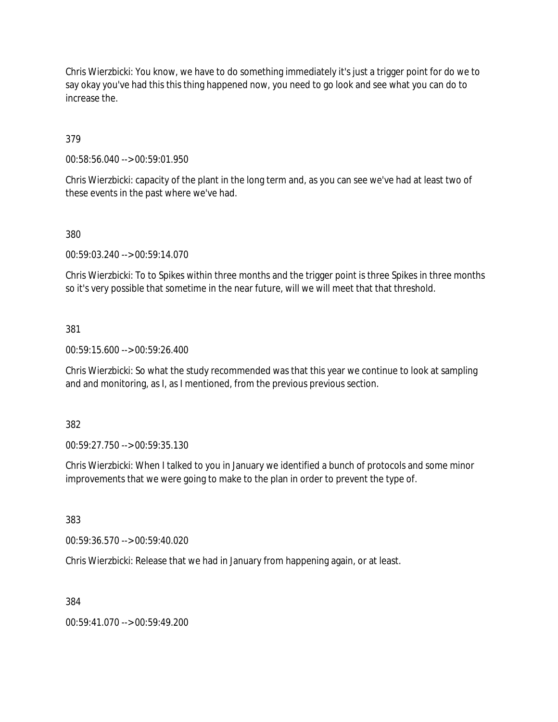Chris Wierzbicki: You know, we have to do something immediately it's just a trigger point for do we to say okay you've had this this thing happened now, you need to go look and see what you can do to increase the.

379

00:58:56.040 --> 00:59:01.950

Chris Wierzbicki: capacity of the plant in the long term and, as you can see we've had at least two of these events in the past where we've had.

380

00:59:03.240 --> 00:59:14.070

Chris Wierzbicki: To to Spikes within three months and the trigger point is three Spikes in three months so it's very possible that sometime in the near future, will we will meet that that threshold.

381

00:59:15.600 --> 00:59:26.400

Chris Wierzbicki: So what the study recommended was that this year we continue to look at sampling and and monitoring, as I, as I mentioned, from the previous previous section.

382

00:59:27.750 --> 00:59:35.130

Chris Wierzbicki: When I talked to you in January we identified a bunch of protocols and some minor improvements that we were going to make to the plan in order to prevent the type of.

383

00:59:36.570 --> 00:59:40.020

Chris Wierzbicki: Release that we had in January from happening again, or at least.

384

00:59:41.070 --> 00:59:49.200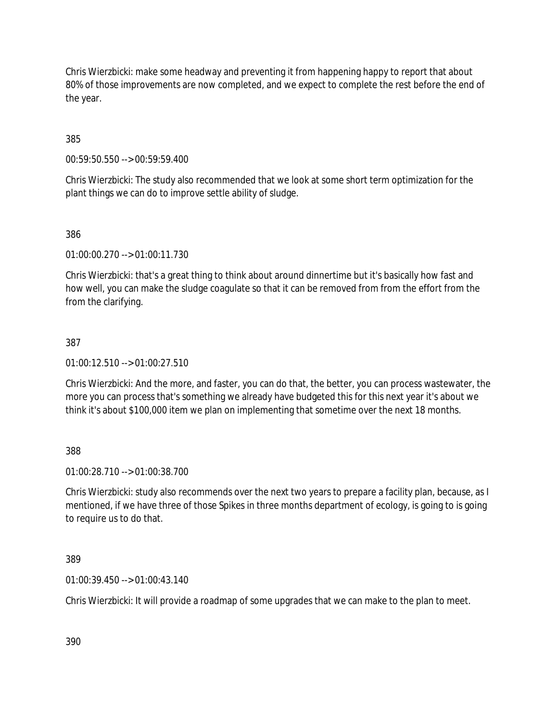Chris Wierzbicki: make some headway and preventing it from happening happy to report that about 80% of those improvements are now completed, and we expect to complete the rest before the end of the year.

385

00:59:50.550 --> 00:59:59.400

Chris Wierzbicki: The study also recommended that we look at some short term optimization for the plant things we can do to improve settle ability of sludge.

386

01:00:00.270 --> 01:00:11.730

Chris Wierzbicki: that's a great thing to think about around dinnertime but it's basically how fast and how well, you can make the sludge coagulate so that it can be removed from from the effort from the from the clarifying.

#### 387

01:00:12.510 --> 01:00:27.510

Chris Wierzbicki: And the more, and faster, you can do that, the better, you can process wastewater, the more you can process that's something we already have budgeted this for this next year it's about we think it's about \$100,000 item we plan on implementing that sometime over the next 18 months.

388

01:00:28.710 --> 01:00:38.700

Chris Wierzbicki: study also recommends over the next two years to prepare a facility plan, because, as I mentioned, if we have three of those Spikes in three months department of ecology, is going to is going to require us to do that.

389

01:00:39.450 --> 01:00:43.140

Chris Wierzbicki: It will provide a roadmap of some upgrades that we can make to the plan to meet.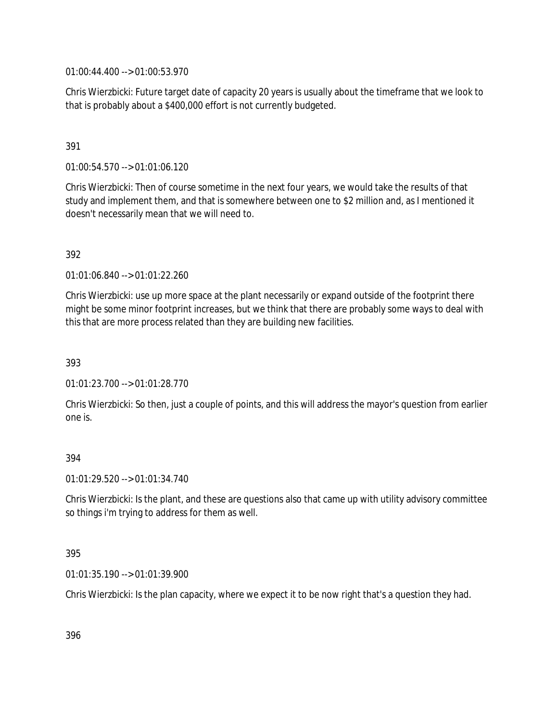01:00:44.400 --> 01:00:53.970

Chris Wierzbicki: Future target date of capacity 20 years is usually about the timeframe that we look to that is probably about a \$400,000 effort is not currently budgeted.

## 391

01:00:54.570 --> 01:01:06.120

Chris Wierzbicki: Then of course sometime in the next four years, we would take the results of that study and implement them, and that is somewhere between one to \$2 million and, as I mentioned it doesn't necessarily mean that we will need to.

#### 392

01:01:06.840 --> 01:01:22.260

Chris Wierzbicki: use up more space at the plant necessarily or expand outside of the footprint there might be some minor footprint increases, but we think that there are probably some ways to deal with this that are more process related than they are building new facilities.

393

01:01:23.700 --> 01:01:28.770

Chris Wierzbicki: So then, just a couple of points, and this will address the mayor's question from earlier one is.

#### 394

01:01:29.520 --> 01:01:34.740

Chris Wierzbicki: Is the plant, and these are questions also that came up with utility advisory committee so things i'm trying to address for them as well.

#### 395

01:01:35.190 --> 01:01:39.900

Chris Wierzbicki: Is the plan capacity, where we expect it to be now right that's a question they had.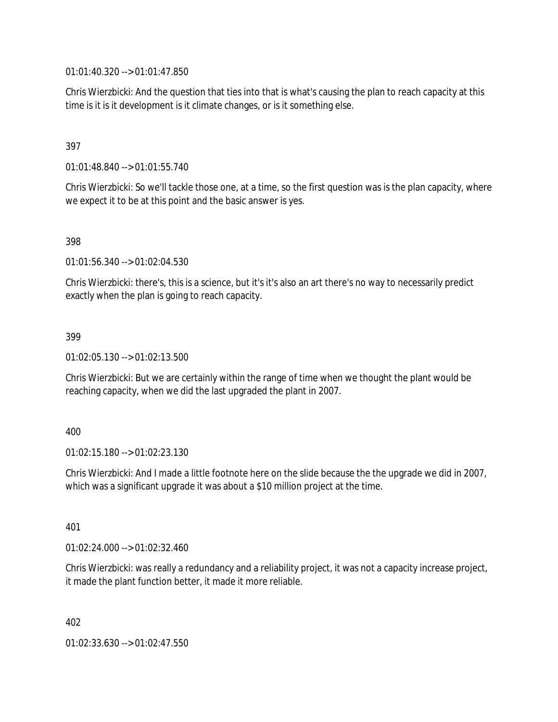01:01:40.320 --> 01:01:47.850

Chris Wierzbicki: And the question that ties into that is what's causing the plan to reach capacity at this time is it is it development is it climate changes, or is it something else.

## 397

01:01:48.840 --> 01:01:55.740

Chris Wierzbicki: So we'll tackle those one, at a time, so the first question was is the plan capacity, where we expect it to be at this point and the basic answer is yes.

#### 398

01:01:56.340 --> 01:02:04.530

Chris Wierzbicki: there's, this is a science, but it's it's also an art there's no way to necessarily predict exactly when the plan is going to reach capacity.

#### 399

01:02:05.130 --> 01:02:13.500

Chris Wierzbicki: But we are certainly within the range of time when we thought the plant would be reaching capacity, when we did the last upgraded the plant in 2007.

#### 400

01:02:15.180 --> 01:02:23.130

Chris Wierzbicki: And I made a little footnote here on the slide because the the upgrade we did in 2007, which was a significant upgrade it was about a \$10 million project at the time.

401

01:02:24.000 --> 01:02:32.460

Chris Wierzbicki: was really a redundancy and a reliability project, it was not a capacity increase project, it made the plant function better, it made it more reliable.

402

01:02:33.630 --> 01:02:47.550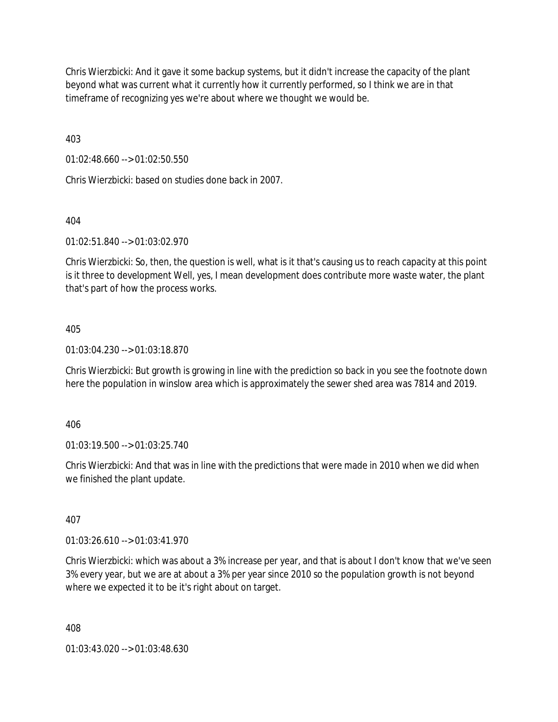Chris Wierzbicki: And it gave it some backup systems, but it didn't increase the capacity of the plant beyond what was current what it currently how it currently performed, so I think we are in that timeframe of recognizing yes we're about where we thought we would be.

403

01:02:48.660 --> 01:02:50.550

Chris Wierzbicki: based on studies done back in 2007.

404

01:02:51.840 --> 01:03:02.970

Chris Wierzbicki: So, then, the question is well, what is it that's causing us to reach capacity at this point is it three to development Well, yes, I mean development does contribute more waste water, the plant that's part of how the process works.

#### 405

01:03:04.230 --> 01:03:18.870

Chris Wierzbicki: But growth is growing in line with the prediction so back in you see the footnote down here the population in winslow area which is approximately the sewer shed area was 7814 and 2019.

406

01:03:19.500 --> 01:03:25.740

Chris Wierzbicki: And that was in line with the predictions that were made in 2010 when we did when we finished the plant update.

407

01:03:26.610 --> 01:03:41.970

Chris Wierzbicki: which was about a 3% increase per year, and that is about I don't know that we've seen 3% every year, but we are at about a 3% per year since 2010 so the population growth is not beyond where we expected it to be it's right about on target.

408

01:03:43.020 --> 01:03:48.630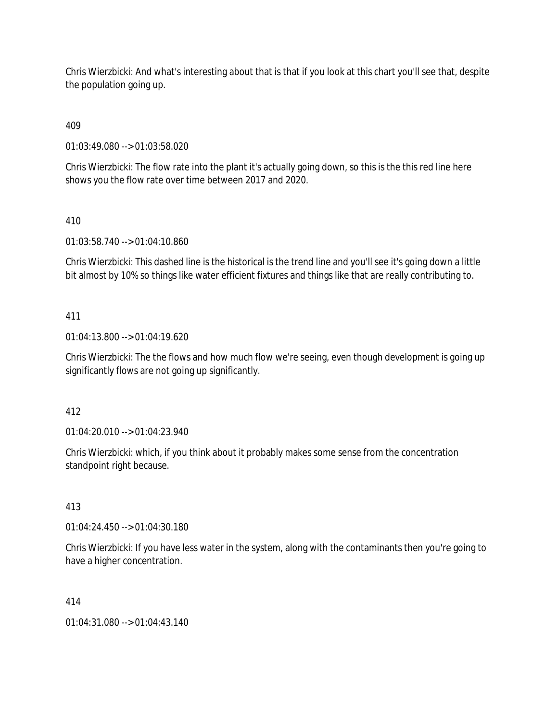Chris Wierzbicki: And what's interesting about that is that if you look at this chart you'll see that, despite the population going up.

409

01:03:49.080 --> 01:03:58.020

Chris Wierzbicki: The flow rate into the plant it's actually going down, so this is the this red line here shows you the flow rate over time between 2017 and 2020.

410

01:03:58.740 --> 01:04:10.860

Chris Wierzbicki: This dashed line is the historical is the trend line and you'll see it's going down a little bit almost by 10% so things like water efficient fixtures and things like that are really contributing to.

#### 411

01:04:13.800 --> 01:04:19.620

Chris Wierzbicki: The the flows and how much flow we're seeing, even though development is going up significantly flows are not going up significantly.

412

01:04:20.010 --> 01:04:23.940

Chris Wierzbicki: which, if you think about it probably makes some sense from the concentration standpoint right because.

413

01:04:24.450 --> 01:04:30.180

Chris Wierzbicki: If you have less water in the system, along with the contaminants then you're going to have a higher concentration.

414

01:04:31.080 --> 01:04:43.140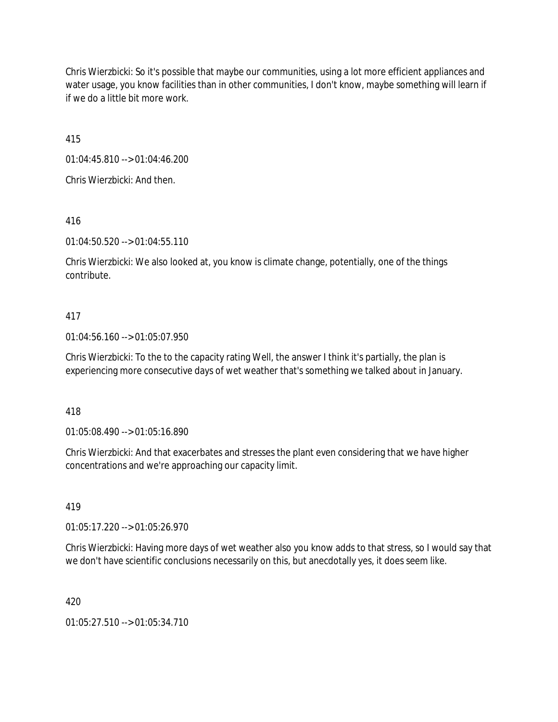Chris Wierzbicki: So it's possible that maybe our communities, using a lot more efficient appliances and water usage, you know facilities than in other communities, I don't know, maybe something will learn if if we do a little bit more work.

415

01:04:45.810 --> 01:04:46.200

Chris Wierzbicki: And then.

416

01:04:50.520 --> 01:04:55.110

Chris Wierzbicki: We also looked at, you know is climate change, potentially, one of the things contribute.

## 417

01:04:56.160 --> 01:05:07.950

Chris Wierzbicki: To the to the capacity rating Well, the answer I think it's partially, the plan is experiencing more consecutive days of wet weather that's something we talked about in January.

418

01:05:08.490 --> 01:05:16.890

Chris Wierzbicki: And that exacerbates and stresses the plant even considering that we have higher concentrations and we're approaching our capacity limit.

419

01:05:17.220 --> 01:05:26.970

Chris Wierzbicki: Having more days of wet weather also you know adds to that stress, so I would say that we don't have scientific conclusions necessarily on this, but anecdotally yes, it does seem like.

420

01:05:27.510 --> 01:05:34.710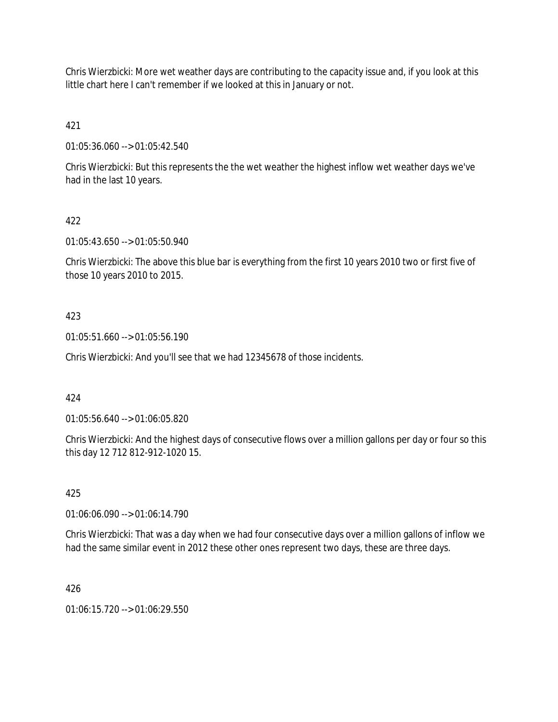Chris Wierzbicki: More wet weather days are contributing to the capacity issue and, if you look at this little chart here I can't remember if we looked at this in January or not.

421

01:05:36.060 --> 01:05:42.540

Chris Wierzbicki: But this represents the the wet weather the highest inflow wet weather days we've had in the last 10 years.

## 422

01:05:43.650 --> 01:05:50.940

Chris Wierzbicki: The above this blue bar is everything from the first 10 years 2010 two or first five of those 10 years 2010 to 2015.

## 423

01:05:51.660 --> 01:05:56.190

Chris Wierzbicki: And you'll see that we had 12345678 of those incidents.

#### 424

01:05:56.640 --> 01:06:05.820

Chris Wierzbicki: And the highest days of consecutive flows over a million gallons per day or four so this this day 12 712 812-912-1020 15.

#### 425

01:06:06.090 --> 01:06:14.790

Chris Wierzbicki: That was a day when we had four consecutive days over a million gallons of inflow we had the same similar event in 2012 these other ones represent two days, these are three days.

#### 426

01:06:15.720 --> 01:06:29.550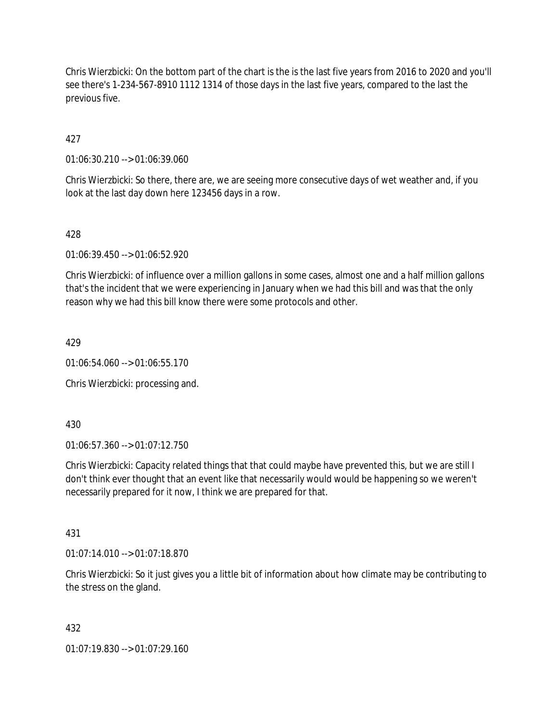Chris Wierzbicki: On the bottom part of the chart is the is the last five years from 2016 to 2020 and you'll see there's 1-234-567-8910 1112 1314 of those days in the last five years, compared to the last the previous five.

427

01:06:30.210 --> 01:06:39.060

Chris Wierzbicki: So there, there are, we are seeing more consecutive days of wet weather and, if you look at the last day down here 123456 days in a row.

428

01:06:39.450 --> 01:06:52.920

Chris Wierzbicki: of influence over a million gallons in some cases, almost one and a half million gallons that's the incident that we were experiencing in January when we had this bill and was that the only reason why we had this bill know there were some protocols and other.

429

01:06:54.060 --> 01:06:55.170

Chris Wierzbicki: processing and.

430

01:06:57.360 --> 01:07:12.750

Chris Wierzbicki: Capacity related things that that could maybe have prevented this, but we are still I don't think ever thought that an event like that necessarily would would be happening so we weren't necessarily prepared for it now, I think we are prepared for that.

431

01:07:14.010 --> 01:07:18.870

Chris Wierzbicki: So it just gives you a little bit of information about how climate may be contributing to the stress on the gland.

432

01:07:19.830 --> 01:07:29.160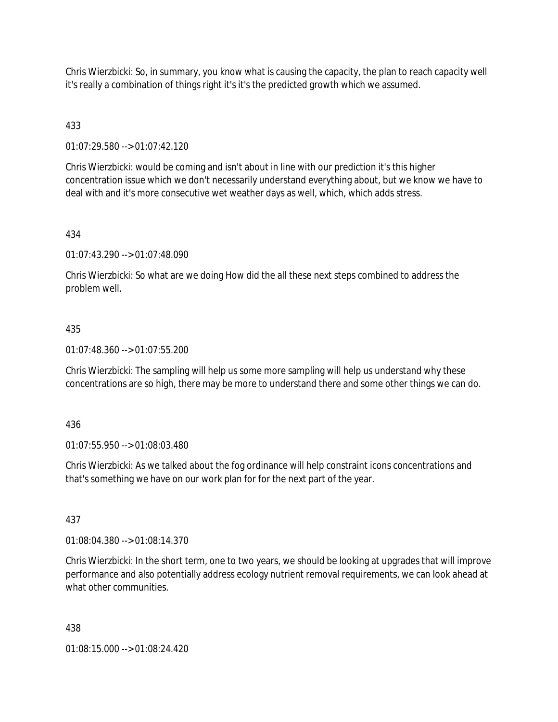Chris Wierzbicki: So, in summary, you know what is causing the capacity, the plan to reach capacity well it's really a combination of things right it's it's the predicted growth which we assumed.

## 433

01:07:29.580 --> 01:07:42.120

Chris Wierzbicki: would be coming and isn't about in line with our prediction it's this higher concentration issue which we don't necessarily understand everything about, but we know we have to deal with and it's more consecutive wet weather days as well, which, which adds stress.

## 434

01:07:43.290 --> 01:07:48.090

Chris Wierzbicki: So what are we doing How did the all these next steps combined to address the problem well.

## 435

01:07:48.360 --> 01:07:55.200

Chris Wierzbicki: The sampling will help us some more sampling will help us understand why these concentrations are so high, there may be more to understand there and some other things we can do.

#### 436

01:07:55.950 --> 01:08:03.480

Chris Wierzbicki: As we talked about the fog ordinance will help constraint icons concentrations and that's something we have on our work plan for for the next part of the year.

# 437

01:08:04.380 --> 01:08:14.370

Chris Wierzbicki: In the short term, one to two years, we should be looking at upgrades that will improve performance and also potentially address ecology nutrient removal requirements, we can look ahead at what other communities.

#### 438

01:08:15.000 --> 01:08:24.420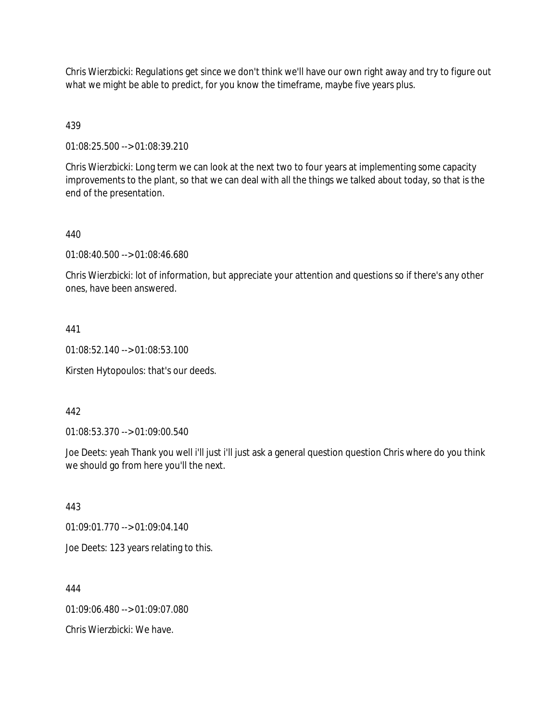Chris Wierzbicki: Regulations get since we don't think we'll have our own right away and try to figure out what we might be able to predict, for you know the timeframe, maybe five years plus.

## 439

01:08:25.500 --> 01:08:39.210

Chris Wierzbicki: Long term we can look at the next two to four years at implementing some capacity improvements to the plant, so that we can deal with all the things we talked about today, so that is the end of the presentation.

## 440

01:08:40.500 --> 01:08:46.680

Chris Wierzbicki: lot of information, but appreciate your attention and questions so if there's any other ones, have been answered.

#### 441

01:08:52.140 --> 01:08:53.100

Kirsten Hytopoulos: that's our deeds.

#### 442

01:08:53.370 --> 01:09:00.540

Joe Deets: yeah Thank you well i'll just i'll just ask a general question question Chris where do you think we should go from here you'll the next.

443

01:09:01.770 --> 01:09:04.140

Joe Deets: 123 years relating to this.

444

01:09:06.480 --> 01:09:07.080

Chris Wierzbicki: We have.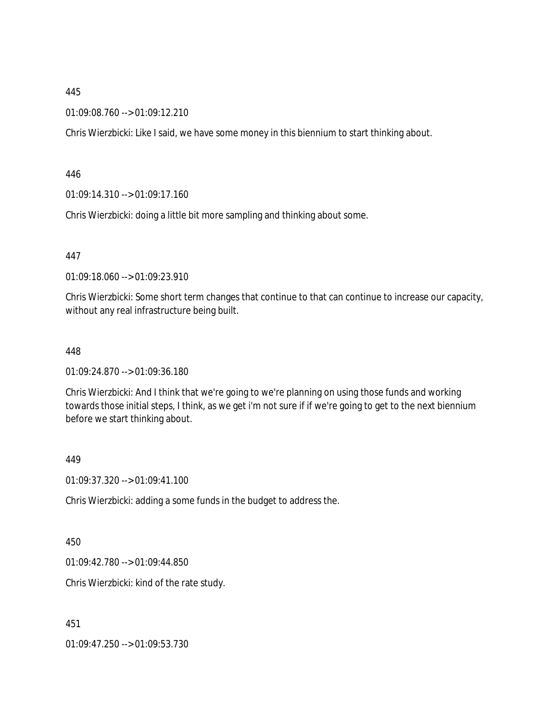01:09:08.760 --> 01:09:12.210

Chris Wierzbicki: Like I said, we have some money in this biennium to start thinking about.

446

01:09:14.310 --> 01:09:17.160

Chris Wierzbicki: doing a little bit more sampling and thinking about some.

447

01:09:18.060 --> 01:09:23.910

Chris Wierzbicki: Some short term changes that continue to that can continue to increase our capacity, without any real infrastructure being built.

#### 448

01:09:24.870 --> 01:09:36.180

Chris Wierzbicki: And I think that we're going to we're planning on using those funds and working towards those initial steps, I think, as we get i'm not sure if if we're going to get to the next biennium before we start thinking about.

449

01:09:37.320 --> 01:09:41.100

Chris Wierzbicki: adding a some funds in the budget to address the.

450

01:09:42.780 --> 01:09:44.850

Chris Wierzbicki: kind of the rate study.

451

01:09:47.250 --> 01:09:53.730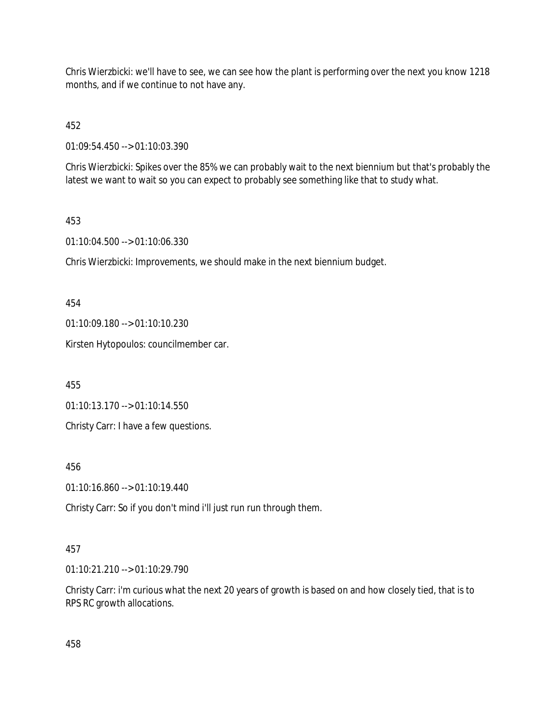Chris Wierzbicki: we'll have to see, we can see how the plant is performing over the next you know 1218 months, and if we continue to not have any.

452

01:09:54.450 --> 01:10:03.390

Chris Wierzbicki: Spikes over the 85% we can probably wait to the next biennium but that's probably the latest we want to wait so you can expect to probably see something like that to study what.

## 453

01:10:04.500 --> 01:10:06.330

Chris Wierzbicki: Improvements, we should make in the next biennium budget.

454

01:10:09.180 --> 01:10:10.230

Kirsten Hytopoulos: councilmember car.

455

01:10:13.170 --> 01:10:14.550

Christy Carr: I have a few questions.

456

01:10:16.860 --> 01:10:19.440

Christy Carr: So if you don't mind i'll just run run through them.

## 457

01:10:21.210 --> 01:10:29.790

Christy Carr: i'm curious what the next 20 years of growth is based on and how closely tied, that is to RPS RC growth allocations.

458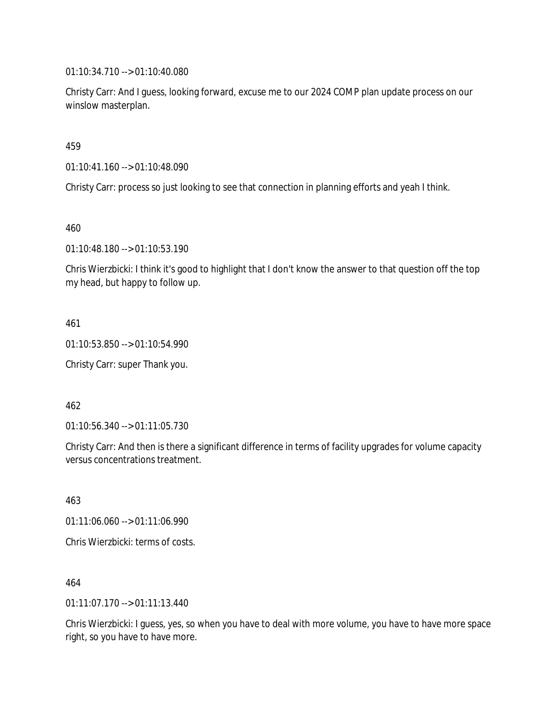01:10:34.710 --> 01:10:40.080

Christy Carr: And I guess, looking forward, excuse me to our 2024 COMP plan update process on our winslow masterplan.

459

01:10:41.160 --> 01:10:48.090

Christy Carr: process so just looking to see that connection in planning efforts and yeah I think.

460

01:10:48.180 --> 01:10:53.190

Chris Wierzbicki: I think it's good to highlight that I don't know the answer to that question off the top my head, but happy to follow up.

461

01:10:53.850 --> 01:10:54.990

Christy Carr: super Thank you.

462

01:10:56.340 --> 01:11:05.730

Christy Carr: And then is there a significant difference in terms of facility upgrades for volume capacity versus concentrations treatment.

463 01:11:06.060 --> 01:11:06.990 Chris Wierzbicki: terms of costs.

464

01:11:07.170 --> 01:11:13.440

Chris Wierzbicki: I guess, yes, so when you have to deal with more volume, you have to have more space right, so you have to have more.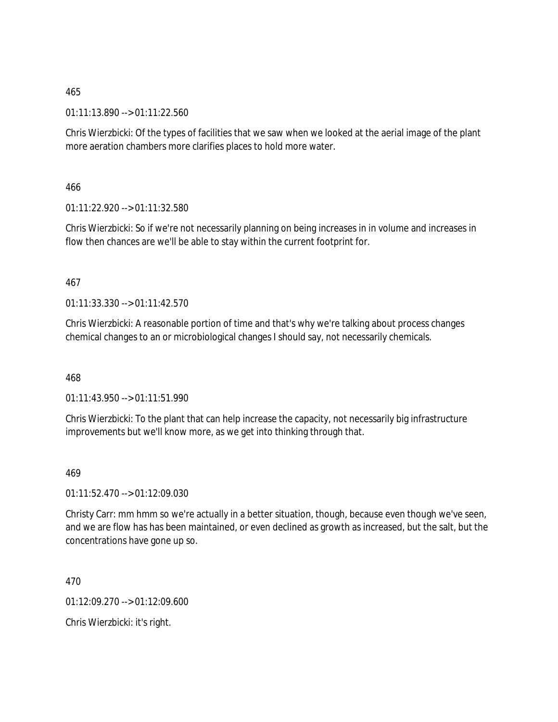01:11:13.890 --> 01:11:22.560

Chris Wierzbicki: Of the types of facilities that we saw when we looked at the aerial image of the plant more aeration chambers more clarifies places to hold more water.

466

01:11:22.920 --> 01:11:32.580

Chris Wierzbicki: So if we're not necessarily planning on being increases in in volume and increases in flow then chances are we'll be able to stay within the current footprint for.

## 467

01:11:33.330 --> 01:11:42.570

Chris Wierzbicki: A reasonable portion of time and that's why we're talking about process changes chemical changes to an or microbiological changes I should say, not necessarily chemicals.

468

01:11:43.950 --> 01:11:51.990

Chris Wierzbicki: To the plant that can help increase the capacity, not necessarily big infrastructure improvements but we'll know more, as we get into thinking through that.

## 469

01:11:52.470 --> 01:12:09.030

Christy Carr: mm hmm so we're actually in a better situation, though, because even though we've seen, and we are flow has has been maintained, or even declined as growth as increased, but the salt, but the concentrations have gone up so.

470

01:12:09.270 --> 01:12:09.600

Chris Wierzbicki: it's right.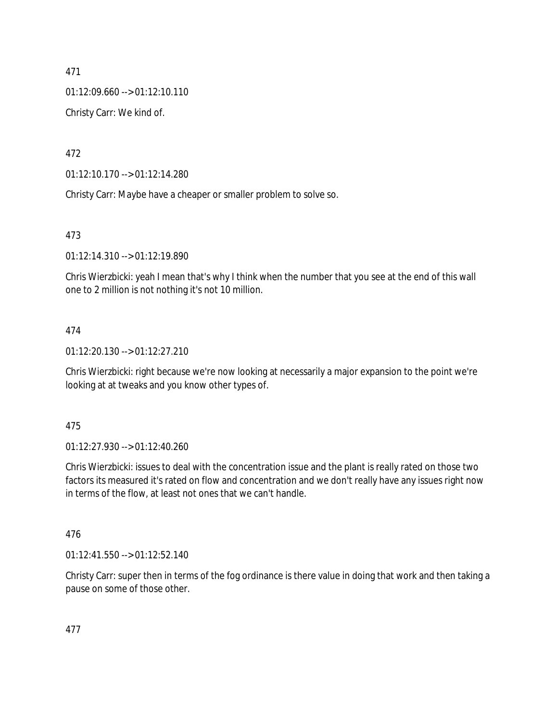01:12:09.660 --> 01:12:10.110

Christy Carr: We kind of.

472

01:12:10.170 --> 01:12:14.280

Christy Carr: Maybe have a cheaper or smaller problem to solve so.

## 473

01:12:14.310 --> 01:12:19.890

Chris Wierzbicki: yeah I mean that's why I think when the number that you see at the end of this wall one to 2 million is not nothing it's not 10 million.

# 474

01:12:20.130 --> 01:12:27.210

Chris Wierzbicki: right because we're now looking at necessarily a major expansion to the point we're looking at at tweaks and you know other types of.

# 475

01:12:27.930 --> 01:12:40.260

Chris Wierzbicki: issues to deal with the concentration issue and the plant is really rated on those two factors its measured it's rated on flow and concentration and we don't really have any issues right now in terms of the flow, at least not ones that we can't handle.

# 476

01:12:41.550 --> 01:12:52.140

Christy Carr: super then in terms of the fog ordinance is there value in doing that work and then taking a pause on some of those other.

477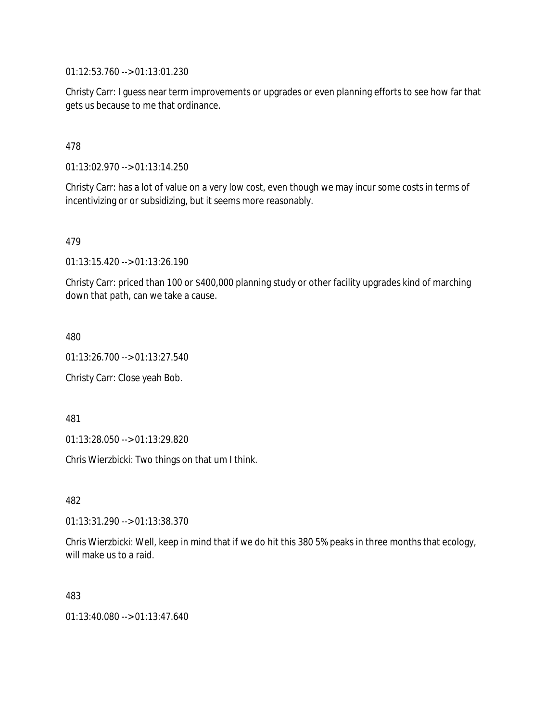01:12:53.760 --> 01:13:01.230

Christy Carr: I guess near term improvements or upgrades or even planning efforts to see how far that gets us because to me that ordinance.

478

01:13:02.970 --> 01:13:14.250

Christy Carr: has a lot of value on a very low cost, even though we may incur some costs in terms of incentivizing or or subsidizing, but it seems more reasonably.

479

01:13:15.420 --> 01:13:26.190

Christy Carr: priced than 100 or \$400,000 planning study or other facility upgrades kind of marching down that path, can we take a cause.

480

01:13:26.700 --> 01:13:27.540

Christy Carr: Close yeah Bob.

481

01:13:28.050 --> 01:13:29.820

Chris Wierzbicki: Two things on that um I think.

482

01:13:31.290 --> 01:13:38.370

Chris Wierzbicki: Well, keep in mind that if we do hit this 380 5% peaks in three months that ecology, will make us to a raid.

483

01:13:40.080 --> 01:13:47.640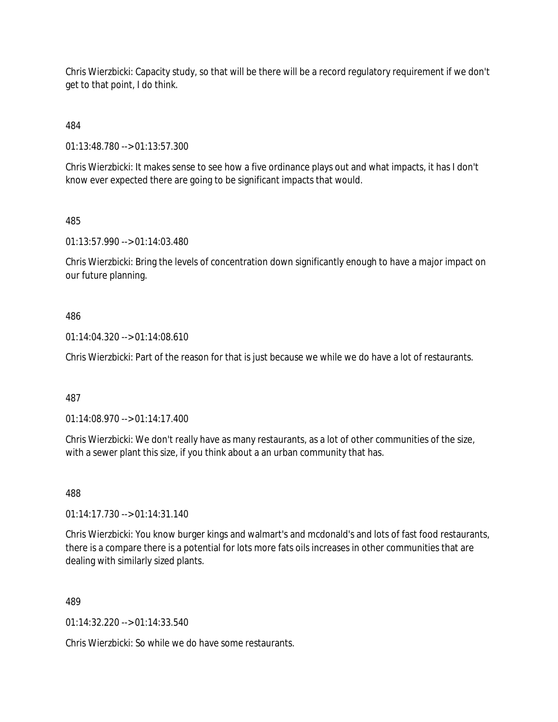Chris Wierzbicki: Capacity study, so that will be there will be a record regulatory requirement if we don't get to that point, I do think.

484

01:13:48.780 --> 01:13:57.300

Chris Wierzbicki: It makes sense to see how a five ordinance plays out and what impacts, it has I don't know ever expected there are going to be significant impacts that would.

## 485

01:13:57.990 --> 01:14:03.480

Chris Wierzbicki: Bring the levels of concentration down significantly enough to have a major impact on our future planning.

## 486

01:14:04.320 --> 01:14:08.610

Chris Wierzbicki: Part of the reason for that is just because we while we do have a lot of restaurants.

## 487

01:14:08.970 --> 01:14:17.400

Chris Wierzbicki: We don't really have as many restaurants, as a lot of other communities of the size, with a sewer plant this size, if you think about a an urban community that has.

488

01:14:17.730 --> 01:14:31.140

Chris Wierzbicki: You know burger kings and walmart's and mcdonald's and lots of fast food restaurants, there is a compare there is a potential for lots more fats oils increases in other communities that are dealing with similarly sized plants.

# 489

01:14:32.220 --> 01:14:33.540

Chris Wierzbicki: So while we do have some restaurants.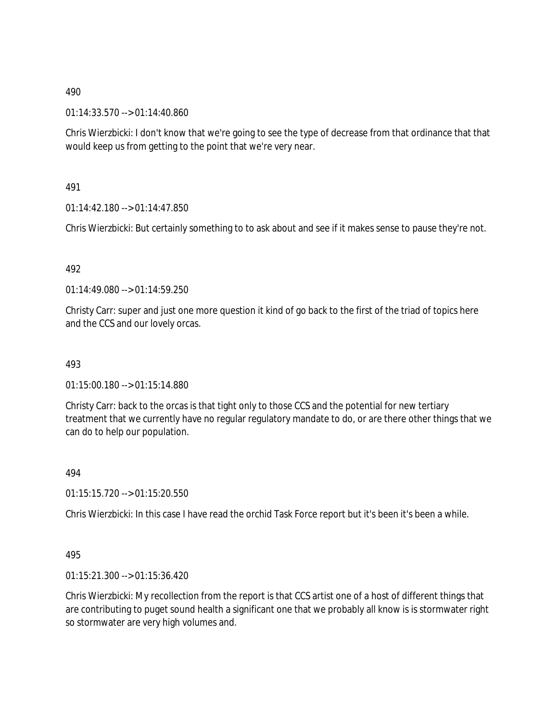01:14:33.570 --> 01:14:40.860

Chris Wierzbicki: I don't know that we're going to see the type of decrease from that ordinance that that would keep us from getting to the point that we're very near.

491

01:14:42.180 --> 01:14:47.850

Chris Wierzbicki: But certainly something to to ask about and see if it makes sense to pause they're not.

492

01:14:49.080 --> 01:14:59.250

Christy Carr: super and just one more question it kind of go back to the first of the triad of topics here and the CCS and our lovely orcas.

493

01:15:00.180 --> 01:15:14.880

Christy Carr: back to the orcas is that tight only to those CCS and the potential for new tertiary treatment that we currently have no regular regulatory mandate to do, or are there other things that we can do to help our population.

494

01:15:15.720 --> 01:15:20.550

Chris Wierzbicki: In this case I have read the orchid Task Force report but it's been it's been a while.

495

01:15:21.300 --> 01:15:36.420

Chris Wierzbicki: My recollection from the report is that CCS artist one of a host of different things that are contributing to puget sound health a significant one that we probably all know is is stormwater right so stormwater are very high volumes and.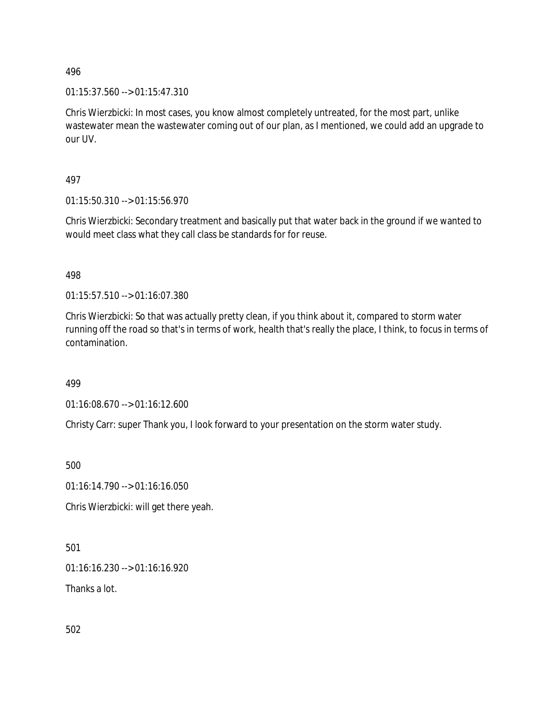01:15:37.560 --> 01:15:47.310

Chris Wierzbicki: In most cases, you know almost completely untreated, for the most part, unlike wastewater mean the wastewater coming out of our plan, as I mentioned, we could add an upgrade to our UV.

497

01:15:50.310 --> 01:15:56.970

Chris Wierzbicki: Secondary treatment and basically put that water back in the ground if we wanted to would meet class what they call class be standards for for reuse.

498

01:15:57.510 --> 01:16:07.380

Chris Wierzbicki: So that was actually pretty clean, if you think about it, compared to storm water running off the road so that's in terms of work, health that's really the place, I think, to focus in terms of contamination.

499

01:16:08.670 --> 01:16:12.600

Christy Carr: super Thank you, I look forward to your presentation on the storm water study.

500

01:16:14.790 --> 01:16:16.050

Chris Wierzbicki: will get there yeah.

501

01:16:16.230 --> 01:16:16.920

Thanks a lot.

502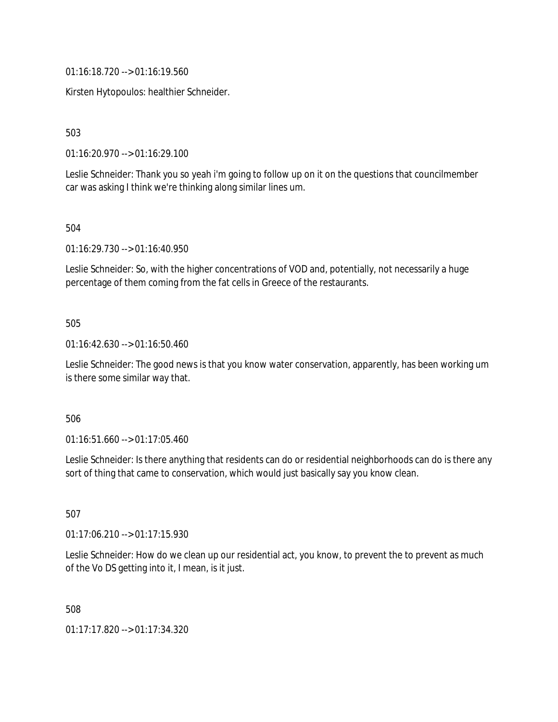01:16:18.720 --> 01:16:19.560

Kirsten Hytopoulos: healthier Schneider.

503

01:16:20.970 --> 01:16:29.100

Leslie Schneider: Thank you so yeah i'm going to follow up on it on the questions that councilmember car was asking I think we're thinking along similar lines um.

504

01:16:29.730 --> 01:16:40.950

Leslie Schneider: So, with the higher concentrations of VOD and, potentially, not necessarily a huge percentage of them coming from the fat cells in Greece of the restaurants.

## 505

01:16:42.630 --> 01:16:50.460

Leslie Schneider: The good news is that you know water conservation, apparently, has been working um is there some similar way that.

#### 506

01:16:51.660 --> 01:17:05.460

Leslie Schneider: Is there anything that residents can do or residential neighborhoods can do is there any sort of thing that came to conservation, which would just basically say you know clean.

507

01:17:06.210 --> 01:17:15.930

Leslie Schneider: How do we clean up our residential act, you know, to prevent the to prevent as much of the Vo DS getting into it, I mean, is it just.

508

01:17:17.820 --> 01:17:34.320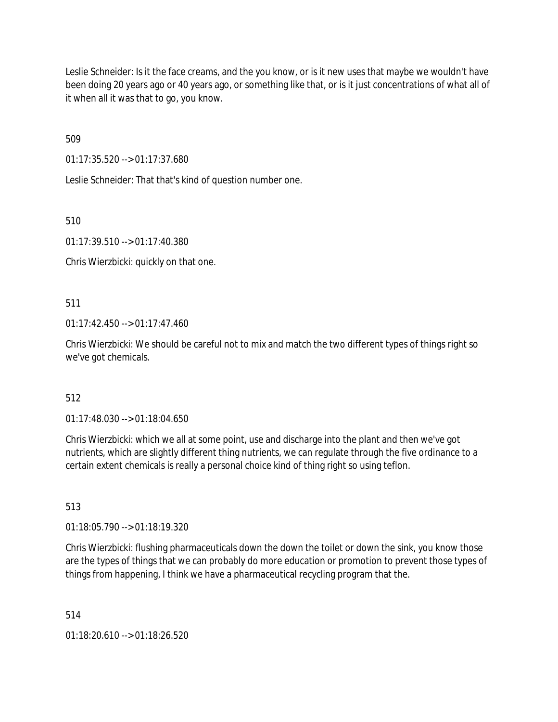Leslie Schneider: Is it the face creams, and the you know, or is it new uses that maybe we wouldn't have been doing 20 years ago or 40 years ago, or something like that, or is it just concentrations of what all of it when all it was that to go, you know.

509

01:17:35.520 --> 01:17:37.680

Leslie Schneider: That that's kind of question number one.

510

01:17:39.510 --> 01:17:40.380

Chris Wierzbicki: quickly on that one.

511

01:17:42.450 --> 01:17:47.460

Chris Wierzbicki: We should be careful not to mix and match the two different types of things right so we've got chemicals.

## 512

01:17:48.030 --> 01:18:04.650

Chris Wierzbicki: which we all at some point, use and discharge into the plant and then we've got nutrients, which are slightly different thing nutrients, we can regulate through the five ordinance to a certain extent chemicals is really a personal choice kind of thing right so using teflon.

513

01:18:05.790 --> 01:18:19.320

Chris Wierzbicki: flushing pharmaceuticals down the down the toilet or down the sink, you know those are the types of things that we can probably do more education or promotion to prevent those types of things from happening, I think we have a pharmaceutical recycling program that the.

514

01:18:20.610 --> 01:18:26.520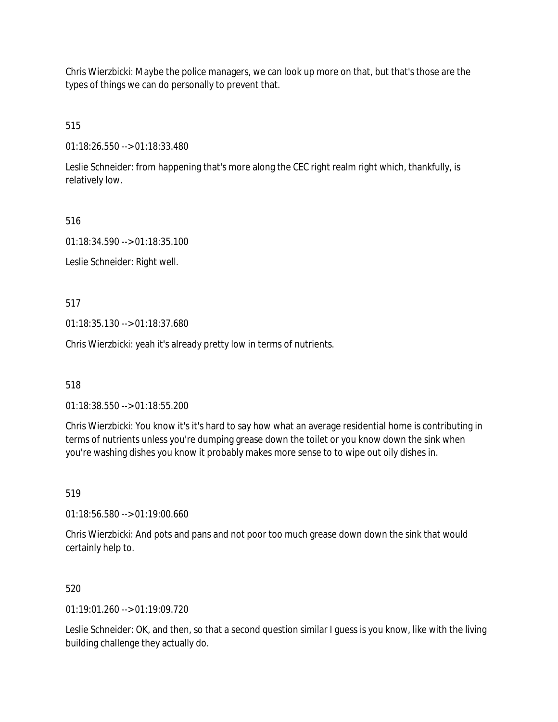Chris Wierzbicki: Maybe the police managers, we can look up more on that, but that's those are the types of things we can do personally to prevent that.

515

01:18:26.550 --> 01:18:33.480

Leslie Schneider: from happening that's more along the CEC right realm right which, thankfully, is relatively low.

516

01:18:34.590 --> 01:18:35.100

Leslie Schneider: Right well.

517

01:18:35.130 --> 01:18:37.680

Chris Wierzbicki: yeah it's already pretty low in terms of nutrients.

518

01:18:38.550 --> 01:18:55.200

Chris Wierzbicki: You know it's it's hard to say how what an average residential home is contributing in terms of nutrients unless you're dumping grease down the toilet or you know down the sink when you're washing dishes you know it probably makes more sense to to wipe out oily dishes in.

519

01:18:56.580 --> 01:19:00.660

Chris Wierzbicki: And pots and pans and not poor too much grease down down the sink that would certainly help to.

520

 $01.19.01.260 - 01.19.09.720$ 

Leslie Schneider: OK, and then, so that a second question similar I guess is you know, like with the living building challenge they actually do.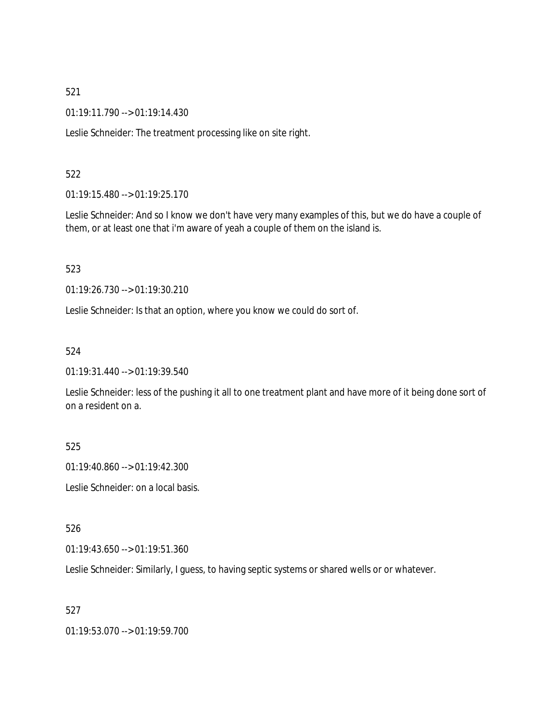01:19:11.790 --> 01:19:14.430

Leslie Schneider: The treatment processing like on site right.

## 522

01:19:15.480 --> 01:19:25.170

Leslie Schneider: And so I know we don't have very many examples of this, but we do have a couple of them, or at least one that i'm aware of yeah a couple of them on the island is.

#### 523

01:19:26.730 --> 01:19:30.210

Leslie Schneider: Is that an option, where you know we could do sort of.

#### 524

01:19:31.440 --> 01:19:39.540

Leslie Schneider: less of the pushing it all to one treatment plant and have more of it being done sort of on a resident on a.

## 525

01:19:40.860 --> 01:19:42.300

Leslie Schneider: on a local basis.

## 526

01:19:43.650 --> 01:19:51.360

Leslie Schneider: Similarly, I guess, to having septic systems or shared wells or or whatever.

## 527

01:19:53.070 --> 01:19:59.700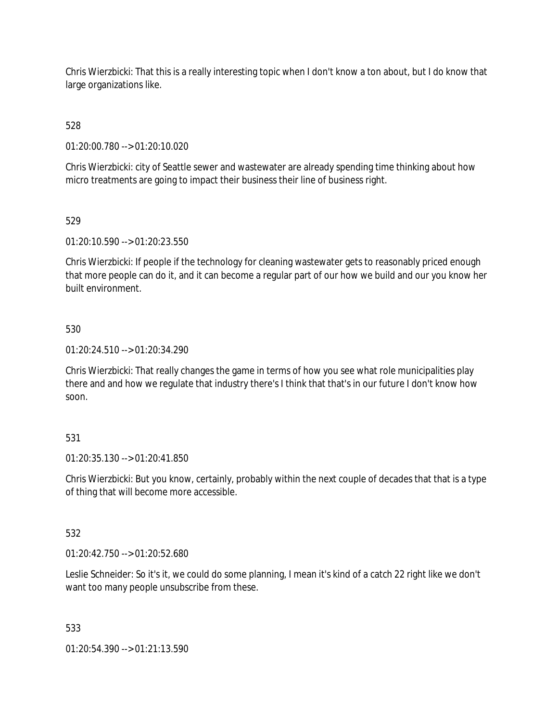Chris Wierzbicki: That this is a really interesting topic when I don't know a ton about, but I do know that large organizations like.

528

01:20:00.780 --> 01:20:10.020

Chris Wierzbicki: city of Seattle sewer and wastewater are already spending time thinking about how micro treatments are going to impact their business their line of business right.

## 529

01:20:10.590 --> 01:20:23.550

Chris Wierzbicki: If people if the technology for cleaning wastewater gets to reasonably priced enough that more people can do it, and it can become a regular part of our how we build and our you know her built environment.

## 530

01:20:24.510 --> 01:20:34.290

Chris Wierzbicki: That really changes the game in terms of how you see what role municipalities play there and and how we regulate that industry there's I think that that's in our future I don't know how soon.

# 531

01:20:35.130 --> 01:20:41.850

Chris Wierzbicki: But you know, certainly, probably within the next couple of decades that that is a type of thing that will become more accessible.

## 532

01:20:42.750 --> 01:20:52.680

Leslie Schneider: So it's it, we could do some planning, I mean it's kind of a catch 22 right like we don't want too many people unsubscribe from these.

## 533

01:20:54.390 --> 01:21:13.590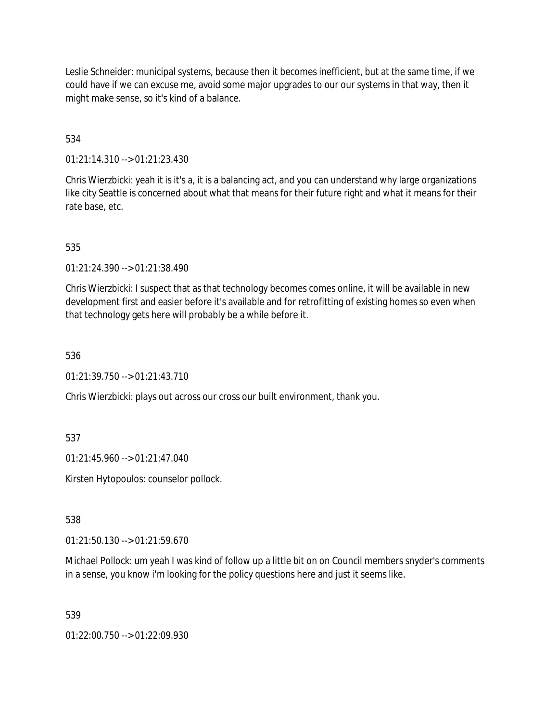Leslie Schneider: municipal systems, because then it becomes inefficient, but at the same time, if we could have if we can excuse me, avoid some major upgrades to our our systems in that way, then it might make sense, so it's kind of a balance.

534

01:21:14.310 --> 01:21:23.430

Chris Wierzbicki: yeah it is it's a, it is a balancing act, and you can understand why large organizations like city Seattle is concerned about what that means for their future right and what it means for their rate base, etc.

535

01:21:24.390 --> 01:21:38.490

Chris Wierzbicki: I suspect that as that technology becomes comes online, it will be available in new development first and easier before it's available and for retrofitting of existing homes so even when that technology gets here will probably be a while before it.

536

01:21:39.750 --> 01:21:43.710

Chris Wierzbicki: plays out across our cross our built environment, thank you.

537

01:21:45.960 --> 01:21:47.040

Kirsten Hytopoulos: counselor pollock.

538

01:21:50.130 --> 01:21:59.670

Michael Pollock: um yeah I was kind of follow up a little bit on on Council members snyder's comments in a sense, you know i'm looking for the policy questions here and just it seems like.

539

01:22:00.750 --> 01:22:09.930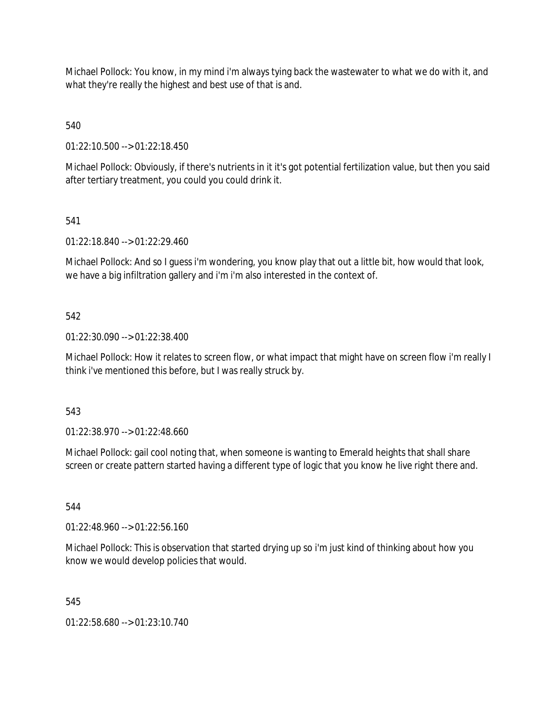Michael Pollock: You know, in my mind i'm always tying back the wastewater to what we do with it, and what they're really the highest and best use of that is and.

540

01:22:10.500 --> 01:22:18.450

Michael Pollock: Obviously, if there's nutrients in it it's got potential fertilization value, but then you said after tertiary treatment, you could you could drink it.

## 541

01:22:18.840 --> 01:22:29.460

Michael Pollock: And so I guess i'm wondering, you know play that out a little bit, how would that look, we have a big infiltration gallery and i'm i'm also interested in the context of.

## 542

01:22:30.090 --> 01:22:38.400

Michael Pollock: How it relates to screen flow, or what impact that might have on screen flow i'm really I think i've mentioned this before, but I was really struck by.

## 543

01:22:38.970 --> 01:22:48.660

Michael Pollock: gail cool noting that, when someone is wanting to Emerald heights that shall share screen or create pattern started having a different type of logic that you know he live right there and.

## 544

01:22:48.960 --> 01:22:56.160

Michael Pollock: This is observation that started drying up so i'm just kind of thinking about how you know we would develop policies that would.

## 545

01:22:58.680 --> 01:23:10.740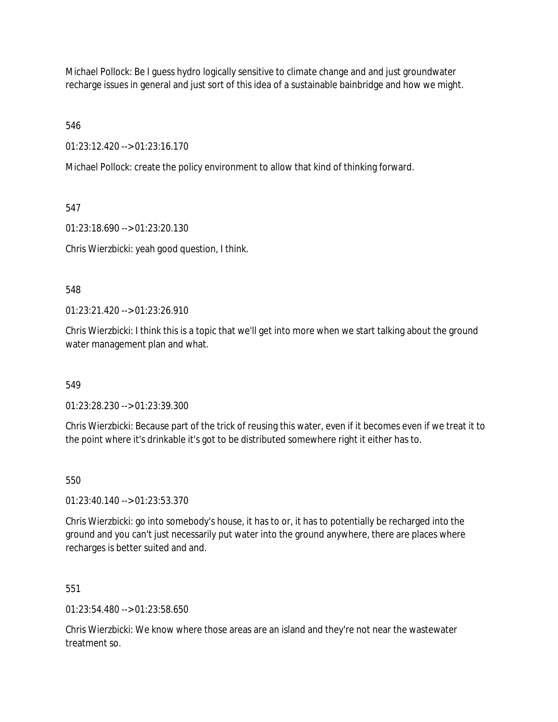Michael Pollock: Be I guess hydro logically sensitive to climate change and and just groundwater recharge issues in general and just sort of this idea of a sustainable bainbridge and how we might.

546

01:23:12.420 --> 01:23:16.170

Michael Pollock: create the policy environment to allow that kind of thinking forward.

547

01:23:18.690 --> 01:23:20.130

Chris Wierzbicki: yeah good question, I think.

548

01:23:21.420 --> 01:23:26.910

Chris Wierzbicki: I think this is a topic that we'll get into more when we start talking about the ground water management plan and what.

549

01:23:28.230 --> 01:23:39.300

Chris Wierzbicki: Because part of the trick of reusing this water, even if it becomes even if we treat it to the point where it's drinkable it's got to be distributed somewhere right it either has to.

550

01:23:40.140 --> 01:23:53.370

Chris Wierzbicki: go into somebody's house, it has to or, it has to potentially be recharged into the ground and you can't just necessarily put water into the ground anywhere, there are places where recharges is better suited and and.

551

01:23:54.480 --> 01:23:58.650

Chris Wierzbicki: We know where those areas are an island and they're not near the wastewater treatment so.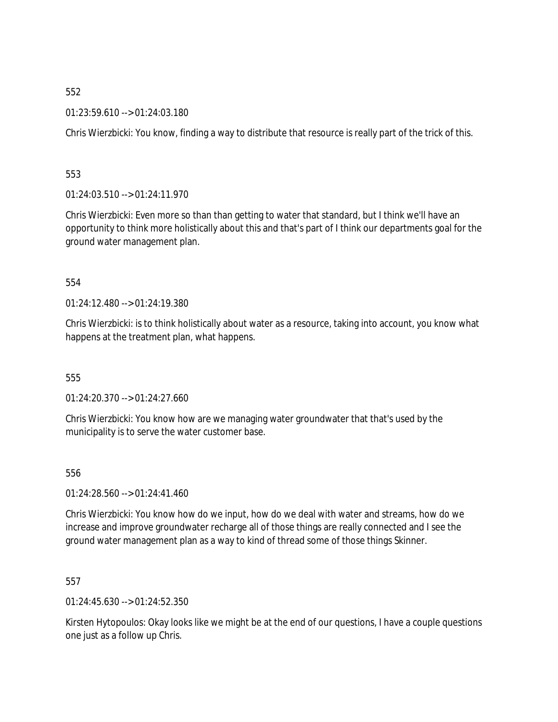01:23:59.610 --> 01:24:03.180

Chris Wierzbicki: You know, finding a way to distribute that resource is really part of the trick of this.

553

01:24:03.510 --> 01:24:11.970

Chris Wierzbicki: Even more so than than getting to water that standard, but I think we'll have an opportunity to think more holistically about this and that's part of I think our departments goal for the ground water management plan.

554

01:24:12.480 --> 01:24:19.380

Chris Wierzbicki: is to think holistically about water as a resource, taking into account, you know what happens at the treatment plan, what happens.

555

01:24:20.370 --> 01:24:27.660

Chris Wierzbicki: You know how are we managing water groundwater that that's used by the municipality is to serve the water customer base.

556

01:24:28.560 --> 01:24:41.460

Chris Wierzbicki: You know how do we input, how do we deal with water and streams, how do we increase and improve groundwater recharge all of those things are really connected and I see the ground water management plan as a way to kind of thread some of those things Skinner.

557

01:24:45.630 --> 01:24:52.350

Kirsten Hytopoulos: Okay looks like we might be at the end of our questions, I have a couple questions one just as a follow up Chris.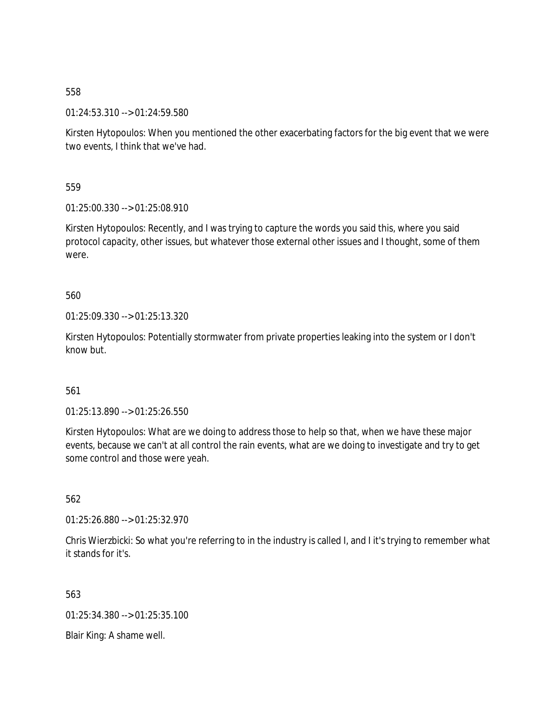01:24:53.310 --> 01:24:59.580

Kirsten Hytopoulos: When you mentioned the other exacerbating factors for the big event that we were two events, I think that we've had.

559

01:25:00.330 --> 01:25:08.910

Kirsten Hytopoulos: Recently, and I was trying to capture the words you said this, where you said protocol capacity, other issues, but whatever those external other issues and I thought, some of them were.

560

01:25:09.330 --> 01:25:13.320

Kirsten Hytopoulos: Potentially stormwater from private properties leaking into the system or I don't know but.

561

01:25:13.890 --> 01:25:26.550

Kirsten Hytopoulos: What are we doing to address those to help so that, when we have these major events, because we can't at all control the rain events, what are we doing to investigate and try to get some control and those were yeah.

562

01:25:26.880 --> 01:25:32.970

Chris Wierzbicki: So what you're referring to in the industry is called I, and I it's trying to remember what it stands for it's.

563

01:25:34.380 --> 01:25:35.100

Blair King: A shame well.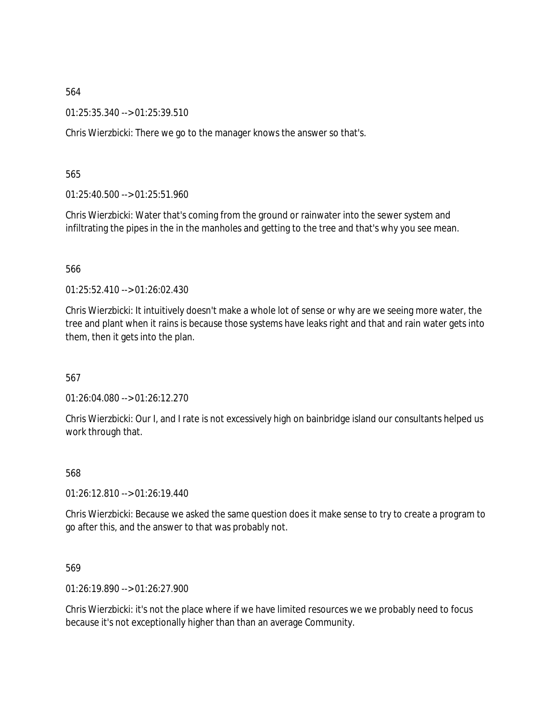01:25:35.340 --> 01:25:39.510

Chris Wierzbicki: There we go to the manager knows the answer so that's.

565

01:25:40.500 --> 01:25:51.960

Chris Wierzbicki: Water that's coming from the ground or rainwater into the sewer system and infiltrating the pipes in the in the manholes and getting to the tree and that's why you see mean.

566

01:25:52.410 --> 01:26:02.430

Chris Wierzbicki: It intuitively doesn't make a whole lot of sense or why are we seeing more water, the tree and plant when it rains is because those systems have leaks right and that and rain water gets into them, then it gets into the plan.

567

01:26:04.080 --> 01:26:12.270

Chris Wierzbicki: Our I, and I rate is not excessively high on bainbridge island our consultants helped us work through that.

568

01:26:12.810 --> 01:26:19.440

Chris Wierzbicki: Because we asked the same question does it make sense to try to create a program to go after this, and the answer to that was probably not.

569

01:26:19.890 --> 01:26:27.900

Chris Wierzbicki: it's not the place where if we have limited resources we we probably need to focus because it's not exceptionally higher than than an average Community.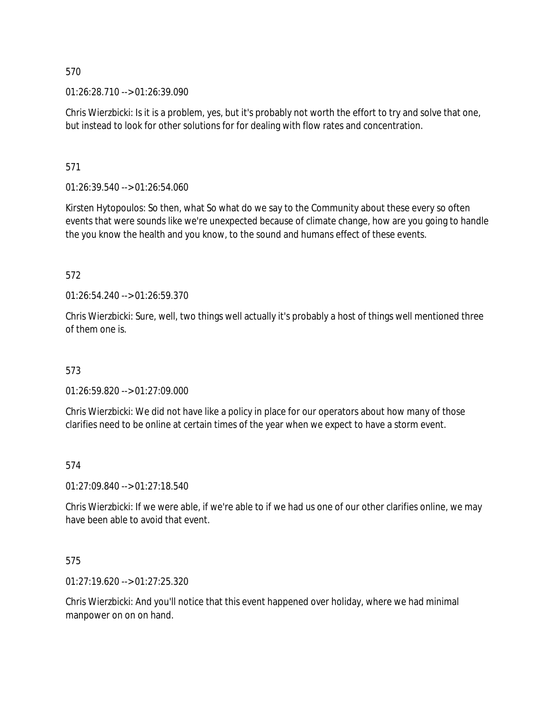01:26:28.710 --> 01:26:39.090

Chris Wierzbicki: Is it is a problem, yes, but it's probably not worth the effort to try and solve that one, but instead to look for other solutions for for dealing with flow rates and concentration.

571

01:26:39.540 --> 01:26:54.060

Kirsten Hytopoulos: So then, what So what do we say to the Community about these every so often events that were sounds like we're unexpected because of climate change, how are you going to handle the you know the health and you know, to the sound and humans effect of these events.

572

01:26:54.240 --> 01:26:59.370

Chris Wierzbicki: Sure, well, two things well actually it's probably a host of things well mentioned three of them one is.

573

01:26:59.820 --> 01:27:09.000

Chris Wierzbicki: We did not have like a policy in place for our operators about how many of those clarifies need to be online at certain times of the year when we expect to have a storm event.

## 574

01:27:09.840 --> 01:27:18.540

Chris Wierzbicki: If we were able, if we're able to if we had us one of our other clarifies online, we may have been able to avoid that event.

## 575

01:27:19.620 --> 01:27:25.320

Chris Wierzbicki: And you'll notice that this event happened over holiday, where we had minimal manpower on on on hand.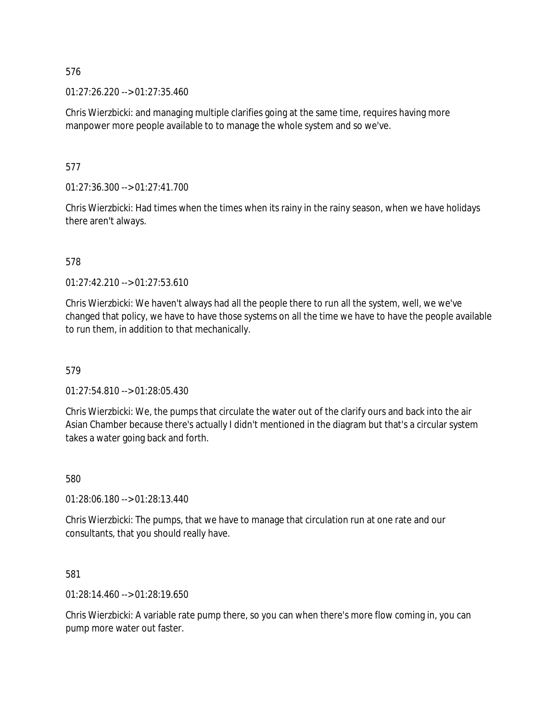01:27:26.220 --> 01:27:35.460

Chris Wierzbicki: and managing multiple clarifies going at the same time, requires having more manpower more people available to to manage the whole system and so we've.

577

01:27:36.300 --> 01:27:41.700

Chris Wierzbicki: Had times when the times when its rainy in the rainy season, when we have holidays there aren't always.

578

01:27:42.210 --> 01:27:53.610

Chris Wierzbicki: We haven't always had all the people there to run all the system, well, we we've changed that policy, we have to have those systems on all the time we have to have the people available to run them, in addition to that mechanically.

579

01:27:54.810 --> 01:28:05.430

Chris Wierzbicki: We, the pumps that circulate the water out of the clarify ours and back into the air Asian Chamber because there's actually I didn't mentioned in the diagram but that's a circular system takes a water going back and forth.

580

01:28:06.180 --> 01:28:13.440

Chris Wierzbicki: The pumps, that we have to manage that circulation run at one rate and our consultants, that you should really have.

581

01:28:14.460 --> 01:28:19.650

Chris Wierzbicki: A variable rate pump there, so you can when there's more flow coming in, you can pump more water out faster.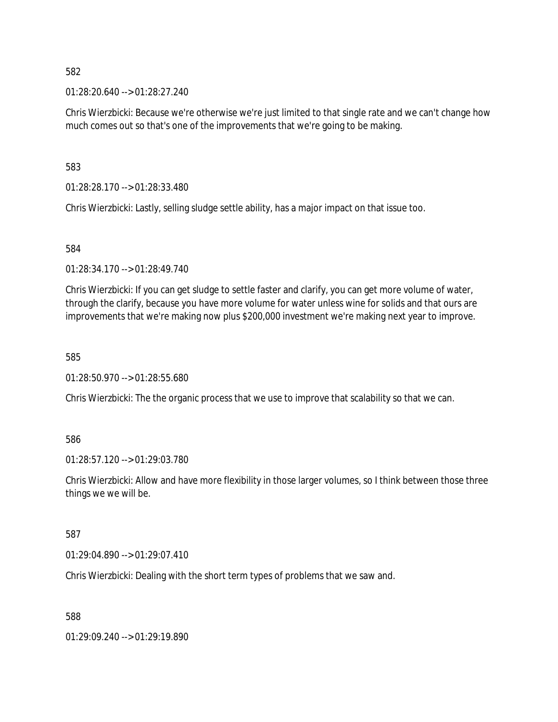01:28:20.640 --> 01:28:27.240

Chris Wierzbicki: Because we're otherwise we're just limited to that single rate and we can't change how much comes out so that's one of the improvements that we're going to be making.

583

01:28:28.170 --> 01:28:33.480

Chris Wierzbicki: Lastly, selling sludge settle ability, has a major impact on that issue too.

584

01:28:34.170 --> 01:28:49.740

Chris Wierzbicki: If you can get sludge to settle faster and clarify, you can get more volume of water, through the clarify, because you have more volume for water unless wine for solids and that ours are improvements that we're making now plus \$200,000 investment we're making next year to improve.

585

01:28:50.970 --> 01:28:55.680

Chris Wierzbicki: The the organic process that we use to improve that scalability so that we can.

## 586

01:28:57.120 --> 01:29:03.780

Chris Wierzbicki: Allow and have more flexibility in those larger volumes, so I think between those three things we we will be.

## 587

01:29:04.890 --> 01:29:07.410

Chris Wierzbicki: Dealing with the short term types of problems that we saw and.

588

01:29:09.240 --> 01:29:19.890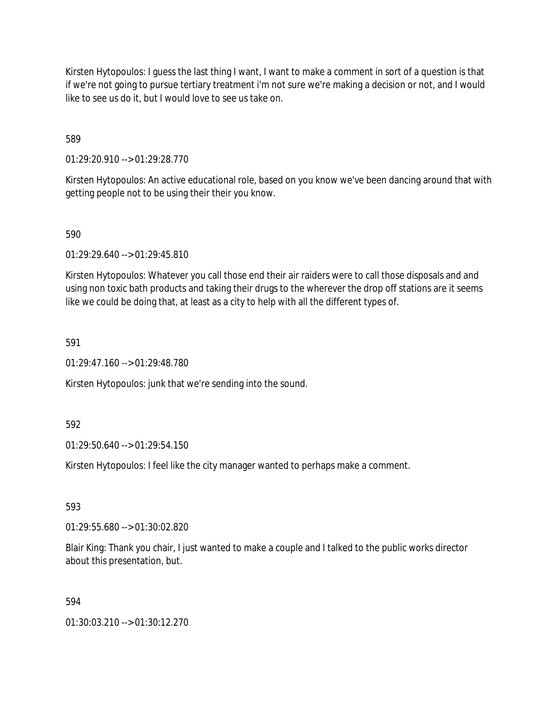Kirsten Hytopoulos: I guess the last thing I want, I want to make a comment in sort of a question is that if we're not going to pursue tertiary treatment i'm not sure we're making a decision or not, and I would like to see us do it, but I would love to see us take on.

589

01:29:20.910 --> 01:29:28.770

Kirsten Hytopoulos: An active educational role, based on you know we've been dancing around that with getting people not to be using their their you know.

590

01:29:29.640 --> 01:29:45.810

Kirsten Hytopoulos: Whatever you call those end their air raiders were to call those disposals and and using non toxic bath products and taking their drugs to the wherever the drop off stations are it seems like we could be doing that, at least as a city to help with all the different types of.

591

01:29:47.160 --> 01:29:48.780

Kirsten Hytopoulos: junk that we're sending into the sound.

592

01:29:50.640 --> 01:29:54.150

Kirsten Hytopoulos: I feel like the city manager wanted to perhaps make a comment.

593

01:29:55.680 --> 01:30:02.820

Blair King: Thank you chair, I just wanted to make a couple and I talked to the public works director about this presentation, but.

594

01:30:03.210 --> 01:30:12.270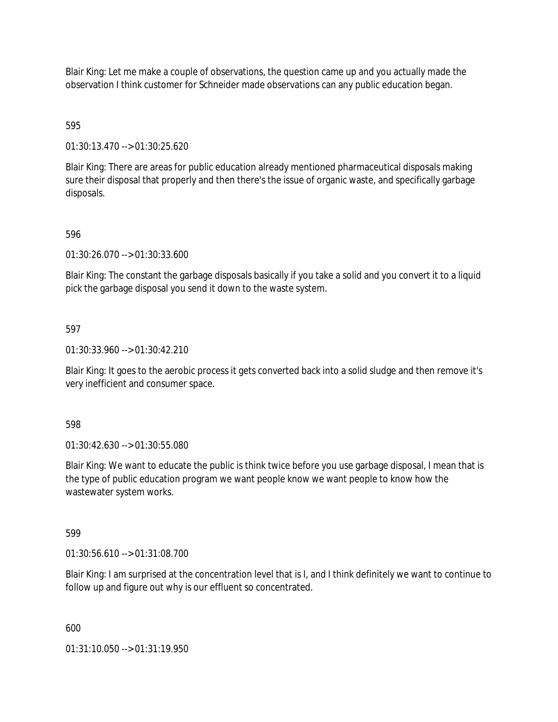Blair King: Let me make a couple of observations, the question came up and you actually made the observation I think customer for Schneider made observations can any public education began.

# 595

01:30:13.470 --> 01:30:25.620

Blair King: There are areas for public education already mentioned pharmaceutical disposals making sure their disposal that properly and then there's the issue of organic waste, and specifically garbage disposals.

## 596

01:30:26.070 --> 01:30:33.600

Blair King: The constant the garbage disposals basically if you take a solid and you convert it to a liquid pick the garbage disposal you send it down to the waste system.

## 597

01:30:33.960 --> 01:30:42.210

Blair King: It goes to the aerobic process it gets converted back into a solid sludge and then remove it's very inefficient and consumer space.

## 598

01:30:42.630 --> 01:30:55.080

Blair King: We want to educate the public is think twice before you use garbage disposal, I mean that is the type of public education program we want people know we want people to know how the wastewater system works.

## 599

01:30:56.610 --> 01:31:08.700

Blair King: I am surprised at the concentration level that is I, and I think definitely we want to continue to follow up and figure out why is our effluent so concentrated.

600

01:31:10.050 --> 01:31:19.950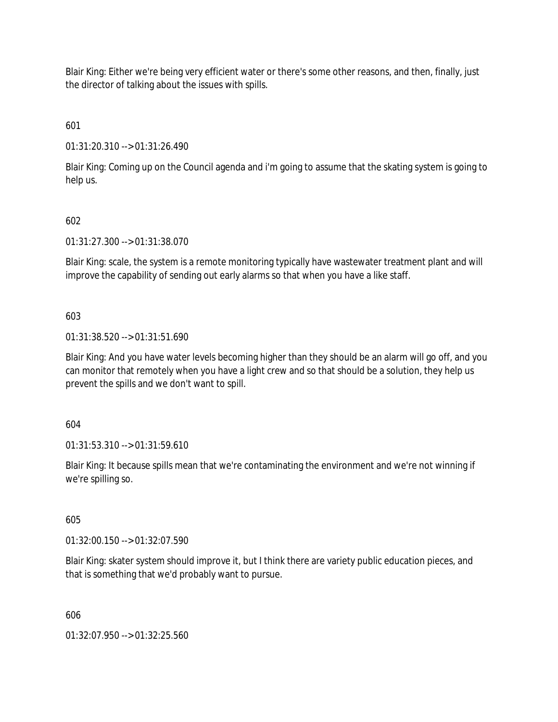Blair King: Either we're being very efficient water or there's some other reasons, and then, finally, just the director of talking about the issues with spills.

601

01:31:20.310 --> 01:31:26.490

Blair King: Coming up on the Council agenda and i'm going to assume that the skating system is going to help us.

## 602

01:31:27.300 --> 01:31:38.070

Blair King: scale, the system is a remote monitoring typically have wastewater treatment plant and will improve the capability of sending out early alarms so that when you have a like staff.

603

01:31:38.520 --> 01:31:51.690

Blair King: And you have water levels becoming higher than they should be an alarm will go off, and you can monitor that remotely when you have a light crew and so that should be a solution, they help us prevent the spills and we don't want to spill.

604

01:31:53.310 --> 01:31:59.610

Blair King: It because spills mean that we're contaminating the environment and we're not winning if we're spilling so.

605

01:32:00.150 --> 01:32:07.590

Blair King: skater system should improve it, but I think there are variety public education pieces, and that is something that we'd probably want to pursue.

606

01:32:07.950 --> 01:32:25.560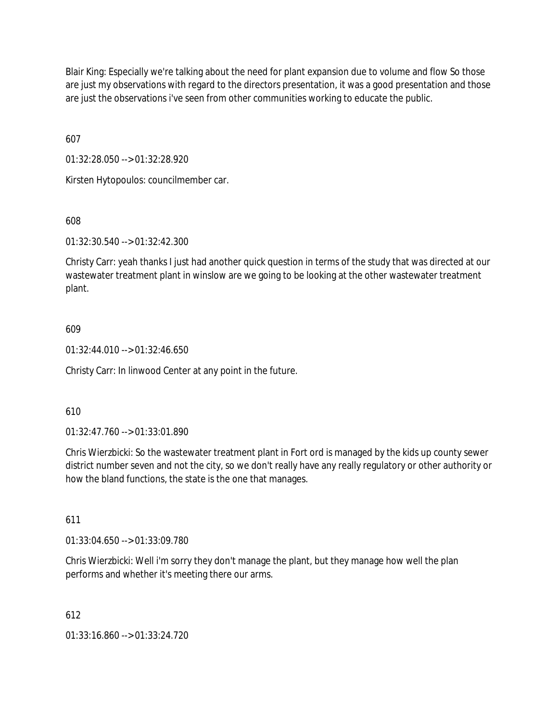Blair King: Especially we're talking about the need for plant expansion due to volume and flow So those are just my observations with regard to the directors presentation, it was a good presentation and those are just the observations i've seen from other communities working to educate the public.

607

01:32:28.050 --> 01:32:28.920

Kirsten Hytopoulos: councilmember car.

608

01:32:30.540 --> 01:32:42.300

Christy Carr: yeah thanks I just had another quick question in terms of the study that was directed at our wastewater treatment plant in winslow are we going to be looking at the other wastewater treatment plant.

## 609

01:32:44.010 --> 01:32:46.650

Christy Carr: In linwood Center at any point in the future.

## 610

01:32:47.760 --> 01:33:01.890

Chris Wierzbicki: So the wastewater treatment plant in Fort ord is managed by the kids up county sewer district number seven and not the city, so we don't really have any really regulatory or other authority or how the bland functions, the state is the one that manages.

## 611

01:33:04.650 --> 01:33:09.780

Chris Wierzbicki: Well i'm sorry they don't manage the plant, but they manage how well the plan performs and whether it's meeting there our arms.

## 612

01:33:16.860 --> 01:33:24.720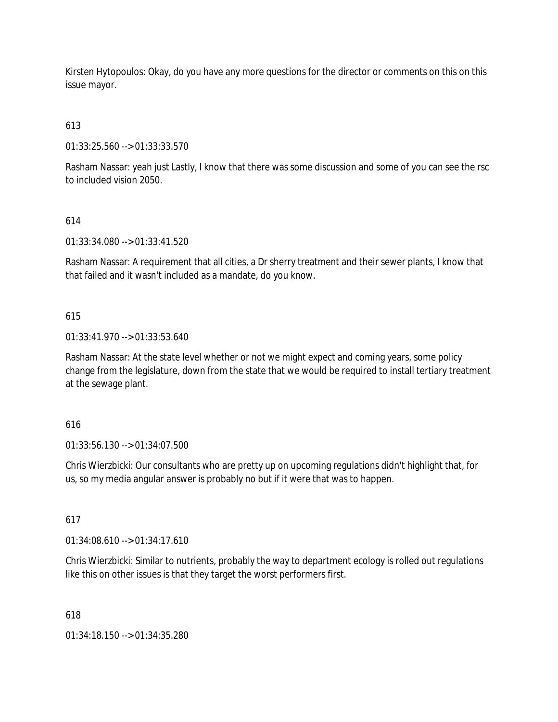Kirsten Hytopoulos: Okay, do you have any more questions for the director or comments on this on this issue mayor.

613

01:33:25.560 --> 01:33:33.570

Rasham Nassar: yeah just Lastly, I know that there was some discussion and some of you can see the rsc to included vision 2050.

# 614

01:33:34.080 --> 01:33:41.520

Rasham Nassar: A requirement that all cities, a Dr sherry treatment and their sewer plants, I know that that failed and it wasn't included as a mandate, do you know.

# 615

01:33:41.970 --> 01:33:53.640

Rasham Nassar: At the state level whether or not we might expect and coming years, some policy change from the legislature, down from the state that we would be required to install tertiary treatment at the sewage plant.

# 616

01:33:56.130 --> 01:34:07.500

Chris Wierzbicki: Our consultants who are pretty up on upcoming regulations didn't highlight that, for us, so my media angular answer is probably no but if it were that was to happen.

# 617

01:34:08.610 --> 01:34:17.610

Chris Wierzbicki: Similar to nutrients, probably the way to department ecology is rolled out regulations like this on other issues is that they target the worst performers first.

# 618

01:34:18.150 --> 01:34:35.280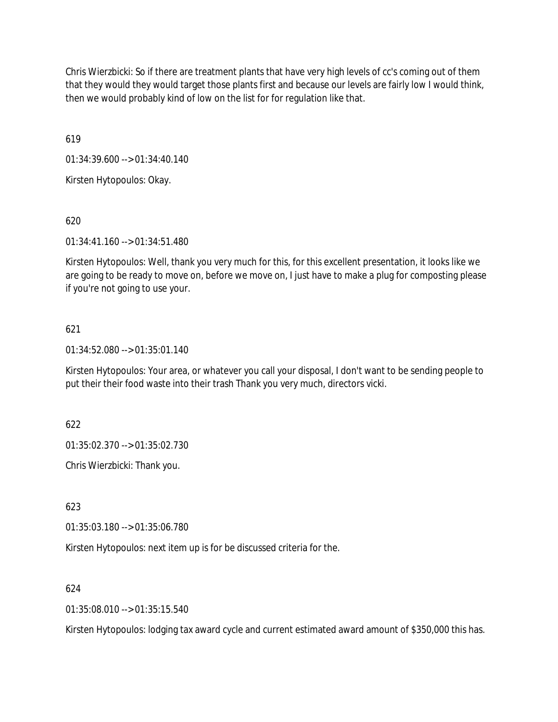Chris Wierzbicki: So if there are treatment plants that have very high levels of cc's coming out of them that they would they would target those plants first and because our levels are fairly low I would think, then we would probably kind of low on the list for for regulation like that.

619

01:34:39.600 --> 01:34:40.140

Kirsten Hytopoulos: Okay.

620

01:34:41.160 --> 01:34:51.480

Kirsten Hytopoulos: Well, thank you very much for this, for this excellent presentation, it looks like we are going to be ready to move on, before we move on, I just have to make a plug for composting please if you're not going to use your.

## 621

01:34:52.080 --> 01:35:01.140

Kirsten Hytopoulos: Your area, or whatever you call your disposal, I don't want to be sending people to put their their food waste into their trash Thank you very much, directors vicki.

622

01:35:02.370 --> 01:35:02.730

Chris Wierzbicki: Thank you.

623

01:35:03.180 --> 01:35:06.780

Kirsten Hytopoulos: next item up is for be discussed criteria for the.

624

 $01:35:08.010 \rightarrow 01:35:15.540$ 

Kirsten Hytopoulos: lodging tax award cycle and current estimated award amount of \$350,000 this has.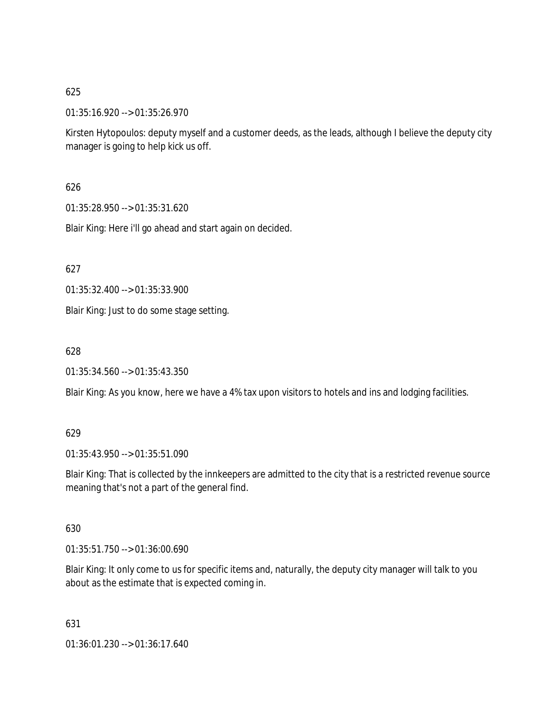01:35:16.920 --> 01:35:26.970

Kirsten Hytopoulos: deputy myself and a customer deeds, as the leads, although I believe the deputy city manager is going to help kick us off.

626

01:35:28.950 --> 01:35:31.620

Blair King: Here i'll go ahead and start again on decided.

627

01:35:32.400 --> 01:35:33.900

Blair King: Just to do some stage setting.

628

01:35:34.560 --> 01:35:43.350

Blair King: As you know, here we have a 4% tax upon visitors to hotels and ins and lodging facilities.

## 629

01:35:43.950 --> 01:35:51.090

Blair King: That is collected by the innkeepers are admitted to the city that is a restricted revenue source meaning that's not a part of the general find.

630

01:35:51.750 --> 01:36:00.690

Blair King: It only come to us for specific items and, naturally, the deputy city manager will talk to you about as the estimate that is expected coming in.

631

01:36:01.230 --> 01:36:17.640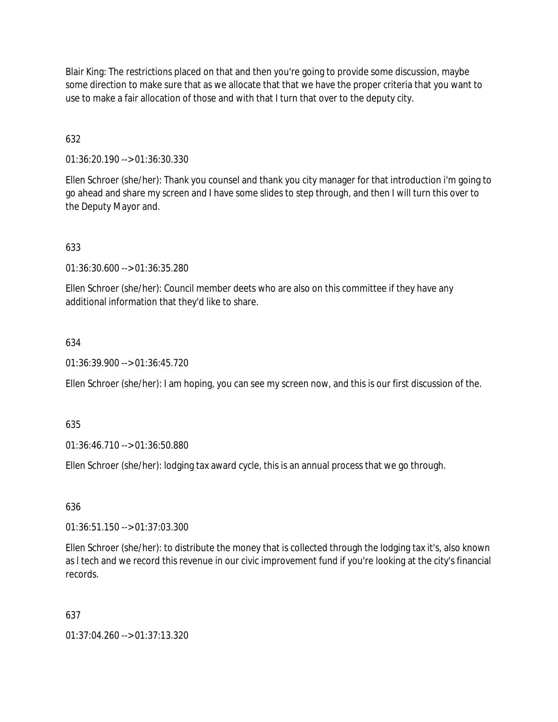Blair King: The restrictions placed on that and then you're going to provide some discussion, maybe some direction to make sure that as we allocate that that we have the proper criteria that you want to use to make a fair allocation of those and with that I turn that over to the deputy city.

632

01:36:20.190 --> 01:36:30.330

Ellen Schroer (she/her): Thank you counsel and thank you city manager for that introduction i'm going to go ahead and share my screen and I have some slides to step through, and then I will turn this over to the Deputy Mayor and.

633

01:36:30.600 --> 01:36:35.280

Ellen Schroer (she/her): Council member deets who are also on this committee if they have any additional information that they'd like to share.

634

01:36:39.900 --> 01:36:45.720

Ellen Schroer (she/her): I am hoping, you can see my screen now, and this is our first discussion of the.

635

01:36:46.710 --> 01:36:50.880

Ellen Schroer (she/her): lodging tax award cycle, this is an annual process that we go through.

636

01:36:51.150 --> 01:37:03.300

Ellen Schroer (she/her): to distribute the money that is collected through the lodging tax it's, also known as l tech and we record this revenue in our civic improvement fund if you're looking at the city's financial records.

637

01:37:04.260 --> 01:37:13.320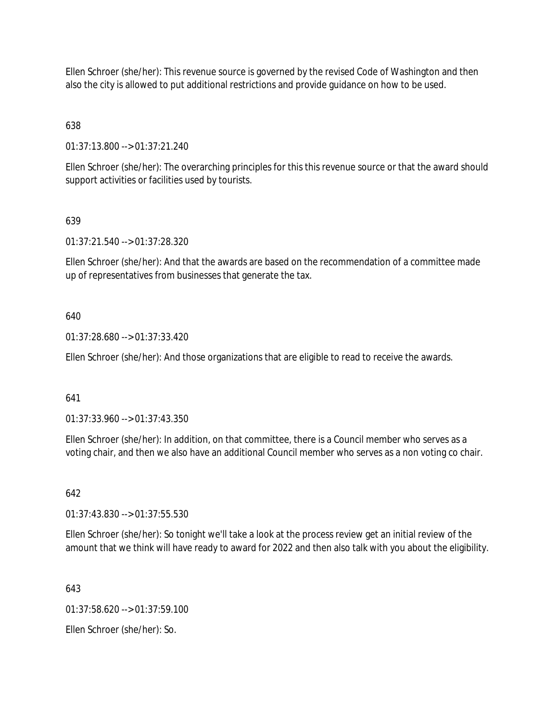Ellen Schroer (she/her): This revenue source is governed by the revised Code of Washington and then also the city is allowed to put additional restrictions and provide guidance on how to be used.

638

01:37:13.800 --> 01:37:21.240

Ellen Schroer (she/her): The overarching principles for this this revenue source or that the award should support activities or facilities used by tourists.

# 639

01:37:21.540 --> 01:37:28.320

Ellen Schroer (she/her): And that the awards are based on the recommendation of a committee made up of representatives from businesses that generate the tax.

## 640

01:37:28.680 --> 01:37:33.420

Ellen Schroer (she/her): And those organizations that are eligible to read to receive the awards.

# 641

01:37:33.960 --> 01:37:43.350

Ellen Schroer (she/her): In addition, on that committee, there is a Council member who serves as a voting chair, and then we also have an additional Council member who serves as a non voting co chair.

# 642

01:37:43.830 --> 01:37:55.530

Ellen Schroer (she/her): So tonight we'll take a look at the process review get an initial review of the amount that we think will have ready to award for 2022 and then also talk with you about the eligibility.

643

 $01:37:58.620 \rightarrow 01:37:59.100$ 

Ellen Schroer (she/her): So.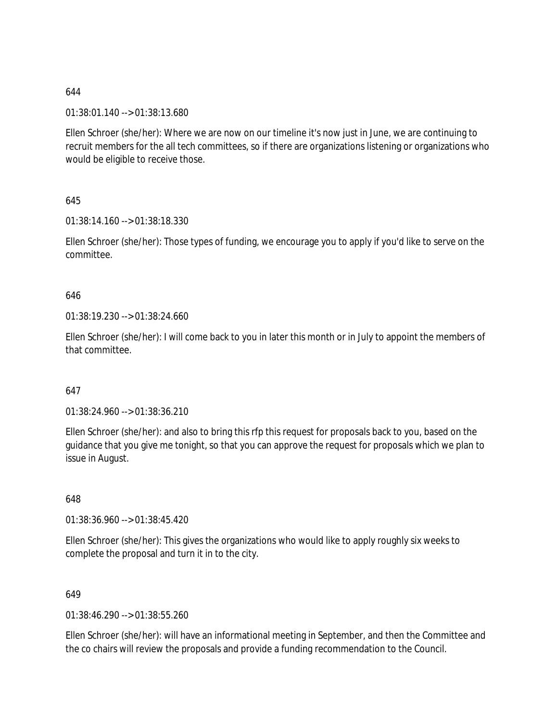01:38:01.140 --> 01:38:13.680

Ellen Schroer (she/her): Where we are now on our timeline it's now just in June, we are continuing to recruit members for the all tech committees, so if there are organizations listening or organizations who would be eligible to receive those.

645

01:38:14.160 --> 01:38:18.330

Ellen Schroer (she/her): Those types of funding, we encourage you to apply if you'd like to serve on the committee.

## 646

01:38:19.230 --> 01:38:24.660

Ellen Schroer (she/her): I will come back to you in later this month or in July to appoint the members of that committee.

## 647

01:38:24.960 --> 01:38:36.210

Ellen Schroer (she/her): and also to bring this rfp this request for proposals back to you, based on the guidance that you give me tonight, so that you can approve the request for proposals which we plan to issue in August.

648

01:38:36.960 --> 01:38:45.420

Ellen Schroer (she/her): This gives the organizations who would like to apply roughly six weeks to complete the proposal and turn it in to the city.

## 649

01:38:46.290 --> 01:38:55.260

Ellen Schroer (she/her): will have an informational meeting in September, and then the Committee and the co chairs will review the proposals and provide a funding recommendation to the Council.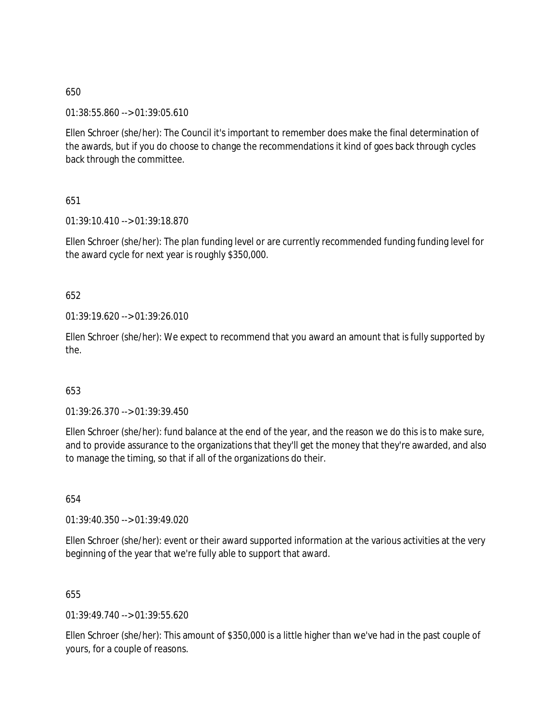01:38:55.860 --> 01:39:05.610

Ellen Schroer (she/her): The Council it's important to remember does make the final determination of the awards, but if you do choose to change the recommendations it kind of goes back through cycles back through the committee.

651

01:39:10.410 --> 01:39:18.870

Ellen Schroer (she/her): The plan funding level or are currently recommended funding funding level for the award cycle for next year is roughly \$350,000.

652

01:39:19.620 --> 01:39:26.010

Ellen Schroer (she/her): We expect to recommend that you award an amount that is fully supported by the.

## 653

01:39:26.370 --> 01:39:39.450

Ellen Schroer (she/her): fund balance at the end of the year, and the reason we do this is to make sure, and to provide assurance to the organizations that they'll get the money that they're awarded, and also to manage the timing, so that if all of the organizations do their.

654

01:39:40.350 --> 01:39:49.020

Ellen Schroer (she/her): event or their award supported information at the various activities at the very beginning of the year that we're fully able to support that award.

655

01:39:49.740 --> 01:39:55.620

Ellen Schroer (she/her): This amount of \$350,000 is a little higher than we've had in the past couple of yours, for a couple of reasons.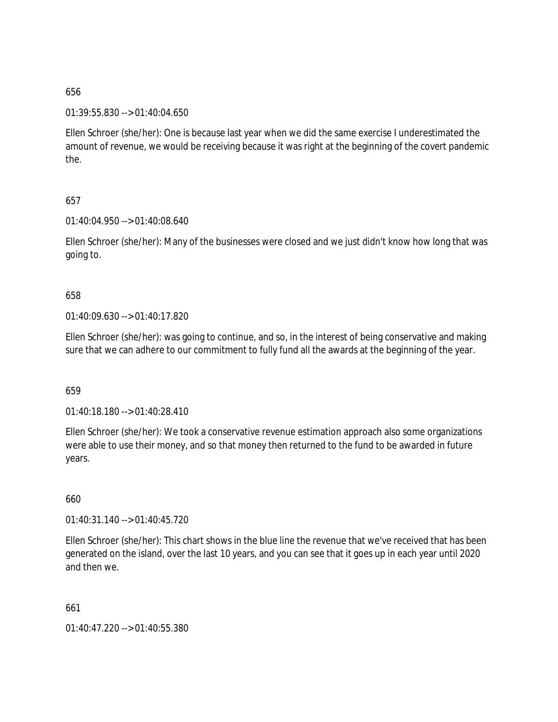## 01:39:55.830 --> 01:40:04.650

Ellen Schroer (she/her): One is because last year when we did the same exercise I underestimated the amount of revenue, we would be receiving because it was right at the beginning of the covert pandemic the.

## 657

01:40:04.950 --> 01:40:08.640

Ellen Schroer (she/her): Many of the businesses were closed and we just didn't know how long that was going to.

## 658

01:40:09.630 --> 01:40:17.820

Ellen Schroer (she/her): was going to continue, and so, in the interest of being conservative and making sure that we can adhere to our commitment to fully fund all the awards at the beginning of the year.

## 659

01:40:18.180 --> 01:40:28.410

Ellen Schroer (she/her): We took a conservative revenue estimation approach also some organizations were able to use their money, and so that money then returned to the fund to be awarded in future years.

## 660

01:40:31.140 --> 01:40:45.720

Ellen Schroer (she/her): This chart shows in the blue line the revenue that we've received that has been generated on the island, over the last 10 years, and you can see that it goes up in each year until 2020 and then we.

661

01:40:47.220 --> 01:40:55.380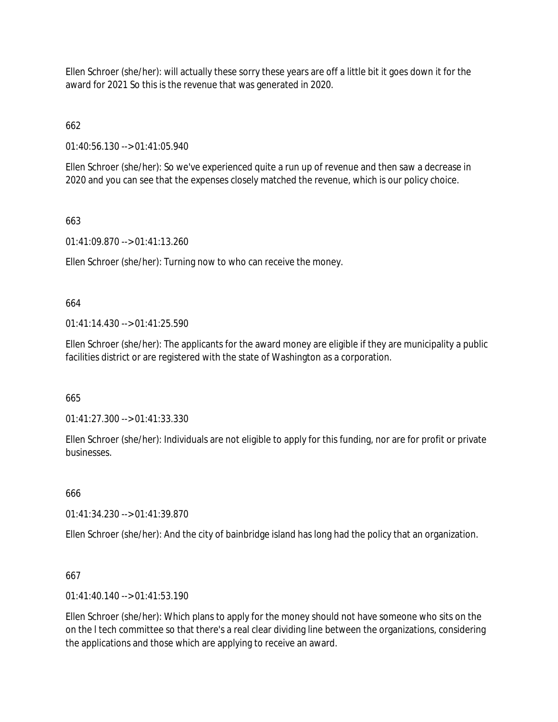Ellen Schroer (she/her): will actually these sorry these years are off a little bit it goes down it for the award for 2021 So this is the revenue that was generated in 2020.

662

01:40:56.130 --> 01:41:05.940

Ellen Schroer (she/her): So we've experienced quite a run up of revenue and then saw a decrease in 2020 and you can see that the expenses closely matched the revenue, which is our policy choice.

# 663

01:41:09.870 --> 01:41:13.260

Ellen Schroer (she/her): Turning now to who can receive the money.

# 664

 $01:41:14.430 \rightarrow 01:41:25.590$ 

Ellen Schroer (she/her): The applicants for the award money are eligible if they are municipality a public facilities district or are registered with the state of Washington as a corporation.

665

01:41:27.300 --> 01:41:33.330

Ellen Schroer (she/her): Individuals are not eligible to apply for this funding, nor are for profit or private businesses.

# 666

01:41:34.230 --> 01:41:39.870

Ellen Schroer (she/her): And the city of bainbridge island has long had the policy that an organization.

# 667

01:41:40.140 --> 01:41:53.190

Ellen Schroer (she/her): Which plans to apply for the money should not have someone who sits on the on the l tech committee so that there's a real clear dividing line between the organizations, considering the applications and those which are applying to receive an award.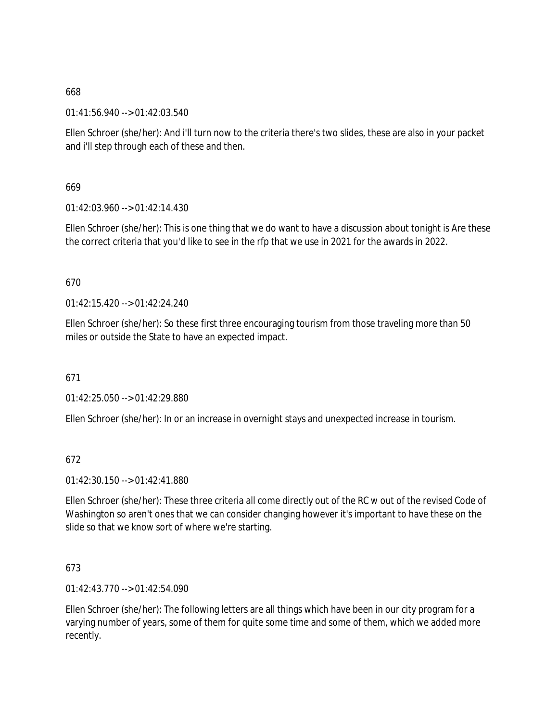01:41:56.940 --> 01:42:03.540

Ellen Schroer (she/her): And i'll turn now to the criteria there's two slides, these are also in your packet and i'll step through each of these and then.

669

 $01:42:03.960 \rightarrow 01:42:14.430$ 

Ellen Schroer (she/her): This is one thing that we do want to have a discussion about tonight is Are these the correct criteria that you'd like to see in the rfp that we use in 2021 for the awards in 2022.

670

 $01:42:15.420 \rightarrow 01:42:24.240$ 

Ellen Schroer (she/her): So these first three encouraging tourism from those traveling more than 50 miles or outside the State to have an expected impact.

671

01:42:25.050 --> 01:42:29.880

Ellen Schroer (she/her): In or an increase in overnight stays and unexpected increase in tourism.

672

01:42:30.150 --> 01:42:41.880

Ellen Schroer (she/her): These three criteria all come directly out of the RC w out of the revised Code of Washington so aren't ones that we can consider changing however it's important to have these on the slide so that we know sort of where we're starting.

673

01:42:43.770 --> 01:42:54.090

Ellen Schroer (she/her): The following letters are all things which have been in our city program for a varying number of years, some of them for quite some time and some of them, which we added more recently.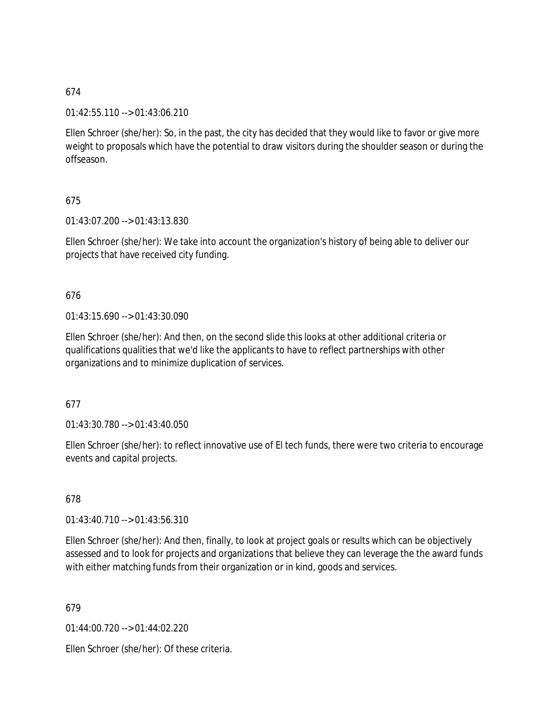## 01:42:55.110 --> 01:43:06.210

Ellen Schroer (she/her): So, in the past, the city has decided that they would like to favor or give more weight to proposals which have the potential to draw visitors during the shoulder season or during the offseason.

# 675

01:43:07.200 --> 01:43:13.830

Ellen Schroer (she/her): We take into account the organization's history of being able to deliver our projects that have received city funding.

## 676

01:43:15.690 --> 01:43:30.090

Ellen Schroer (she/her): And then, on the second slide this looks at other additional criteria or qualifications qualities that we'd like the applicants to have to reflect partnerships with other organizations and to minimize duplication of services.

### 677

01:43:30.780 --> 01:43:40.050

Ellen Schroer (she/her): to reflect innovative use of El tech funds, there were two criteria to encourage events and capital projects.

# 678

01:43:40.710 --> 01:43:56.310

Ellen Schroer (she/her): And then, finally, to look at project goals or results which can be objectively assessed and to look for projects and organizations that believe they can leverage the the award funds with either matching funds from their organization or in kind, goods and services.

679

01:44:00.720 --> 01:44:02.220

Ellen Schroer (she/her): Of these criteria.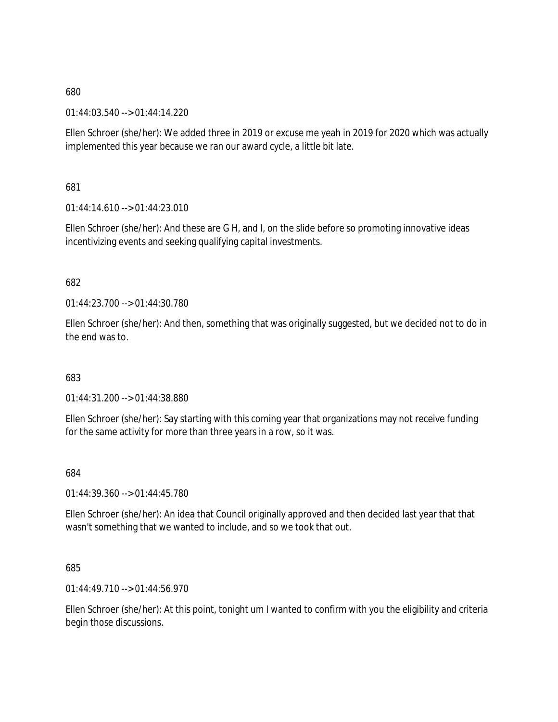01:44:03.540 --> 01:44:14.220

Ellen Schroer (she/her): We added three in 2019 or excuse me yeah in 2019 for 2020 which was actually implemented this year because we ran our award cycle, a little bit late.

681

01:44:14.610 --> 01:44:23.010

Ellen Schroer (she/her): And these are G H, and I, on the slide before so promoting innovative ideas incentivizing events and seeking qualifying capital investments.

## 682

01:44:23.700 --> 01:44:30.780

Ellen Schroer (she/her): And then, something that was originally suggested, but we decided not to do in the end was to.

683

01:44:31.200 --> 01:44:38.880

Ellen Schroer (she/her): Say starting with this coming year that organizations may not receive funding for the same activity for more than three years in a row, so it was.

684

01:44:39.360 --> 01:44:45.780

Ellen Schroer (she/her): An idea that Council originally approved and then decided last year that that wasn't something that we wanted to include, and so we took that out.

### 685

01:44:49.710 --> 01:44:56.970

Ellen Schroer (she/her): At this point, tonight um I wanted to confirm with you the eligibility and criteria begin those discussions.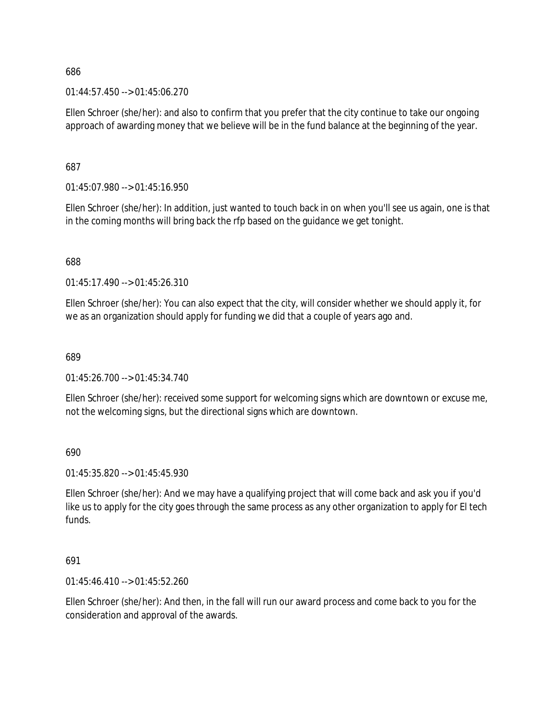01:44:57.450 --> 01:45:06.270

Ellen Schroer (she/her): and also to confirm that you prefer that the city continue to take our ongoing approach of awarding money that we believe will be in the fund balance at the beginning of the year.

687

01:45:07.980 --> 01:45:16.950

Ellen Schroer (she/her): In addition, just wanted to touch back in on when you'll see us again, one is that in the coming months will bring back the rfp based on the guidance we get tonight.

688

01:45:17.490 --> 01:45:26.310

Ellen Schroer (she/her): You can also expect that the city, will consider whether we should apply it, for we as an organization should apply for funding we did that a couple of years ago and.

689

01:45:26.700 --> 01:45:34.740

Ellen Schroer (she/her): received some support for welcoming signs which are downtown or excuse me, not the welcoming signs, but the directional signs which are downtown.

690

01:45:35.820 --> 01:45:45.930

Ellen Schroer (she/her): And we may have a qualifying project that will come back and ask you if you'd like us to apply for the city goes through the same process as any other organization to apply for El tech funds.

691

01:45:46.410 --> 01:45:52.260

Ellen Schroer (she/her): And then, in the fall will run our award process and come back to you for the consideration and approval of the awards.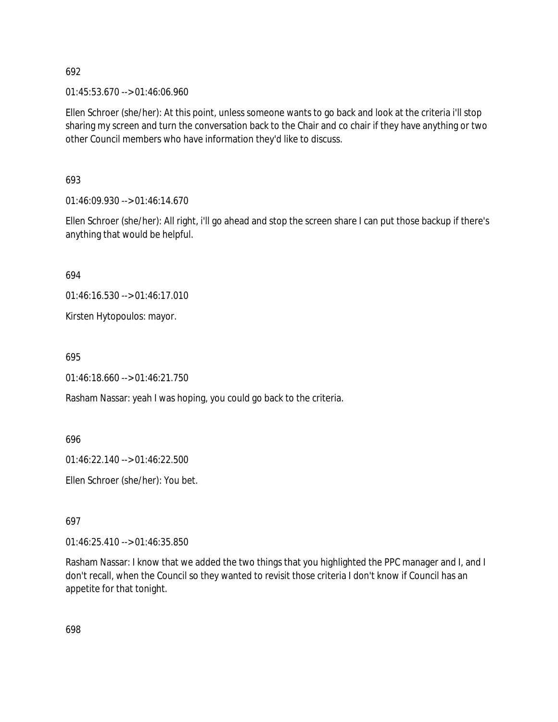01:45:53.670 --> 01:46:06.960

Ellen Schroer (she/her): At this point, unless someone wants to go back and look at the criteria i'll stop sharing my screen and turn the conversation back to the Chair and co chair if they have anything or two other Council members who have information they'd like to discuss.

693

01:46:09.930 --> 01:46:14.670

Ellen Schroer (she/her): All right, i'll go ahead and stop the screen share I can put those backup if there's anything that would be helpful.

694

01:46:16.530 --> 01:46:17.010

Kirsten Hytopoulos: mayor.

695

01:46:18.660 --> 01:46:21.750

Rasham Nassar: yeah I was hoping, you could go back to the criteria.

696

01:46:22.140 --> 01:46:22.500

Ellen Schroer (she/her): You bet.

697

01:46:25.410 --> 01:46:35.850

Rasham Nassar: I know that we added the two things that you highlighted the PPC manager and I, and I don't recall, when the Council so they wanted to revisit those criteria I don't know if Council has an appetite for that tonight.

698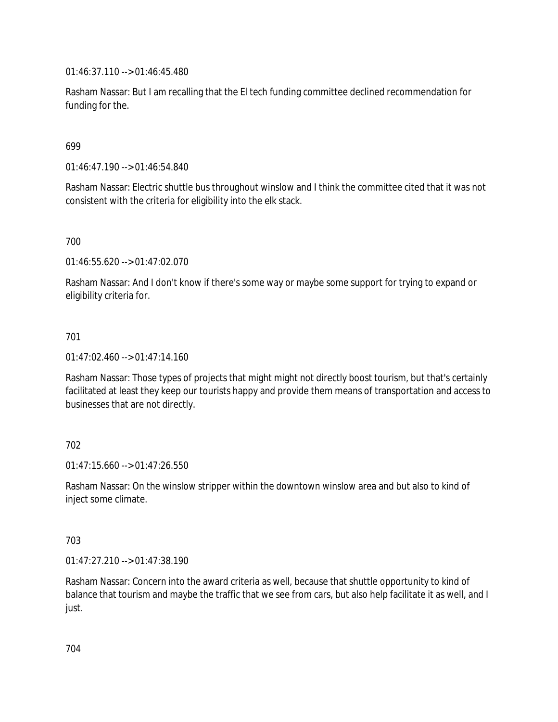01:46:37.110 --> 01:46:45.480

Rasham Nassar: But I am recalling that the El tech funding committee declined recommendation for funding for the.

699

01:46:47.190 --> 01:46:54.840

Rasham Nassar: Electric shuttle bus throughout winslow and I think the committee cited that it was not consistent with the criteria for eligibility into the elk stack.

700

01:46:55.620 --> 01:47:02.070

Rasham Nassar: And I don't know if there's some way or maybe some support for trying to expand or eligibility criteria for.

### 701

01:47:02.460 --> 01:47:14.160

Rasham Nassar: Those types of projects that might might not directly boost tourism, but that's certainly facilitated at least they keep our tourists happy and provide them means of transportation and access to businesses that are not directly.

### 702

01:47:15.660 --> 01:47:26.550

Rasham Nassar: On the winslow stripper within the downtown winslow area and but also to kind of inject some climate.

### 703

01:47:27.210 --> 01:47:38.190

Rasham Nassar: Concern into the award criteria as well, because that shuttle opportunity to kind of balance that tourism and maybe the traffic that we see from cars, but also help facilitate it as well, and I just.

704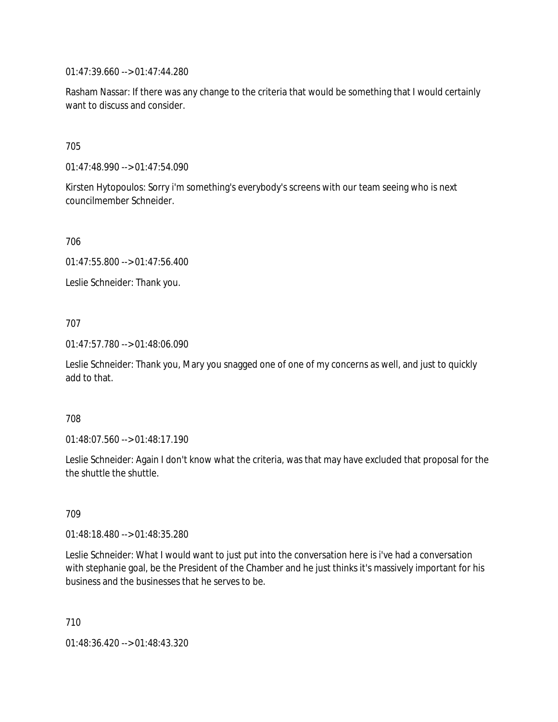01:47:39.660 --> 01:47:44.280

Rasham Nassar: If there was any change to the criteria that would be something that I would certainly want to discuss and consider.

705

01:47:48.990 --> 01:47:54.090

Kirsten Hytopoulos: Sorry i'm something's everybody's screens with our team seeing who is next councilmember Schneider.

706

01:47:55.800 --> 01:47:56.400

Leslie Schneider: Thank you.

### 707

01:47:57.780 --> 01:48:06.090

Leslie Schneider: Thank you, Mary you snagged one of one of my concerns as well, and just to quickly add to that.

#### 708

01:48:07.560 --> 01:48:17.190

Leslie Schneider: Again I don't know what the criteria, was that may have excluded that proposal for the the shuttle the shuttle.

# 709

01:48:18.480 --> 01:48:35.280

Leslie Schneider: What I would want to just put into the conversation here is i've had a conversation with stephanie goal, be the President of the Chamber and he just thinks it's massively important for his business and the businesses that he serves to be.

710

01:48:36.420 --> 01:48:43.320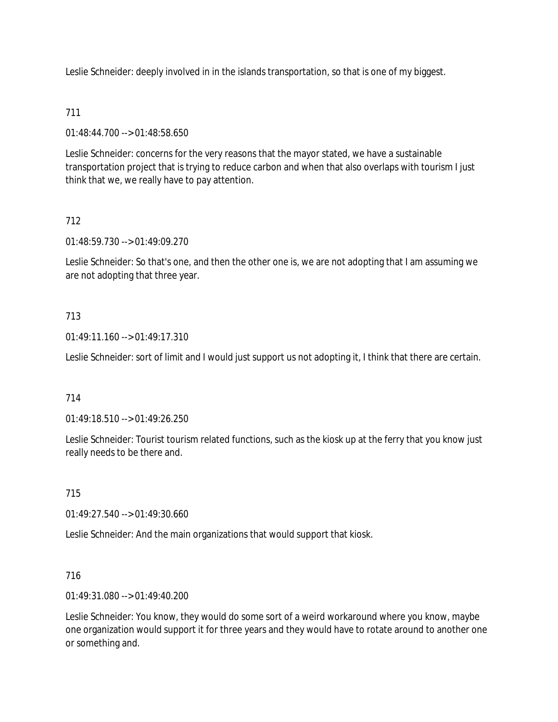Leslie Schneider: deeply involved in in the islands transportation, so that is one of my biggest.

# 711

01:48:44.700 --> 01:48:58.650

Leslie Schneider: concerns for the very reasons that the mayor stated, we have a sustainable transportation project that is trying to reduce carbon and when that also overlaps with tourism I just think that we, we really have to pay attention.

# 712

01:48:59.730 --> 01:49:09.270

Leslie Schneider: So that's one, and then the other one is, we are not adopting that I am assuming we are not adopting that three year.

# 713

01:49:11.160 --> 01:49:17.310

Leslie Schneider: sort of limit and I would just support us not adopting it, I think that there are certain.

# 714

01:49:18.510 --> 01:49:26.250

Leslie Schneider: Tourist tourism related functions, such as the kiosk up at the ferry that you know just really needs to be there and.

# 715

01:49:27.540 --> 01:49:30.660

Leslie Schneider: And the main organizations that would support that kiosk.

# 716

01:49:31.080 --> 01:49:40.200

Leslie Schneider: You know, they would do some sort of a weird workaround where you know, maybe one organization would support it for three years and they would have to rotate around to another one or something and.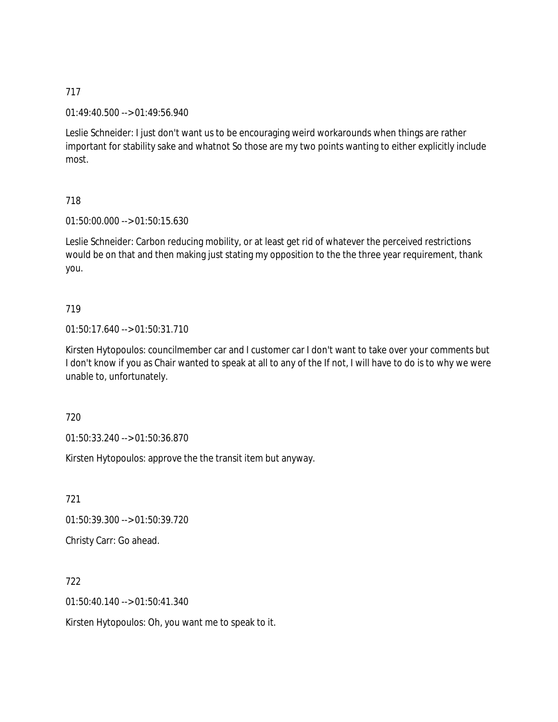01:49:40.500 --> 01:49:56.940

Leslie Schneider: I just don't want us to be encouraging weird workarounds when things are rather important for stability sake and whatnot So those are my two points wanting to either explicitly include most.

## 718

01:50:00.000 --> 01:50:15.630

Leslie Schneider: Carbon reducing mobility, or at least get rid of whatever the perceived restrictions would be on that and then making just stating my opposition to the the three year requirement, thank you.

# 719

01:50:17.640 --> 01:50:31.710

Kirsten Hytopoulos: councilmember car and I customer car I don't want to take over your comments but I don't know if you as Chair wanted to speak at all to any of the If not, I will have to do is to why we were unable to, unfortunately.

# 720

01:50:33.240 --> 01:50:36.870

Kirsten Hytopoulos: approve the the transit item but anyway.

721

01:50:39.300 --> 01:50:39.720

Christy Carr: Go ahead.

722

01:50:40.140 --> 01:50:41.340

Kirsten Hytopoulos: Oh, you want me to speak to it.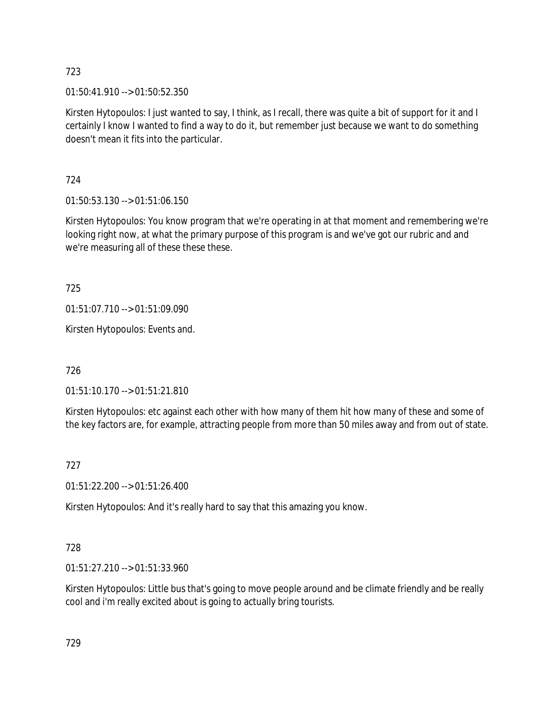01:50:41.910 --> 01:50:52.350

Kirsten Hytopoulos: I just wanted to say, I think, as I recall, there was quite a bit of support for it and I certainly I know I wanted to find a way to do it, but remember just because we want to do something doesn't mean it fits into the particular.

724

01:50:53.130 --> 01:51:06.150

Kirsten Hytopoulos: You know program that we're operating in at that moment and remembering we're looking right now, at what the primary purpose of this program is and we've got our rubric and and we're measuring all of these these these.

725

01:51:07.710 --> 01:51:09.090

Kirsten Hytopoulos: Events and.

726

01:51:10.170 --> 01:51:21.810

Kirsten Hytopoulos: etc against each other with how many of them hit how many of these and some of the key factors are, for example, attracting people from more than 50 miles away and from out of state.

727

01:51:22.200 --> 01:51:26.400

Kirsten Hytopoulos: And it's really hard to say that this amazing you know.

# 728

01:51:27.210 --> 01:51:33.960

Kirsten Hytopoulos: Little bus that's going to move people around and be climate friendly and be really cool and i'm really excited about is going to actually bring tourists.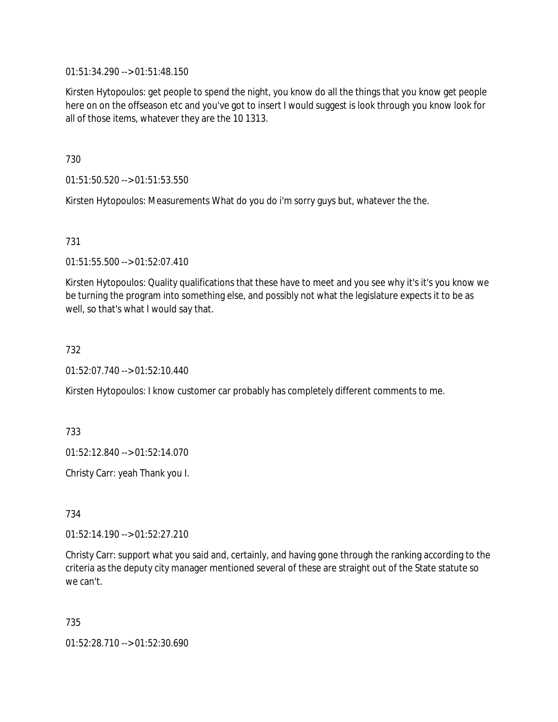01:51:34.290 --> 01:51:48.150

Kirsten Hytopoulos: get people to spend the night, you know do all the things that you know get people here on on the offseason etc and you've got to insert I would suggest is look through you know look for all of those items, whatever they are the 10 1313.

730

01:51:50.520 --> 01:51:53.550

Kirsten Hytopoulos: Measurements What do you do i'm sorry guys but, whatever the the.

731

01:51:55.500 --> 01:52:07.410

Kirsten Hytopoulos: Quality qualifications that these have to meet and you see why it's it's you know we be turning the program into something else, and possibly not what the legislature expects it to be as well, so that's what I would say that.

732

01:52:07.740 --> 01:52:10.440

Kirsten Hytopoulos: I know customer car probably has completely different comments to me.

733

01:52:12.840 --> 01:52:14.070

Christy Carr: yeah Thank you I.

734

01:52:14.190 --> 01:52:27.210

Christy Carr: support what you said and, certainly, and having gone through the ranking according to the criteria as the deputy city manager mentioned several of these are straight out of the State statute so we can't.

735

01:52:28.710 --> 01:52:30.690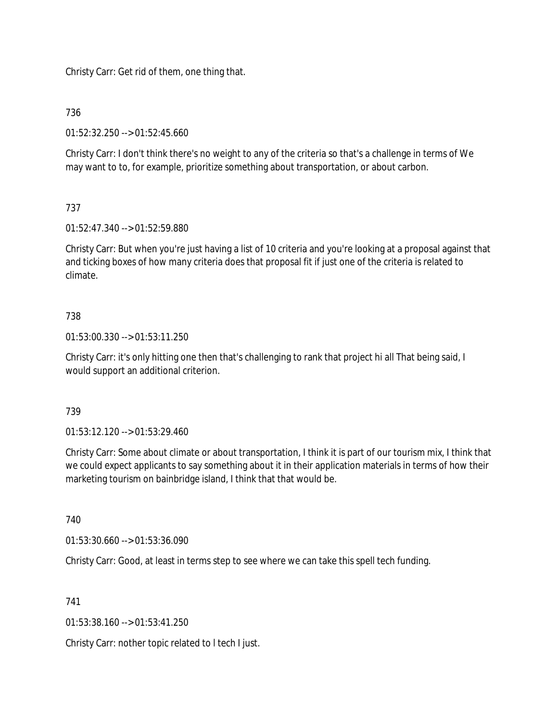Christy Carr: Get rid of them, one thing that.

# 736

01:52:32.250 --> 01:52:45.660

Christy Carr: I don't think there's no weight to any of the criteria so that's a challenge in terms of We may want to to, for example, prioritize something about transportation, or about carbon.

# 737

01:52:47.340 --> 01:52:59.880

Christy Carr: But when you're just having a list of 10 criteria and you're looking at a proposal against that and ticking boxes of how many criteria does that proposal fit if just one of the criteria is related to climate.

# 738

01:53:00.330 --> 01:53:11.250

Christy Carr: it's only hitting one then that's challenging to rank that project hi all That being said, I would support an additional criterion.

# 739

01:53:12.120 --> 01:53:29.460

Christy Carr: Some about climate or about transportation, I think it is part of our tourism mix, I think that we could expect applicants to say something about it in their application materials in terms of how their marketing tourism on bainbridge island, I think that that would be.

740

01:53:30.660 --> 01:53:36.090

Christy Carr: Good, at least in terms step to see where we can take this spell tech funding.

741

01:53:38.160 --> 01:53:41.250

Christy Carr: nother topic related to l tech I just.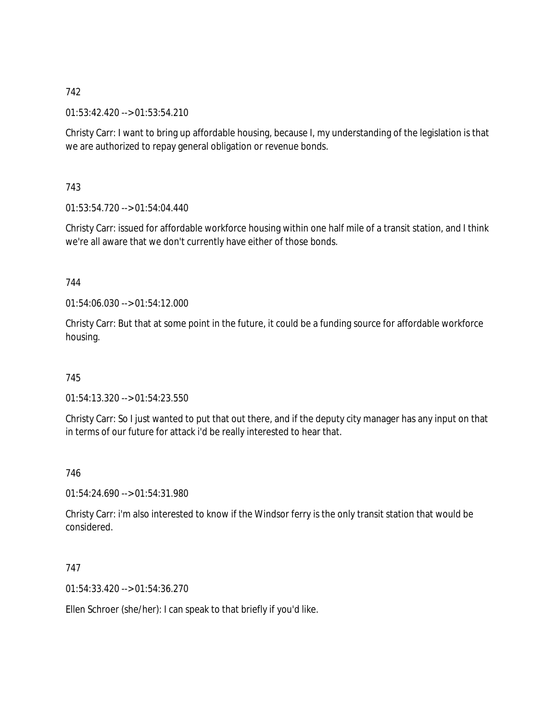01:53:42.420 --> 01:53:54.210

Christy Carr: I want to bring up affordable housing, because I, my understanding of the legislation is that we are authorized to repay general obligation or revenue bonds.

743

01:53:54.720 --> 01:54:04.440

Christy Carr: issued for affordable workforce housing within one half mile of a transit station, and I think we're all aware that we don't currently have either of those bonds.

## 744

01:54:06.030 --> 01:54:12.000

Christy Carr: But that at some point in the future, it could be a funding source for affordable workforce housing.

# 745

01:54:13.320 --> 01:54:23.550

Christy Carr: So I just wanted to put that out there, and if the deputy city manager has any input on that in terms of our future for attack i'd be really interested to hear that.

746

01:54:24.690 --> 01:54:31.980

Christy Carr: i'm also interested to know if the Windsor ferry is the only transit station that would be considered.

# 747

01:54:33.420 --> 01:54:36.270

Ellen Schroer (she/her): I can speak to that briefly if you'd like.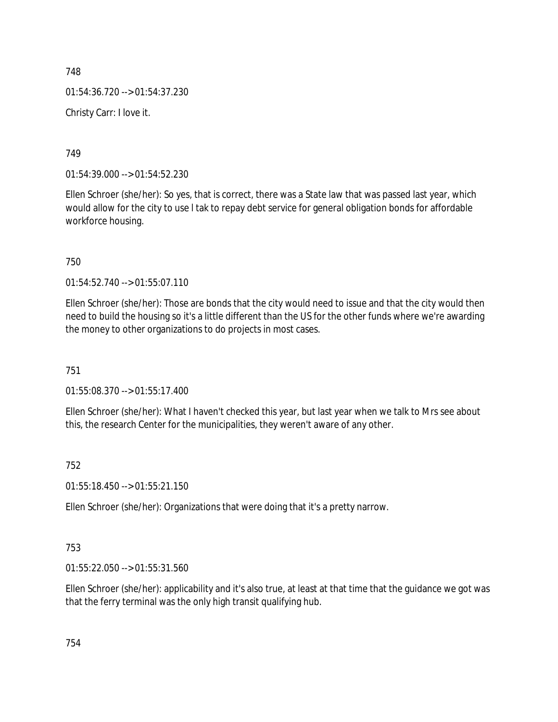748 01:54:36.720 --> 01:54:37.230 Christy Carr: I love it.

749

01:54:39.000 --> 01:54:52.230

Ellen Schroer (she/her): So yes, that is correct, there was a State law that was passed last year, which would allow for the city to use l tak to repay debt service for general obligation bonds for affordable workforce housing.

750

01:54:52.740 --> 01:55:07.110

Ellen Schroer (she/her): Those are bonds that the city would need to issue and that the city would then need to build the housing so it's a little different than the US for the other funds where we're awarding the money to other organizations to do projects in most cases.

751

01:55:08.370 --> 01:55:17.400

Ellen Schroer (she/her): What I haven't checked this year, but last year when we talk to Mrs see about this, the research Center for the municipalities, they weren't aware of any other.

752

01:55:18.450 --> 01:55:21.150

Ellen Schroer (she/her): Organizations that were doing that it's a pretty narrow.

753

01:55:22.050 --> 01:55:31.560

Ellen Schroer (she/her): applicability and it's also true, at least at that time that the guidance we got was that the ferry terminal was the only high transit qualifying hub.

754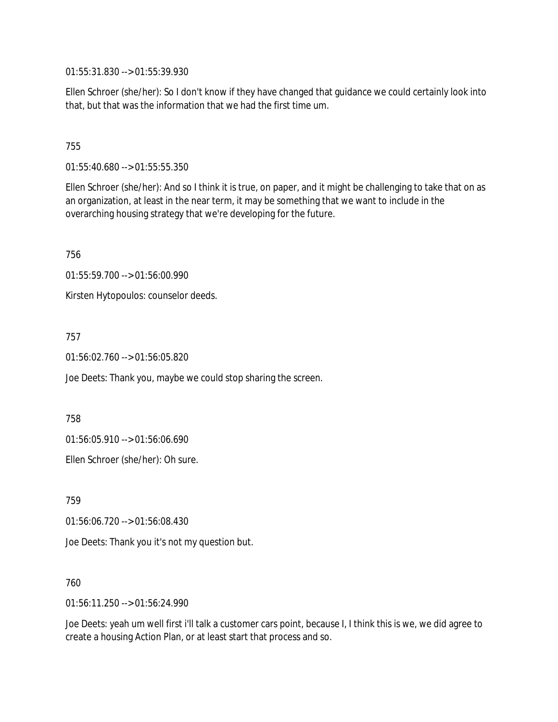01:55:31.830 --> 01:55:39.930

Ellen Schroer (she/her): So I don't know if they have changed that guidance we could certainly look into that, but that was the information that we had the first time um.

## 755

01:55:40.680 --> 01:55:55.350

Ellen Schroer (she/her): And so I think it is true, on paper, and it might be challenging to take that on as an organization, at least in the near term, it may be something that we want to include in the overarching housing strategy that we're developing for the future.

756

01:55:59.700 --> 01:56:00.990

Kirsten Hytopoulos: counselor deeds.

757

01:56:02.760 --> 01:56:05.820

Joe Deets: Thank you, maybe we could stop sharing the screen.

758

01:56:05.910 --> 01:56:06.690

Ellen Schroer (she/her): Oh sure.

759

01:56:06.720 --> 01:56:08.430

Joe Deets: Thank you it's not my question but.

760

01:56:11.250 --> 01:56:24.990

Joe Deets: yeah um well first i'll talk a customer cars point, because I, I think this is we, we did agree to create a housing Action Plan, or at least start that process and so.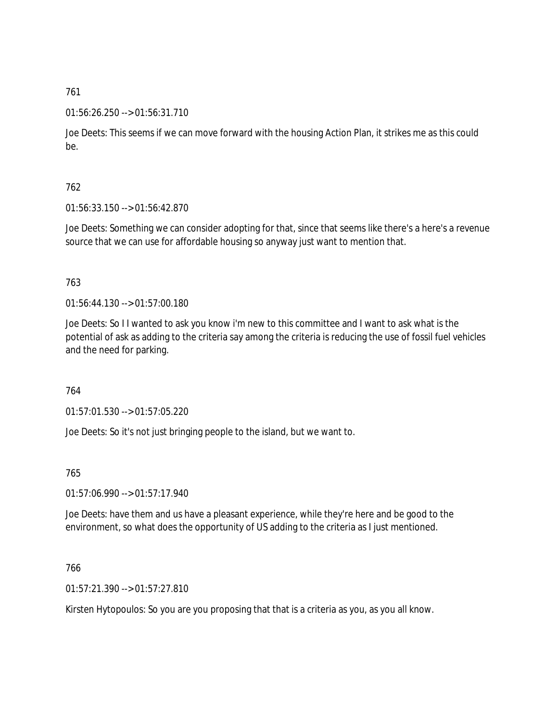### 01:56:26.250 --> 01:56:31.710

Joe Deets: This seems if we can move forward with the housing Action Plan, it strikes me as this could be.

# 762

01:56:33.150 --> 01:56:42.870

Joe Deets: Something we can consider adopting for that, since that seems like there's a here's a revenue source that we can use for affordable housing so anyway just want to mention that.

## 763

 $01:56:44.130 \rightarrow 01:57:00.180$ 

Joe Deets: So I I wanted to ask you know i'm new to this committee and I want to ask what is the potential of ask as adding to the criteria say among the criteria is reducing the use of fossil fuel vehicles and the need for parking.

### 764

01:57:01.530 --> 01:57:05.220

Joe Deets: So it's not just bringing people to the island, but we want to.

### 765

01:57:06.990 --> 01:57:17.940

Joe Deets: have them and us have a pleasant experience, while they're here and be good to the environment, so what does the opportunity of US adding to the criteria as I just mentioned.

### 766

01:57:21.390 --> 01:57:27.810

Kirsten Hytopoulos: So you are you proposing that that is a criteria as you, as you all know.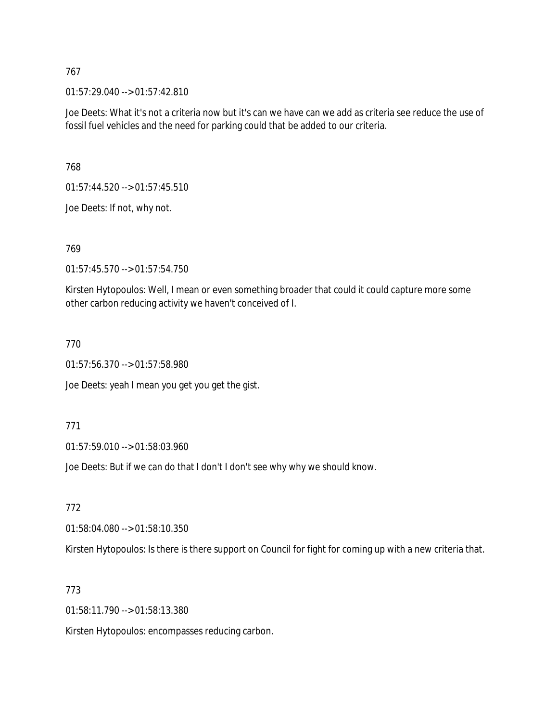01:57:29.040 --> 01:57:42.810

Joe Deets: What it's not a criteria now but it's can we have can we add as criteria see reduce the use of fossil fuel vehicles and the need for parking could that be added to our criteria.

768

01:57:44.520 --> 01:57:45.510

Joe Deets: If not, why not.

769

01:57:45.570 --> 01:57:54.750

Kirsten Hytopoulos: Well, I mean or even something broader that could it could capture more some other carbon reducing activity we haven't conceived of I.

770

01:57:56.370 --> 01:57:58.980

Joe Deets: yeah I mean you get you get the gist.

771

01:57:59.010 --> 01:58:03.960

Joe Deets: But if we can do that I don't I don't see why why we should know.

772

01:58:04.080 --> 01:58:10.350

Kirsten Hytopoulos: Is there is there support on Council for fight for coming up with a new criteria that.

773

01:58:11.790 --> 01:58:13.380

Kirsten Hytopoulos: encompasses reducing carbon.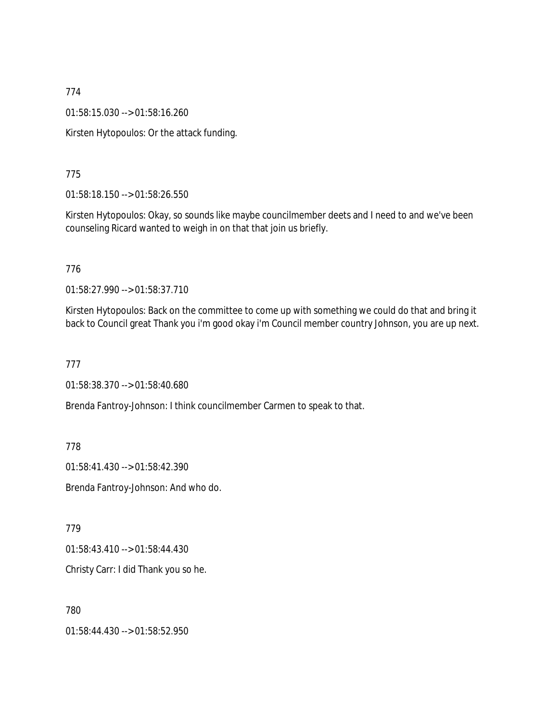01:58:15.030 --> 01:58:16.260

Kirsten Hytopoulos: Or the attack funding.

775

01:58:18.150 --> 01:58:26.550

Kirsten Hytopoulos: Okay, so sounds like maybe councilmember deets and I need to and we've been counseling Ricard wanted to weigh in on that that join us briefly.

776

01:58:27.990 --> 01:58:37.710

Kirsten Hytopoulos: Back on the committee to come up with something we could do that and bring it back to Council great Thank you i'm good okay i'm Council member country Johnson, you are up next.

777

01:58:38.370 --> 01:58:40.680

Brenda Fantroy-Johnson: I think councilmember Carmen to speak to that.

778

01:58:41.430 --> 01:58:42.390

Brenda Fantroy-Johnson: And who do.

779

01:58:43.410 --> 01:58:44.430

Christy Carr: I did Thank you so he.

780

01:58:44.430 --> 01:58:52.950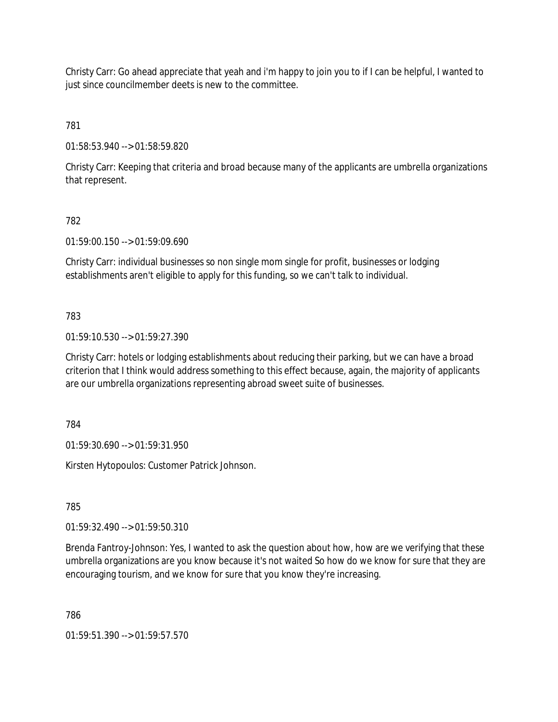Christy Carr: Go ahead appreciate that yeah and i'm happy to join you to if I can be helpful, I wanted to just since councilmember deets is new to the committee.

781

01:58:53.940 --> 01:58:59.820

Christy Carr: Keeping that criteria and broad because many of the applicants are umbrella organizations that represent.

## 782

01:59:00.150 --> 01:59:09.690

Christy Carr: individual businesses so non single mom single for profit, businesses or lodging establishments aren't eligible to apply for this funding, so we can't talk to individual.

## 783

01:59:10.530 --> 01:59:27.390

Christy Carr: hotels or lodging establishments about reducing their parking, but we can have a broad criterion that I think would address something to this effect because, again, the majority of applicants are our umbrella organizations representing abroad sweet suite of businesses.

784

01:59:30.690 --> 01:59:31.950

Kirsten Hytopoulos: Customer Patrick Johnson.

785

01:59:32.490 --> 01:59:50.310

Brenda Fantroy-Johnson: Yes, I wanted to ask the question about how, how are we verifying that these umbrella organizations are you know because it's not waited So how do we know for sure that they are encouraging tourism, and we know for sure that you know they're increasing.

786

01:59:51.390 --> 01:59:57.570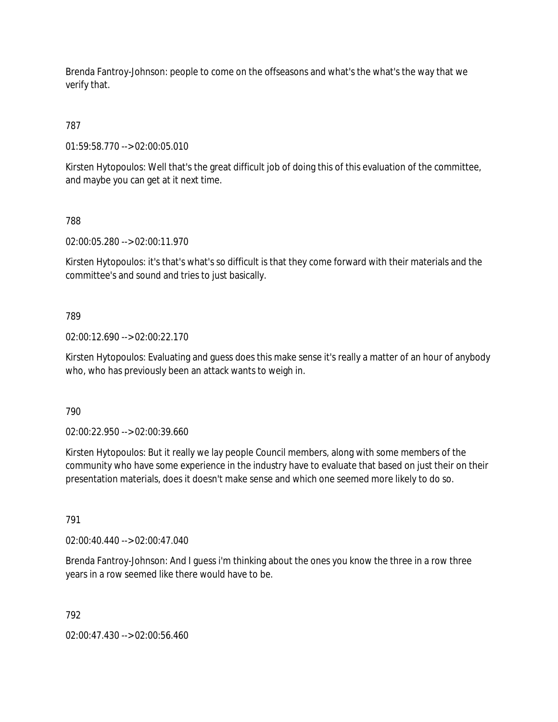Brenda Fantroy-Johnson: people to come on the offseasons and what's the what's the way that we verify that.

# 787

01:59:58.770 --> 02:00:05.010

Kirsten Hytopoulos: Well that's the great difficult job of doing this of this evaluation of the committee, and maybe you can get at it next time.

# 788

02:00:05.280 --> 02:00:11.970

Kirsten Hytopoulos: it's that's what's so difficult is that they come forward with their materials and the committee's and sound and tries to just basically.

# 789

02:00:12.690 --> 02:00:22.170

Kirsten Hytopoulos: Evaluating and guess does this make sense it's really a matter of an hour of anybody who, who has previously been an attack wants to weigh in.

790

02:00:22.950 --> 02:00:39.660

Kirsten Hytopoulos: But it really we lay people Council members, along with some members of the community who have some experience in the industry have to evaluate that based on just their on their presentation materials, does it doesn't make sense and which one seemed more likely to do so.

# 791

02:00:40.440 --> 02:00:47.040

Brenda Fantroy-Johnson: And I guess i'm thinking about the ones you know the three in a row three years in a row seemed like there would have to be.

# 792

02:00:47.430 --> 02:00:56.460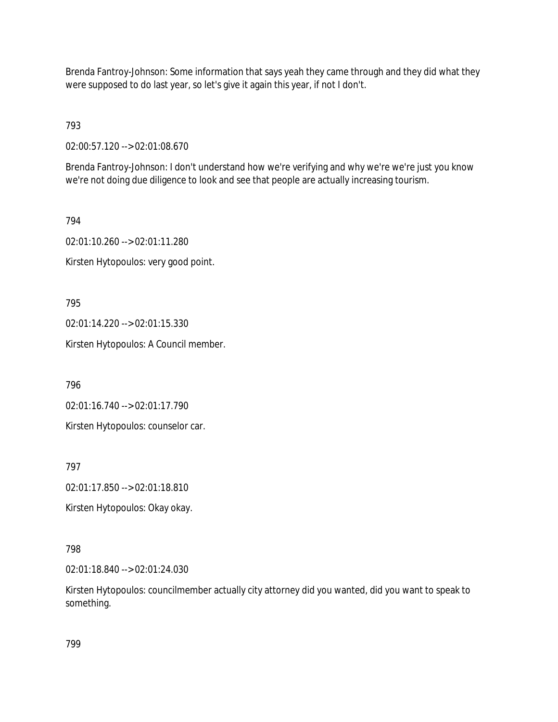Brenda Fantroy-Johnson: Some information that says yeah they came through and they did what they were supposed to do last year, so let's give it again this year, if not I don't.

793

02:00:57.120 --> 02:01:08.670

Brenda Fantroy-Johnson: I don't understand how we're verifying and why we're we're just you know we're not doing due diligence to look and see that people are actually increasing tourism.

794 02:01:10.260 --> 02:01:11.280 Kirsten Hytopoulos: very good point.

795

02:01:14.220 --> 02:01:15.330

Kirsten Hytopoulos: A Council member.

796

02:01:16.740 --> 02:01:17.790

Kirsten Hytopoulos: counselor car.

797

02:01:17.850 --> 02:01:18.810

Kirsten Hytopoulos: Okay okay.

798

02:01:18.840 --> 02:01:24.030

Kirsten Hytopoulos: councilmember actually city attorney did you wanted, did you want to speak to something.

799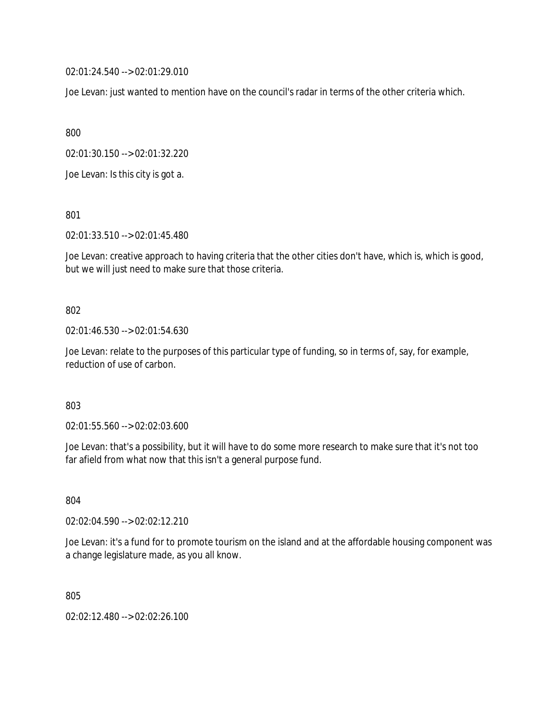02:01:24.540 --> 02:01:29.010

Joe Levan: just wanted to mention have on the council's radar in terms of the other criteria which.

800

02:01:30.150 --> 02:01:32.220

Joe Levan: Is this city is got a.

801

02:01:33.510 --> 02:01:45.480

Joe Levan: creative approach to having criteria that the other cities don't have, which is, which is good, but we will just need to make sure that those criteria.

### 802

02:01:46.530 --> 02:01:54.630

Joe Levan: relate to the purposes of this particular type of funding, so in terms of, say, for example, reduction of use of carbon.

803

02:01:55.560 --> 02:02:03.600

Joe Levan: that's a possibility, but it will have to do some more research to make sure that it's not too far afield from what now that this isn't a general purpose fund.

804

02:02:04.590 --> 02:02:12.210

Joe Levan: it's a fund for to promote tourism on the island and at the affordable housing component was a change legislature made, as you all know.

805

02:02:12.480 --> 02:02:26.100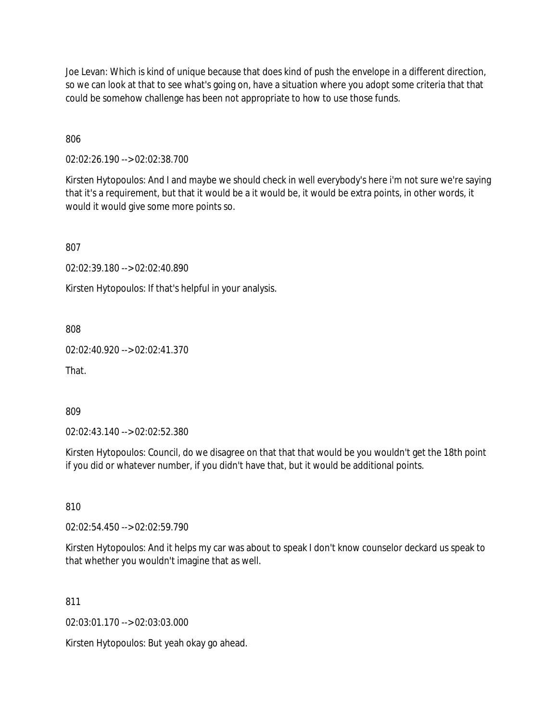Joe Levan: Which is kind of unique because that does kind of push the envelope in a different direction, so we can look at that to see what's going on, have a situation where you adopt some criteria that that could be somehow challenge has been not appropriate to how to use those funds.

806

02:02:26.190 --> 02:02:38.700

Kirsten Hytopoulos: And I and maybe we should check in well everybody's here i'm not sure we're saying that it's a requirement, but that it would be a it would be, it would be extra points, in other words, it would it would give some more points so.

807

02:02:39.180 --> 02:02:40.890

Kirsten Hytopoulos: If that's helpful in your analysis.

808

02:02:40.920 --> 02:02:41.370

That.

809

02:02:43.140 --> 02:02:52.380

Kirsten Hytopoulos: Council, do we disagree on that that that would be you wouldn't get the 18th point if you did or whatever number, if you didn't have that, but it would be additional points.

810

02:02:54.450 --> 02:02:59.790

Kirsten Hytopoulos: And it helps my car was about to speak I don't know counselor deckard us speak to that whether you wouldn't imagine that as well.

811

02:03:01.170 --> 02:03:03.000

Kirsten Hytopoulos: But yeah okay go ahead.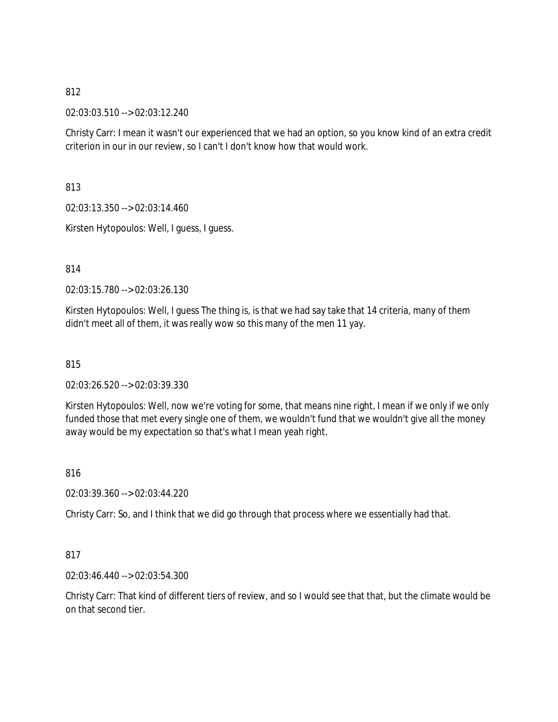02:03:03.510 --> 02:03:12.240

Christy Carr: I mean it wasn't our experienced that we had an option, so you know kind of an extra credit criterion in our in our review, so I can't I don't know how that would work.

813

02:03:13.350 --> 02:03:14.460

Kirsten Hytopoulos: Well, I guess, I guess.

814

02:03:15.780 --> 02:03:26.130

Kirsten Hytopoulos: Well, I guess The thing is, is that we had say take that 14 criteria, many of them didn't meet all of them, it was really wow so this many of the men 11 yay.

815

02:03:26.520 --> 02:03:39.330

Kirsten Hytopoulos: Well, now we're voting for some, that means nine right, I mean if we only if we only funded those that met every single one of them, we wouldn't fund that we wouldn't give all the money away would be my expectation so that's what I mean yeah right.

816

02:03:39.360 --> 02:03:44.220

Christy Carr: So, and I think that we did go through that process where we essentially had that.

817

02:03:46.440 --> 02:03:54.300

Christy Carr: That kind of different tiers of review, and so I would see that that, but the climate would be on that second tier.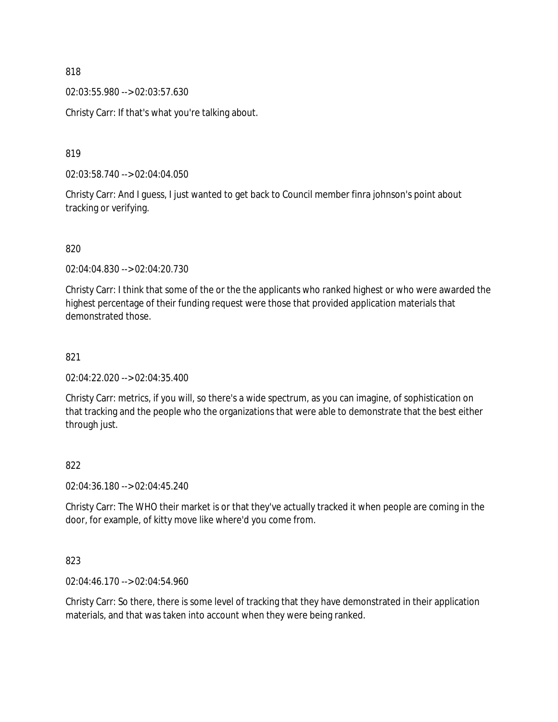02:03:55.980 --> 02:03:57.630

Christy Carr: If that's what you're talking about.

819

02:03:58.740 --> 02:04:04.050

Christy Carr: And I guess, I just wanted to get back to Council member finra johnson's point about tracking or verifying.

820

02:04:04.830 --> 02:04:20.730

Christy Carr: I think that some of the or the the applicants who ranked highest or who were awarded the highest percentage of their funding request were those that provided application materials that demonstrated those.

### 821

02:04:22.020 --> 02:04:35.400

Christy Carr: metrics, if you will, so there's a wide spectrum, as you can imagine, of sophistication on that tracking and the people who the organizations that were able to demonstrate that the best either through just.

### 822

02:04:36.180 --> 02:04:45.240

Christy Carr: The WHO their market is or that they've actually tracked it when people are coming in the door, for example, of kitty move like where'd you come from.

823

02:04:46.170 --> 02:04:54.960

Christy Carr: So there, there is some level of tracking that they have demonstrated in their application materials, and that was taken into account when they were being ranked.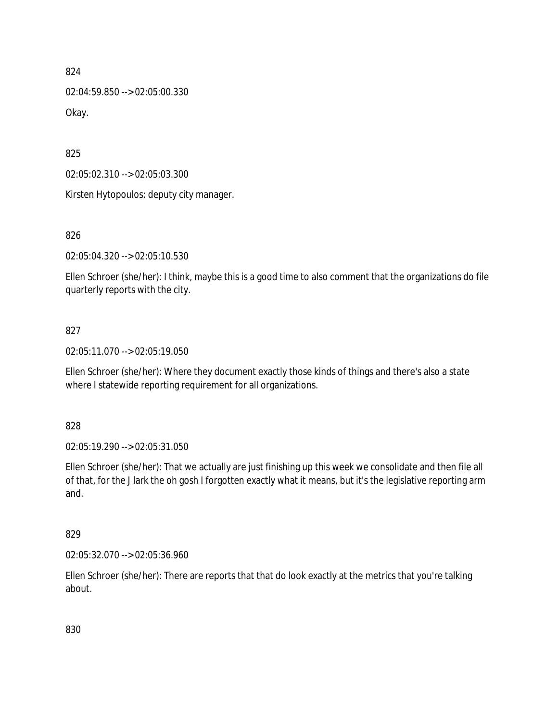02:04:59.850 --> 02:05:00.330 Okay.

825

02:05:02.310 --> 02:05:03.300

Kirsten Hytopoulos: deputy city manager.

826

02:05:04.320 --> 02:05:10.530

Ellen Schroer (she/her): I think, maybe this is a good time to also comment that the organizations do file quarterly reports with the city.

## 827

02:05:11.070 --> 02:05:19.050

Ellen Schroer (she/her): Where they document exactly those kinds of things and there's also a state where I statewide reporting requirement for all organizations.

828

02:05:19.290 --> 02:05:31.050

Ellen Schroer (she/her): That we actually are just finishing up this week we consolidate and then file all of that, for the J lark the oh gosh I forgotten exactly what it means, but it's the legislative reporting arm and.

### 829

02:05:32.070 --> 02:05:36.960

Ellen Schroer (she/her): There are reports that that do look exactly at the metrics that you're talking about.

830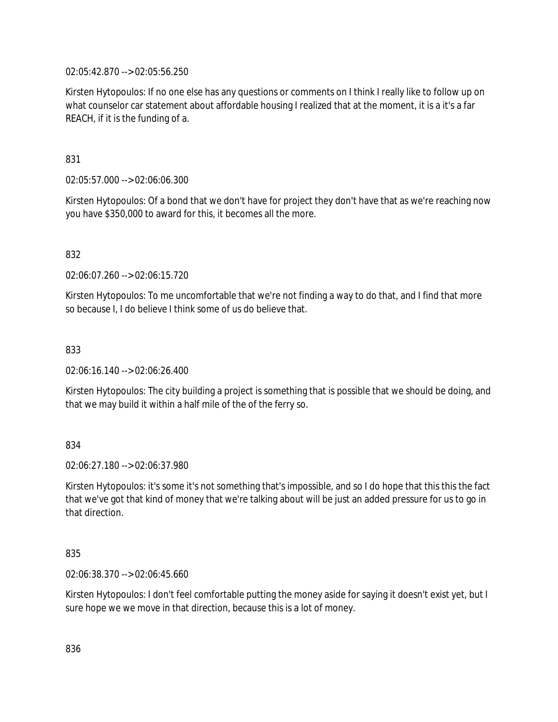02:05:42.870 --> 02:05:56.250

Kirsten Hytopoulos: If no one else has any questions or comments on I think I really like to follow up on what counselor car statement about affordable housing I realized that at the moment, it is a it's a far REACH, if it is the funding of a.

831

02:05:57.000 --> 02:06:06.300

Kirsten Hytopoulos: Of a bond that we don't have for project they don't have that as we're reaching now you have \$350,000 to award for this, it becomes all the more.

832

02:06:07.260 --> 02:06:15.720

Kirsten Hytopoulos: To me uncomfortable that we're not finding a way to do that, and I find that more so because I, I do believe I think some of us do believe that.

833

02:06:16.140 --> 02:06:26.400

Kirsten Hytopoulos: The city building a project is something that is possible that we should be doing, and that we may build it within a half mile of the of the ferry so.

834

02:06:27.180 --> 02:06:37.980

Kirsten Hytopoulos: it's some it's not something that's impossible, and so I do hope that this this the fact that we've got that kind of money that we're talking about will be just an added pressure for us to go in that direction.

835

02:06:38.370 --> 02:06:45.660

Kirsten Hytopoulos: I don't feel comfortable putting the money aside for saying it doesn't exist yet, but I sure hope we we move in that direction, because this is a lot of money.

836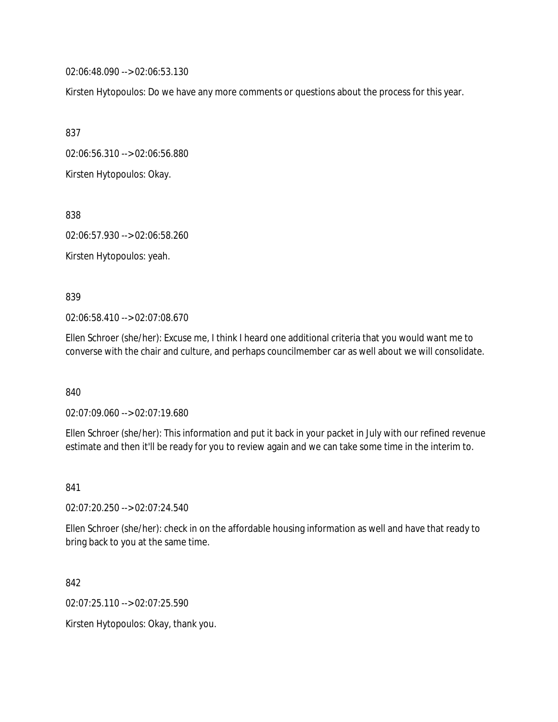02:06:48.090 --> 02:06:53.130

Kirsten Hytopoulos: Do we have any more comments or questions about the process for this year.

837

02:06:56.310 --> 02:06:56.880

Kirsten Hytopoulos: Okay.

838

02:06:57.930 --> 02:06:58.260

Kirsten Hytopoulos: yeah.

839

02:06:58.410 --> 02:07:08.670

Ellen Schroer (she/her): Excuse me, I think I heard one additional criteria that you would want me to converse with the chair and culture, and perhaps councilmember car as well about we will consolidate.

840

02:07:09.060 --> 02:07:19.680

Ellen Schroer (she/her): This information and put it back in your packet in July with our refined revenue estimate and then it'll be ready for you to review again and we can take some time in the interim to.

841

02:07:20.250 --> 02:07:24.540

Ellen Schroer (she/her): check in on the affordable housing information as well and have that ready to bring back to you at the same time.

842

02:07:25.110 --> 02:07:25.590

Kirsten Hytopoulos: Okay, thank you.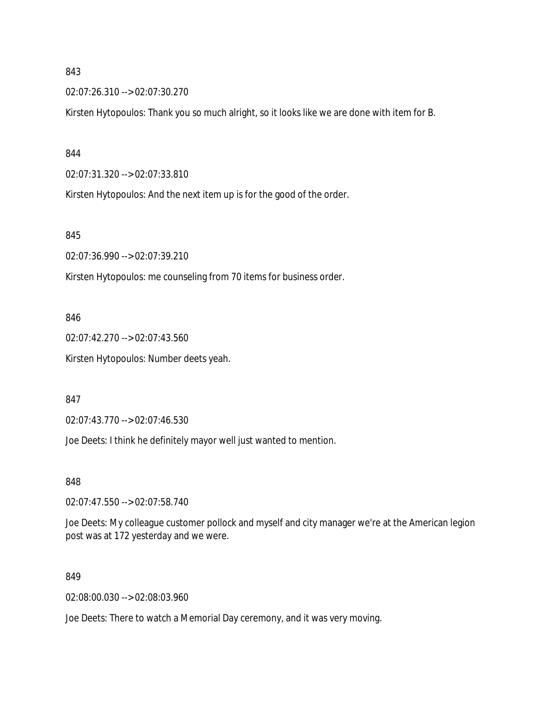02:07:26.310 --> 02:07:30.270

Kirsten Hytopoulos: Thank you so much alright, so it looks like we are done with item for B.

844

02:07:31.320 --> 02:07:33.810

Kirsten Hytopoulos: And the next item up is for the good of the order.

845

02:07:36.990 --> 02:07:39.210

Kirsten Hytopoulos: me counseling from 70 items for business order.

846

02:07:42.270 --> 02:07:43.560 Kirsten Hytopoulos: Number deets yeah.

847

02:07:43.770 --> 02:07:46.530

Joe Deets: I think he definitely mayor well just wanted to mention.

848

02:07:47.550 --> 02:07:58.740

Joe Deets: My colleague customer pollock and myself and city manager we're at the American legion post was at 172 yesterday and we were.

849

02:08:00.030 --> 02:08:03.960

Joe Deets: There to watch a Memorial Day ceremony, and it was very moving.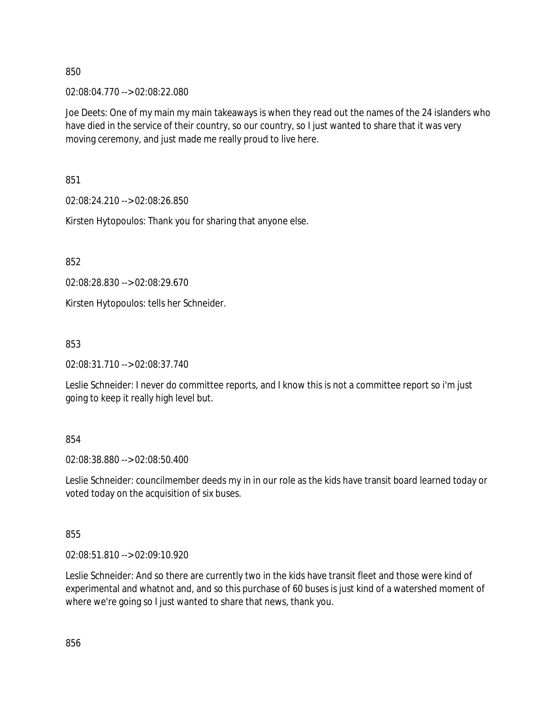02:08:04.770 --> 02:08:22.080

Joe Deets: One of my main my main takeaways is when they read out the names of the 24 islanders who have died in the service of their country, so our country, so I just wanted to share that it was very moving ceremony, and just made me really proud to live here.

851

02:08:24.210 --> 02:08:26.850

Kirsten Hytopoulos: Thank you for sharing that anyone else.

852

02:08:28.830 --> 02:08:29.670

Kirsten Hytopoulos: tells her Schneider.

853

02:08:31.710 --> 02:08:37.740

Leslie Schneider: I never do committee reports, and I know this is not a committee report so i'm just going to keep it really high level but.

854

02:08:38.880 --> 02:08:50.400

Leslie Schneider: councilmember deeds my in in our role as the kids have transit board learned today or voted today on the acquisition of six buses.

855

02:08:51.810 --> 02:09:10.920

Leslie Schneider: And so there are currently two in the kids have transit fleet and those were kind of experimental and whatnot and, and so this purchase of 60 buses is just kind of a watershed moment of where we're going so I just wanted to share that news, thank you.